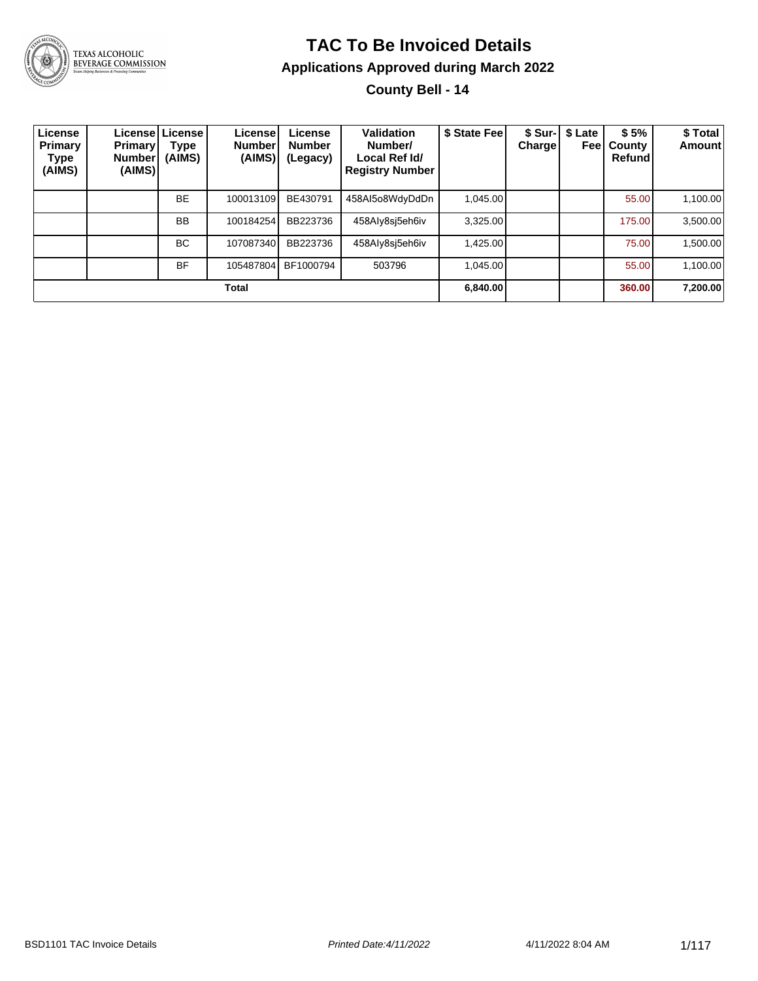

#### **TAC To Be Invoiced Details Applications Approved during March 2022**

**County Bell - 14**

| License<br>Primary<br>Type<br>(AIMS) | Primary<br>Number<br>(AIMS) | License License<br>Type<br>(AIMS) | License<br><b>Number</b><br>(AIMS) | License<br><b>Number</b><br>(Legacy) | Validation<br>Number/<br>Local Ref Id/<br><b>Registry Number</b> | \$ State Fee | <b>Charge</b> | \$ Sur-   \$ Late<br>Feel | \$5%<br>County<br>Refund | \$ Total<br><b>Amount</b> |
|--------------------------------------|-----------------------------|-----------------------------------|------------------------------------|--------------------------------------|------------------------------------------------------------------|--------------|---------------|---------------------------|--------------------------|---------------------------|
|                                      |                             | <b>BE</b>                         | 100013109                          | BE430791                             | 458AI5o8WdyDdDn                                                  | 1.045.00     |               |                           | 55.00                    | 1,100.00                  |
|                                      |                             | <b>BB</b>                         | 100184254                          | BB223736                             | 458Aly8sj5eh6iv                                                  | 3,325.00     |               |                           | 175.00                   | 3,500.00                  |
|                                      |                             | <b>BC</b>                         | 107087340                          | BB223736                             | 458Aly8si5eh6iv                                                  | 1.425.00     |               |                           | 75.00                    | 1,500.00                  |
|                                      |                             | <b>BF</b>                         | 105487804                          | BF1000794                            | 503796                                                           | 1,045.00     |               |                           | 55.00                    | 1,100.00                  |
|                                      |                             |                                   | Total                              |                                      |                                                                  | 6,840.00     |               |                           | 360.00                   | 7,200.00                  |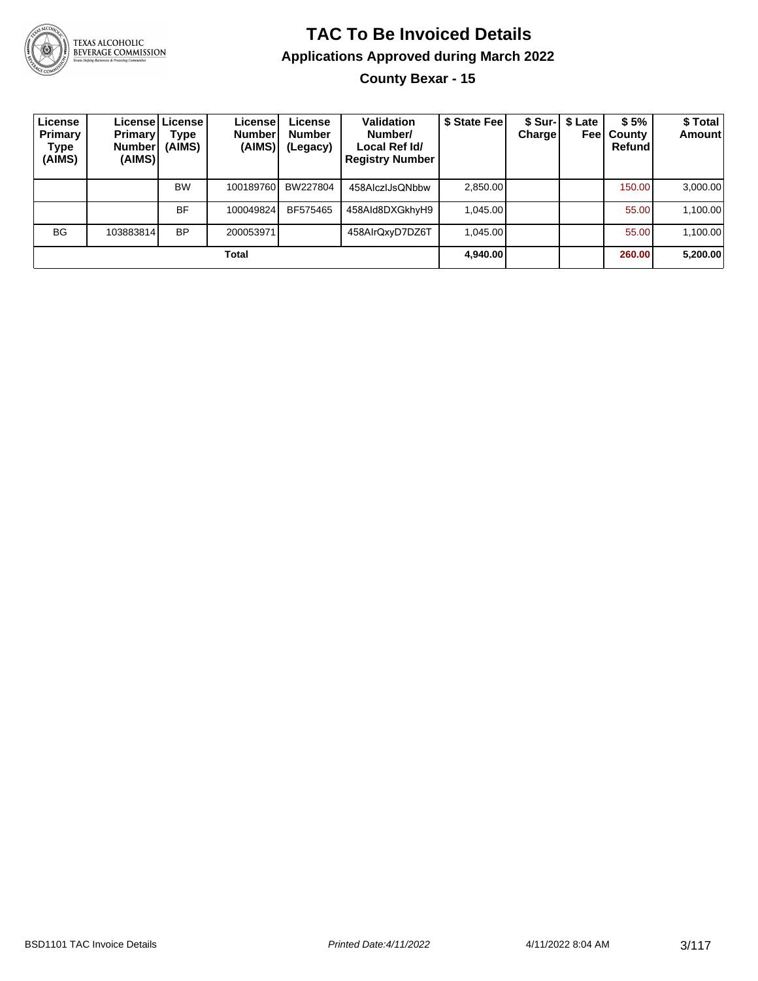

### **TAC To Be Invoiced Details Applications Approved during March 2022 County Bexar - 15**

| License<br>Primary<br>Type<br>(AIMS) | <b>Primary</b><br><b>Number</b><br>(AIMS) | Licensel License I<br>Type<br>(AIMS) | License<br><b>Number</b><br>(AIMS) | License<br><b>Number</b><br>(Legacy) | Validation<br>Number/<br>Local Ref Id/<br><b>Registry Number</b> | \$ State Fee | Charge | \$ Sur-   \$ Late<br>Feel | \$5%<br>County<br>Refundl | \$ Total<br><b>Amount</b> |
|--------------------------------------|-------------------------------------------|--------------------------------------|------------------------------------|--------------------------------------|------------------------------------------------------------------|--------------|--------|---------------------------|---------------------------|---------------------------|
|                                      |                                           | <b>BW</b>                            | 100189760                          | BW227804                             | 458AlczIJsQNbbw                                                  | 2,850.00     |        |                           | 150.00                    | 3,000.00                  |
|                                      |                                           | <b>BF</b>                            | 100049824                          | BF575465                             | 458Ald8DXGkhyH9                                                  | 1,045.00     |        |                           | 55.00                     | 1,100.00                  |
| <b>BG</b>                            | 103883814                                 | <b>BP</b>                            | 200053971                          |                                      | 458AlrQxyD7DZ6T                                                  | 1.045.00     |        |                           | 55.00                     | 1,100.00                  |
|                                      |                                           |                                      | Total                              |                                      |                                                                  | 4,940.00     |        |                           | 260.00                    | 5,200.00                  |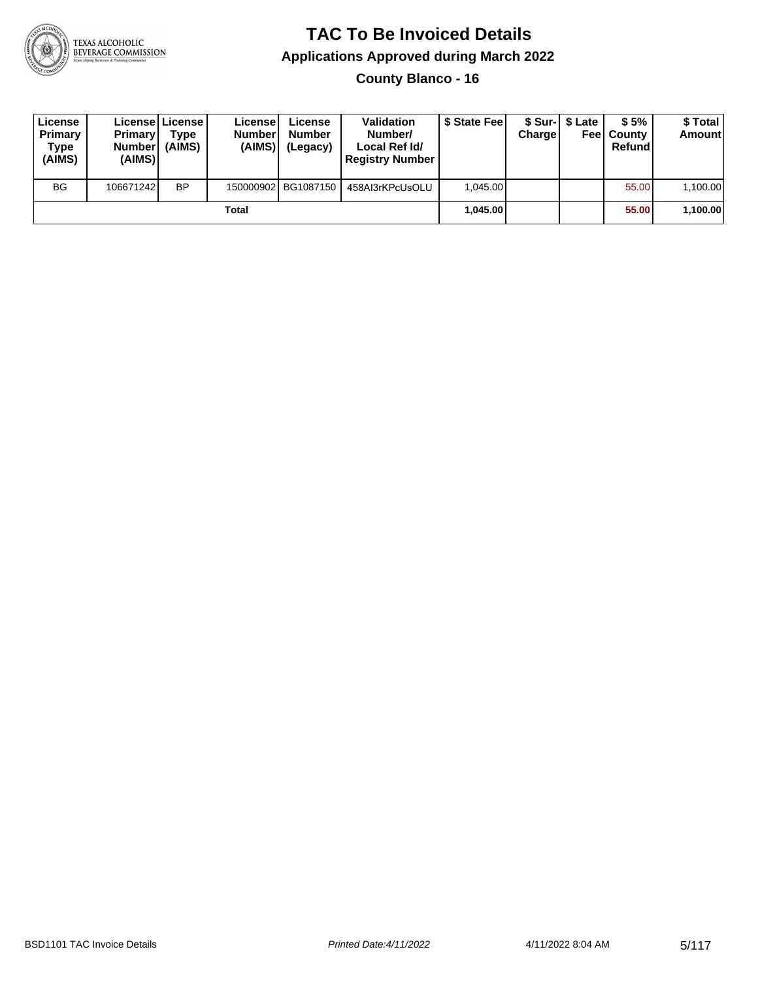

**County Blanco - 16**

| License<br>Primary<br>Type<br>(AIMS) | <b>Primary</b><br><b>Number</b><br>(AIMS) | Licensel License I<br><b>Type</b><br>(AIMS) | License<br><b>Number</b><br>(AIMS) | License<br><b>Number</b><br>(Legacy) | <b>Validation</b><br>Number/<br>Local Ref Id/<br><b>Registry Number</b> | \$ State Feel | Charge | \$ Sur-1 \$ Late | \$5%<br><b>Feel County</b><br>Refund | \$ Total<br><b>Amount</b> |
|--------------------------------------|-------------------------------------------|---------------------------------------------|------------------------------------|--------------------------------------|-------------------------------------------------------------------------|---------------|--------|------------------|--------------------------------------|---------------------------|
| <b>BG</b>                            | 106671242                                 | <b>BP</b>                                   |                                    | 150000902 BG1087150                  | 458AI3rKPcUsOLU                                                         | 1.045.00      |        |                  | 55.00                                | 1,100.00                  |
|                                      |                                           |                                             | Total                              |                                      |                                                                         | 1.045.00      |        |                  | 55.00                                | 1,100.00                  |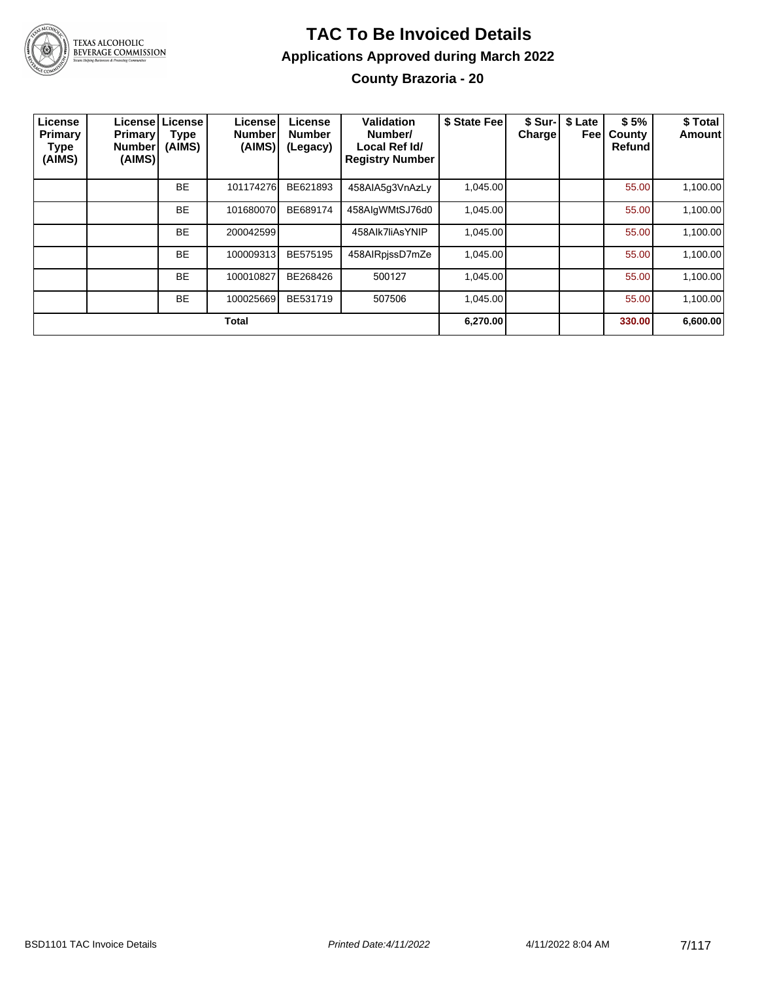

### **TAC To Be Invoiced Details Applications Approved during March 2022 County Brazoria - 20**

| License<br>Primary<br>Type<br>(AIMS) | <b>Primary</b><br><b>Number</b><br>(AIMS) | Licensel License<br>Type<br>(AIMS) | License<br><b>Number</b><br>(AIMS) | License<br><b>Number</b><br>(Legacy) | Validation<br>Number/<br>Local Ref Id/<br><b>Registry Number</b> | \$ State Fee | \$ Sur-I<br><b>Charge</b> | \$ Late<br>Feel | \$5%<br>County<br>Refund | \$ Total<br>Amount |
|--------------------------------------|-------------------------------------------|------------------------------------|------------------------------------|--------------------------------------|------------------------------------------------------------------|--------------|---------------------------|-----------------|--------------------------|--------------------|
|                                      |                                           | <b>BE</b>                          | 101174276                          | BE621893                             | 458AIA5g3VnAzLy                                                  | 1,045.00     |                           |                 | 55.00                    | 1,100.00           |
|                                      |                                           | <b>BE</b>                          | 101680070                          | BE689174                             | 458AlgWMtSJ76d0                                                  | 1,045.00     |                           |                 | 55.00                    | 1,100.00           |
|                                      |                                           | <b>BE</b>                          | 200042599                          |                                      | 458Alk7liAsYNIP                                                  | 1,045.00     |                           |                 | 55.00                    | 1,100.00           |
|                                      |                                           | <b>BE</b>                          | 100009313                          | BE575195                             | 458AlRpissD7mZe                                                  | 1,045.00     |                           |                 | 55.00                    | 1,100.00           |
|                                      |                                           | <b>BE</b>                          | 100010827                          | BE268426                             | 500127                                                           | 1,045.00     |                           |                 | 55.00                    | 1,100.00           |
|                                      |                                           | <b>BE</b>                          | 100025669                          | BE531719                             | 507506                                                           | 1,045.00     |                           |                 | 55.00                    | 1,100.00           |
|                                      |                                           |                                    | <b>Total</b>                       |                                      |                                                                  | 6,270.00     |                           |                 | 330.00                   | 6,600.00           |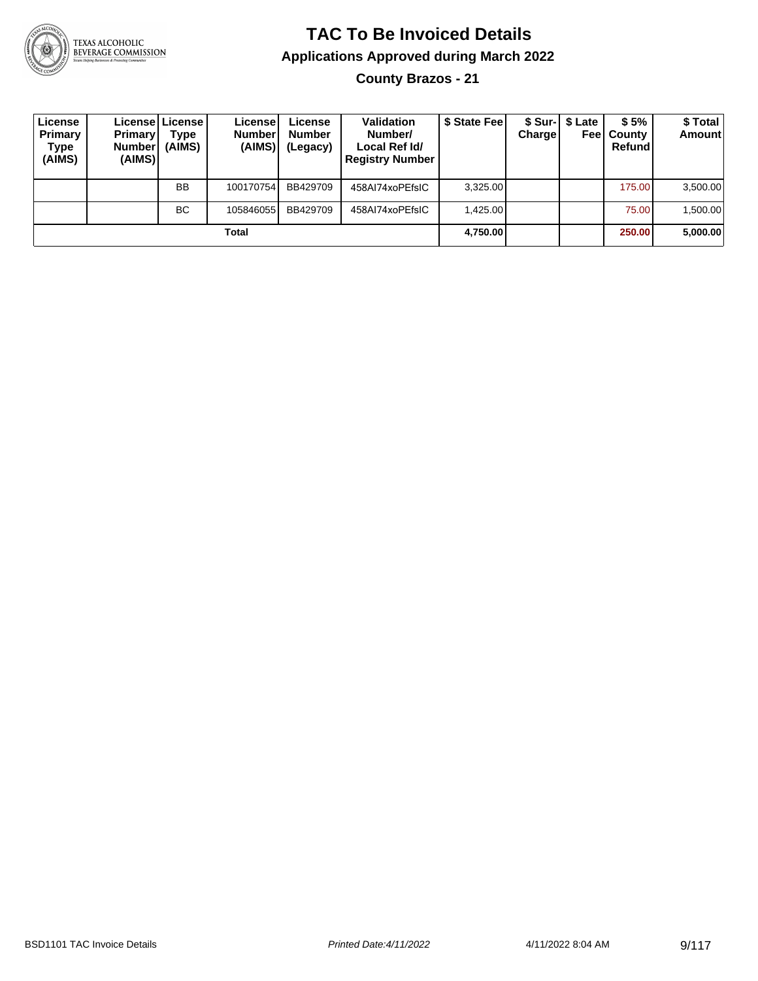

**County Brazos - 21**

| License<br>Primary<br>Type<br>(AIMS) | <b>Primary</b><br><b>Number</b><br>(AIMS) | License   License  <br>Type<br>(AIMS) | License<br><b>Number</b><br>(AIMS) | License<br><b>Number</b><br>(Legacy) | <b>Validation</b><br>Number/<br>Local Ref Id/<br><b>Registry Number</b> | \$ State Fee | Charge | \$ Sur-  \$ Late | \$5%<br><b>Feel County</b><br>Refund | \$ Total<br><b>Amount</b> |
|--------------------------------------|-------------------------------------------|---------------------------------------|------------------------------------|--------------------------------------|-------------------------------------------------------------------------|--------------|--------|------------------|--------------------------------------|---------------------------|
|                                      |                                           | <b>BB</b>                             | 100170754                          | BB429709                             | 458AI74xoPEfsIC                                                         | 3.325.00     |        |                  | 175.00                               | 3,500.00                  |
|                                      |                                           | <b>BC</b>                             | 105846055                          | BB429709                             | 458AI74xoPEfsIC                                                         | 1.425.00     |        |                  | 75.00                                | 1,500.00                  |
|                                      |                                           |                                       | Total                              |                                      |                                                                         | 4,750.00     |        |                  | 250.00                               | 5,000.00                  |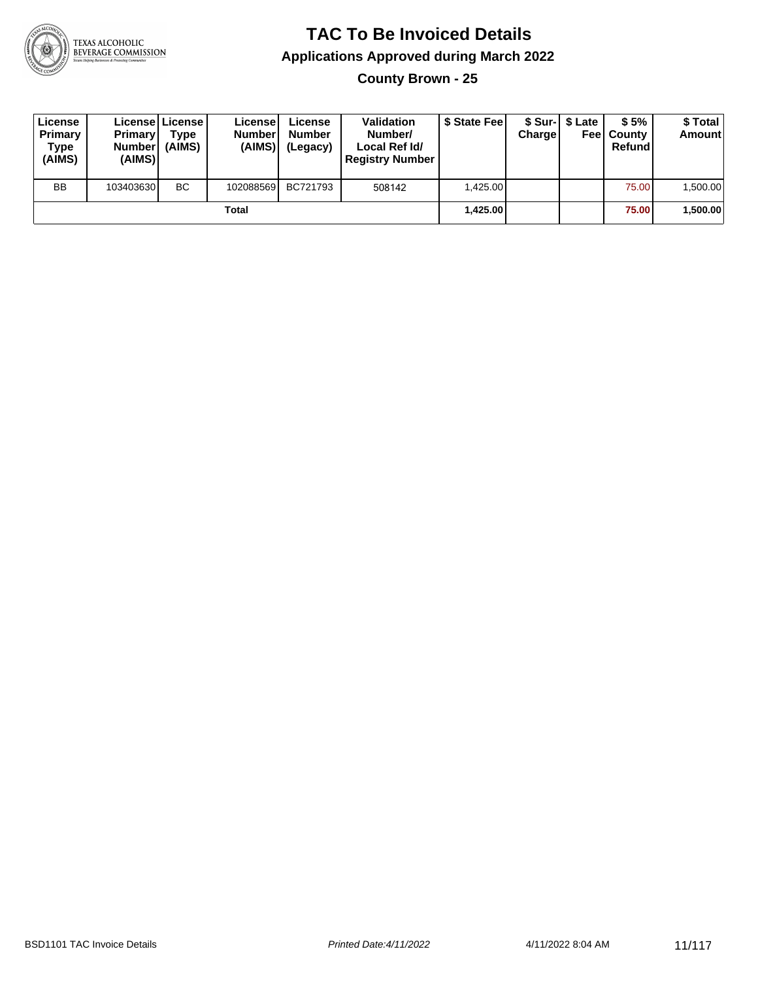

**County Brown - 25**

| License<br>Primary<br>Type<br>(AIMS) | <b>Primary</b><br><b>Number</b><br>(AIMS) | <b>Licensel License I</b><br><b>Type</b><br>(AIMS) | Licensel<br><b>Number</b><br>(AIMS) | License<br><b>Number</b><br>(Legacy) | <b>Validation</b><br>Number/<br>Local Ref Id/<br><b>Registry Number</b> | \$ State Feel | Charge | \$ Sur-1 \$ Late | \$5%<br><b>Feel County</b><br>Refund | \$ Total<br><b>Amount</b> |
|--------------------------------------|-------------------------------------------|----------------------------------------------------|-------------------------------------|--------------------------------------|-------------------------------------------------------------------------|---------------|--------|------------------|--------------------------------------|---------------------------|
| <b>BB</b>                            | 103403630                                 | <b>BC</b>                                          | 102088569                           | BC721793                             | 508142                                                                  | 1,425.00      |        |                  | 75.00                                | 1,500.00                  |
|                                      |                                           |                                                    | Total                               |                                      |                                                                         | 1,425.00      |        |                  | 75.00                                | 1,500.00                  |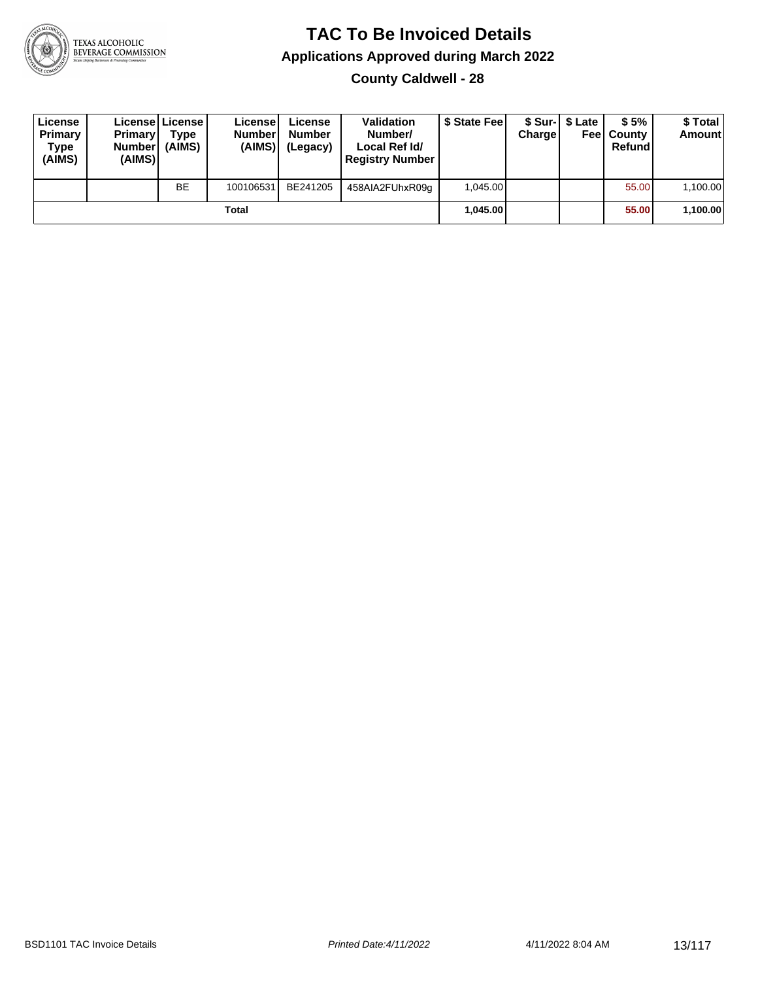

**County Caldwell - 28**

| License<br>Primary<br>Type<br>(AIMS) | <b>Primary</b><br><b>Number</b><br>(AIMS) | License   License  <br>Type<br>(AIMS) | License<br><b>Number</b><br>(AIMS) | License<br><b>Number</b><br>(Legacy) | <b>Validation</b><br>Number/<br>Local Ref Id/<br><b>Registry Number</b> | \$ State Feel | Charge | \$ Sur-1 \$ Late | \$5%<br><b>Feel County</b><br>Refund | \$ Total<br>Amount |
|--------------------------------------|-------------------------------------------|---------------------------------------|------------------------------------|--------------------------------------|-------------------------------------------------------------------------|---------------|--------|------------------|--------------------------------------|--------------------|
|                                      |                                           | <b>BE</b>                             | 100106531                          | BE241205                             | 458AIA2FUhxR09g                                                         | 1.045.00      |        |                  | 55.00                                | 1,100.00           |
|                                      |                                           |                                       | Total                              |                                      |                                                                         | 1.045.00      |        |                  | 55.00                                | 1,100.00           |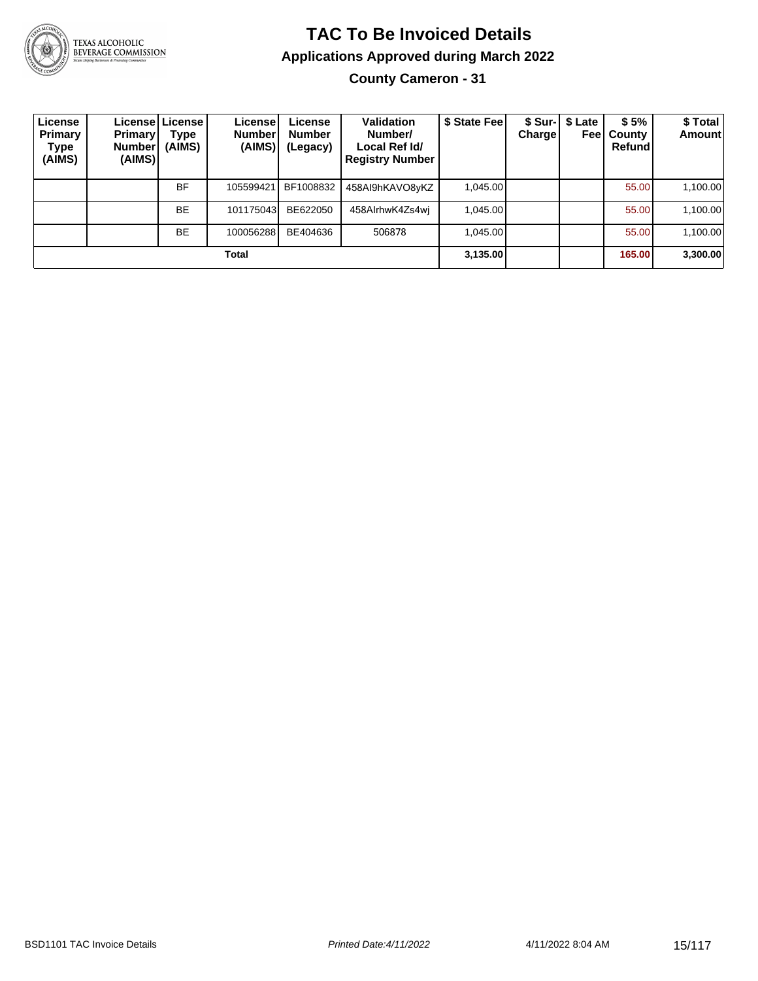

### **TAC To Be Invoiced Details Applications Approved during March 2022 County Cameron - 31**

| License<br>Primary<br>Type<br>(AIMS) | <b>Primary</b><br><b>Number</b><br>(AIMS) | Licensel License I<br>Type<br>(AIMS) | License!<br><b>Number</b><br>(AIMS) | License<br><b>Number</b><br>(Legacy) | Validation<br>Number/<br>Local Ref Id/<br><b>Registry Number</b> | \$ State Fee | <b>Charge</b> | \$ Sur-1 \$ Late<br>Feel | \$5%<br><b>County</b><br>Refundl | \$ Total<br>Amount |
|--------------------------------------|-------------------------------------------|--------------------------------------|-------------------------------------|--------------------------------------|------------------------------------------------------------------|--------------|---------------|--------------------------|----------------------------------|--------------------|
|                                      |                                           | <b>BF</b>                            | 105599421                           | BF1008832                            | 458AI9hKAVO8yKZ                                                  | 1.045.00     |               |                          | 55.00                            | 1,100.00           |
|                                      |                                           | <b>BE</b>                            | 101175043                           | BE622050                             | 458AIrhwK4Zs4wi                                                  | 1.045.00     |               |                          | 55.00                            | 1,100.00           |
|                                      |                                           | <b>BE</b>                            | 100056288                           | BE404636                             | 506878                                                           | 1.045.00     |               |                          | 55.00                            | 1,100.00           |
|                                      |                                           |                                      | Total                               |                                      |                                                                  | 3,135.00     |               |                          | 165.00                           | 3,300.00           |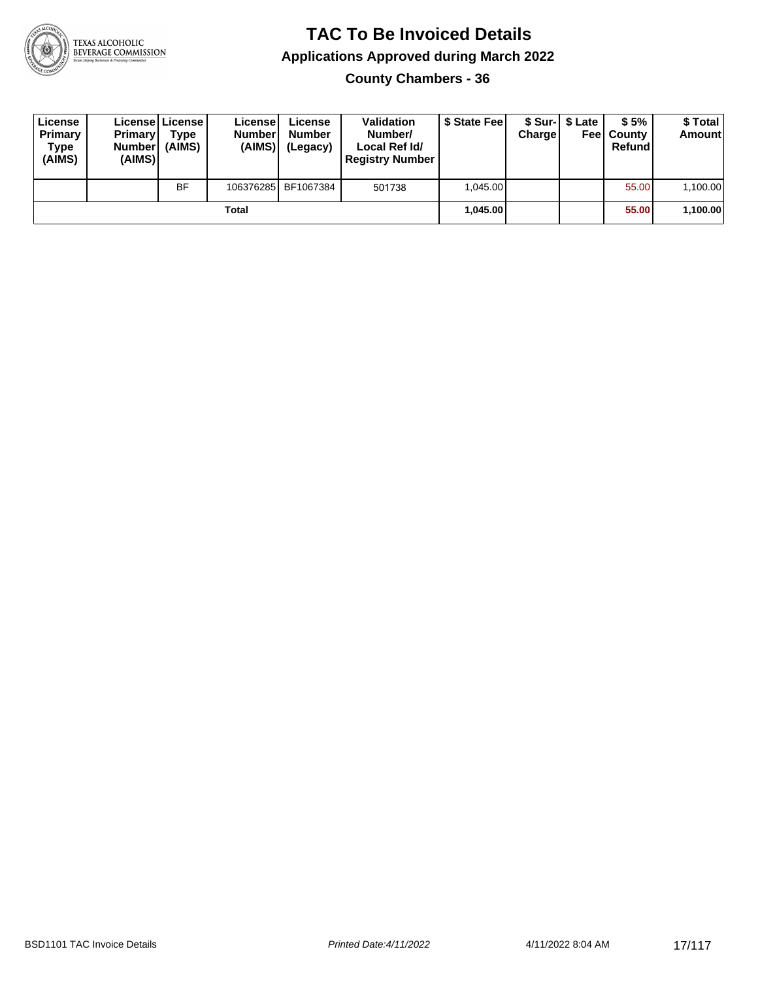

**County Chambers - 36**

| License<br>Primary<br>Type<br>(AIMS) | <b>Primary</b><br>Number<br>(AIMS) | License   License  <br>Type<br>(AIMS) | Licensel<br><b>Number</b><br>(AIMS) | License<br><b>Number</b><br>(Legacy) | <b>Validation</b><br>Number/<br>Local Ref Id/<br><b>Registry Number</b> | \$ State Feel | Charge | \$ Sur-1 \$ Late | \$5%<br><b>Feel County</b><br>Refund | \$ Total<br><b>Amount</b> |
|--------------------------------------|------------------------------------|---------------------------------------|-------------------------------------|--------------------------------------|-------------------------------------------------------------------------|---------------|--------|------------------|--------------------------------------|---------------------------|
|                                      |                                    | <b>BF</b>                             |                                     | 106376285 BF1067384                  | 501738                                                                  | 1.045.00      |        |                  | 55.00                                | 1,100.00                  |
|                                      |                                    |                                       | Total                               |                                      |                                                                         | 1.045.00      |        |                  | 55.00                                | 1,100.00                  |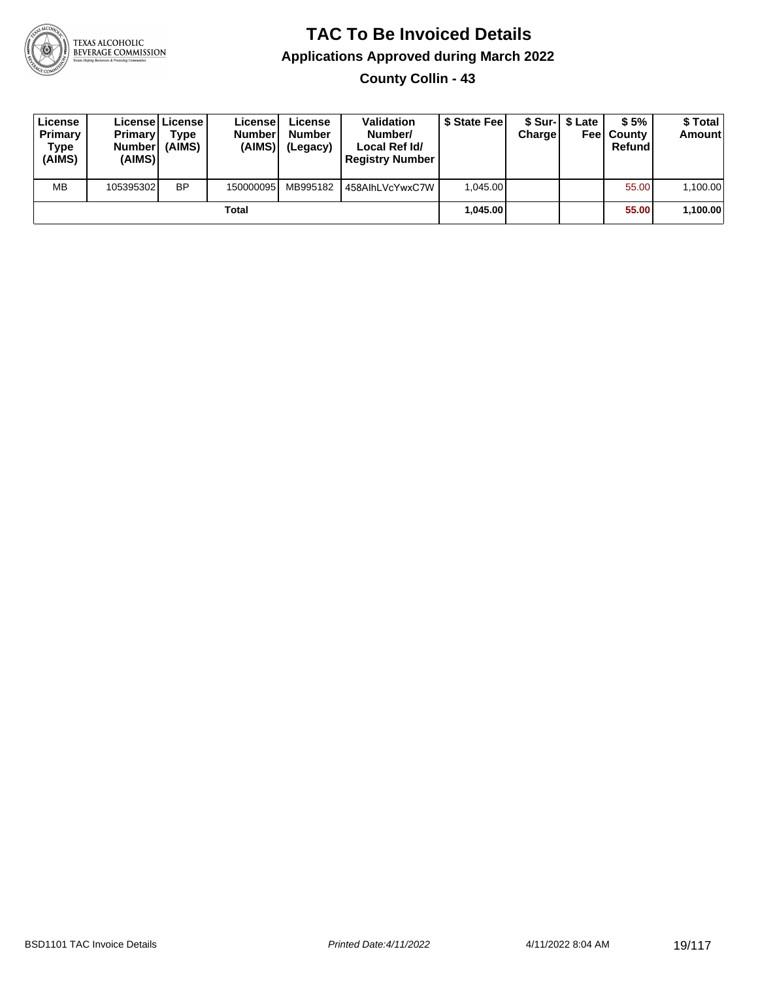

**County Collin - 43**

| License<br>Primary<br>Type<br>(AIMS) | <b>Primary</b><br>Number<br>(AIMS) | License   License  <br>Type<br>(AIMS) | License<br><b>Number</b><br>(AIMS) | License<br><b>Number</b><br>(Legacy) | <b>Validation</b><br>Number/<br>Local Ref Id/<br><b>Registry Number</b> | \$ State Feel | Charge | \$ Sur-1 \$ Late | \$5%<br><b>Feel County</b><br>Refund | \$ Total<br><b>Amount</b> |
|--------------------------------------|------------------------------------|---------------------------------------|------------------------------------|--------------------------------------|-------------------------------------------------------------------------|---------------|--------|------------------|--------------------------------------|---------------------------|
| <b>MB</b>                            | 105395302                          | <b>BP</b>                             | 150000095                          | MB995182                             | 458AIhLVcYwxC7W                                                         | 1.045.00      |        |                  | 55.00                                | 1,100.00                  |
|                                      |                                    |                                       | Total                              |                                      |                                                                         | 1.045.00      |        |                  | 55.00                                | 1,100.00                  |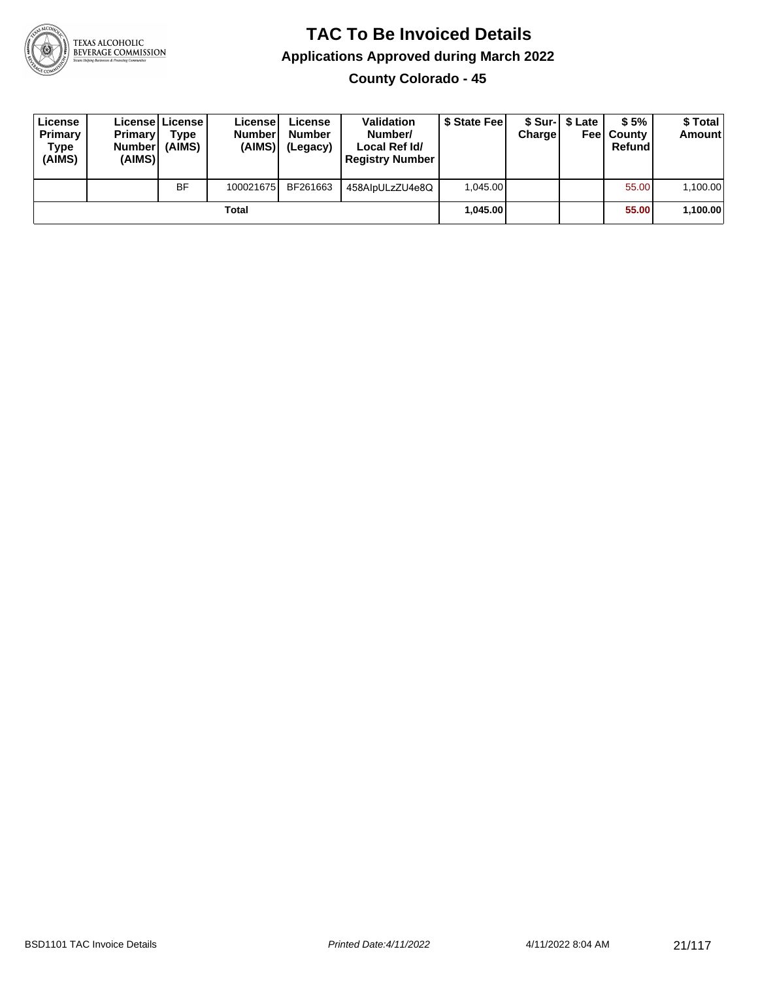

**County Colorado - 45**

| License<br>Primary<br>Type<br>(AIMS) | <b>Primary</b><br><b>Number</b><br>(AIMS) | <b>License   License</b><br>Type<br>(AIMS) | License<br><b>Number</b><br>(AIMS) | License<br><b>Number</b><br>(Legacy) | <b>Validation</b><br>Number/<br>Local Ref Id/<br><b>Registry Number</b> | \$ State Feel | Charge | \$ Sur-1 \$ Late | \$5%<br><b>Feel County</b><br>Refund | \$ Total<br><b>Amount</b> |
|--------------------------------------|-------------------------------------------|--------------------------------------------|------------------------------------|--------------------------------------|-------------------------------------------------------------------------|---------------|--------|------------------|--------------------------------------|---------------------------|
|                                      |                                           | <b>BF</b>                                  | 100021675                          | BF261663                             | 458AlpULzZU4e8Q                                                         | 1.045.00      |        |                  | 55.00                                | 1,100.00                  |
|                                      |                                           |                                            | Total                              |                                      |                                                                         | 1.045.00      |        |                  | 55.00                                | 1,100.00                  |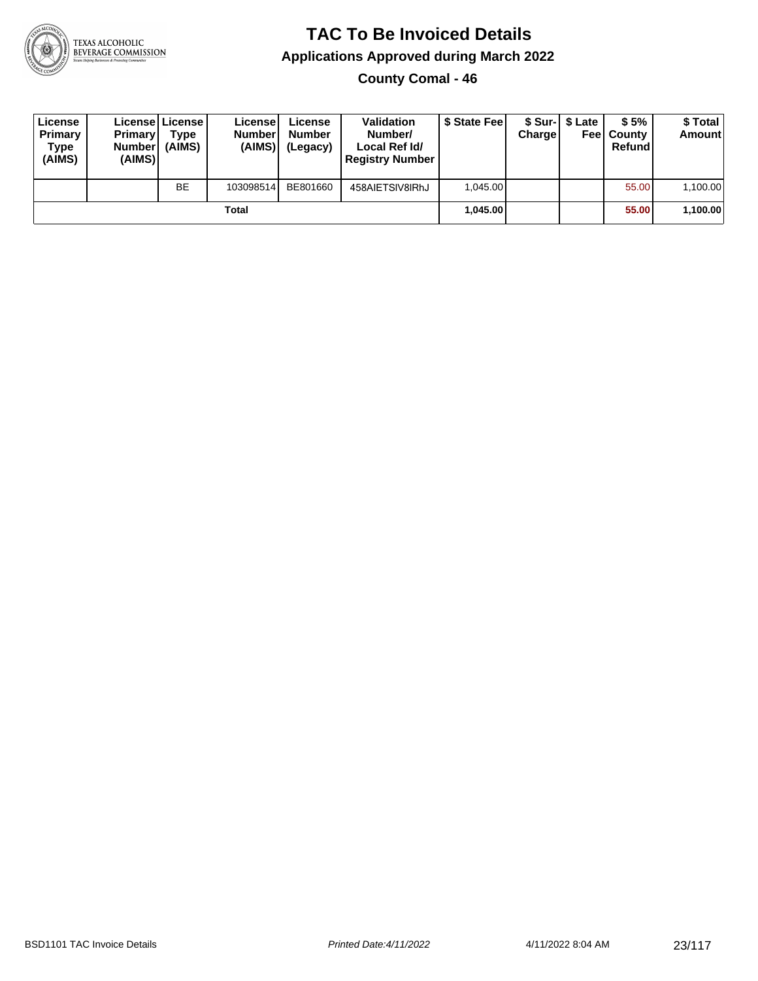

**County Comal - 46**

| License<br>Primary<br>Type<br>(AIMS) | <b>Primary</b><br>Number<br>(AIMS) | Licensel License I<br>Type<br>(AIMS) | License<br><b>Number</b><br>(AIMS) | License<br><b>Number</b><br>(Legacy) | <b>Validation</b><br>Number/<br>Local Ref Id/<br><b>Registry Number</b> | \$ State Feel | Charge | \$ Sur-1 \$ Late | \$5%<br><b>Feel County</b><br>Refund | \$ Total<br><b>Amount</b> |
|--------------------------------------|------------------------------------|--------------------------------------|------------------------------------|--------------------------------------|-------------------------------------------------------------------------|---------------|--------|------------------|--------------------------------------|---------------------------|
|                                      |                                    | <b>BE</b>                            | 103098514                          | BE801660                             | 458AIETSIV8IRhJ                                                         | 1.045.00      |        |                  | 55.00                                | 1,100.00                  |
|                                      |                                    |                                      | Total                              |                                      |                                                                         | 1.045.00      |        |                  | 55.00                                | 1,100.00                  |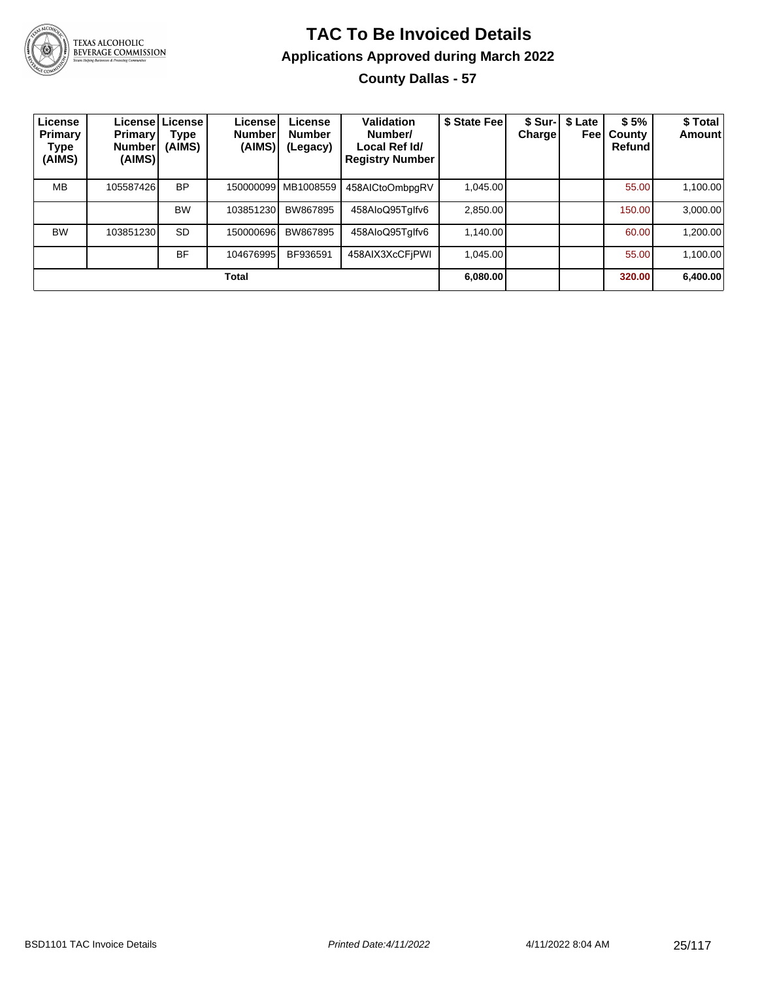

### **TAC To Be Invoiced Details Applications Approved during March 2022 County Dallas - 57**

| License<br>Primary<br>Type<br>(AIMS) | <b>Primary</b><br><b>Number</b><br>(AIMS) | License License<br>Type<br>(AIMS) | License'<br><b>Number</b><br>(AIMS) | License<br><b>Number</b><br>(Legacy) | <b>Validation</b><br>Number/<br>Local Ref Id/<br><b>Registry Number</b> | \$ State Fee | \$ Sur-I<br><b>Charge</b> | \$ Late<br>Feel | \$5%<br>County<br>Refund | \$ Total<br>Amount |
|--------------------------------------|-------------------------------------------|-----------------------------------|-------------------------------------|--------------------------------------|-------------------------------------------------------------------------|--------------|---------------------------|-----------------|--------------------------|--------------------|
| <b>MB</b>                            | 105587426                                 | <b>BP</b>                         |                                     | 150000099 MB1008559                  | 458AICtoOmbpgRV                                                         | 1.045.00     |                           |                 | 55.00                    | 1,100.00           |
|                                      |                                           | <b>BW</b>                         | 103851230                           | BW867895                             | 458AloQ95Tglfv6                                                         | 2.850.00     |                           |                 | 150.00                   | 3,000.00           |
| <b>BW</b>                            | 103851230                                 | <b>SD</b>                         | 150000696                           | BW867895                             | 458AloQ95Tglfv6                                                         | 1.140.00     |                           |                 | 60.00                    | 1,200.00           |
|                                      |                                           | <b>BF</b>                         | 104676995                           | BF936591                             | 458AIX3XcCFjPWI                                                         | 1.045.00     |                           |                 | 55.00                    | 1,100.00           |
| Total                                |                                           |                                   |                                     |                                      |                                                                         |              |                           |                 | 320.00                   | 6,400.00           |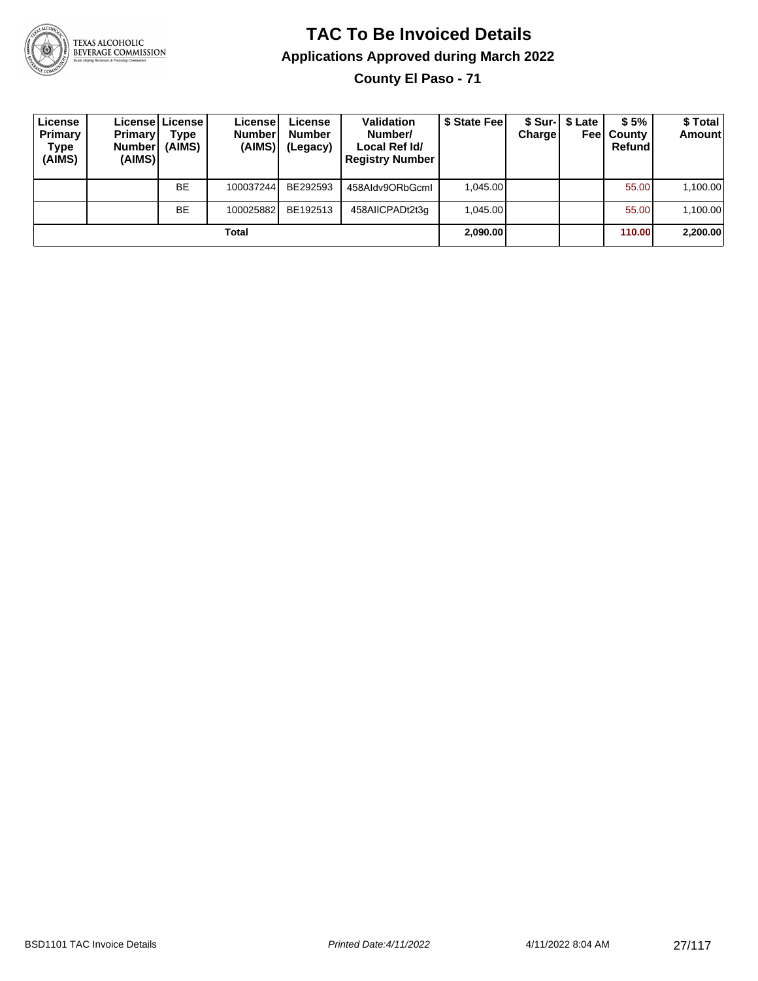

**County El Paso - 71**

| License<br>Primary<br>Type<br>(AIMS) | <b>Primary</b><br><b>Number</b><br>(AIMS) | License   License  <br>Type<br>(AIMS) | License<br><b>Number</b><br>(AIMS) | License<br><b>Number</b><br>(Legacy) | <b>Validation</b><br>Number/<br>Local Ref Id/<br><b>Registry Number</b> | \$ State Feel | Charge   | \$ Sur-1 \$ Late<br>Feel | \$5%<br>County<br>Refund | \$Total<br><b>Amount</b> |
|--------------------------------------|-------------------------------------------|---------------------------------------|------------------------------------|--------------------------------------|-------------------------------------------------------------------------|---------------|----------|--------------------------|--------------------------|--------------------------|
|                                      |                                           | <b>BE</b>                             | 100037244                          | BE292593                             | 458Aldv9ORbGcml                                                         | 1.045.00      |          |                          | 55.00                    | 1,100.00                 |
|                                      |                                           | <b>BE</b>                             | 100025882                          | BE192513                             | 458AIICPADt2t3g                                                         | 1.045.00      |          |                          | 55.00                    | 1,100.00                 |
| Total                                |                                           |                                       |                                    |                                      |                                                                         |               | 2,090.00 |                          | 110.00                   | 2,200.00                 |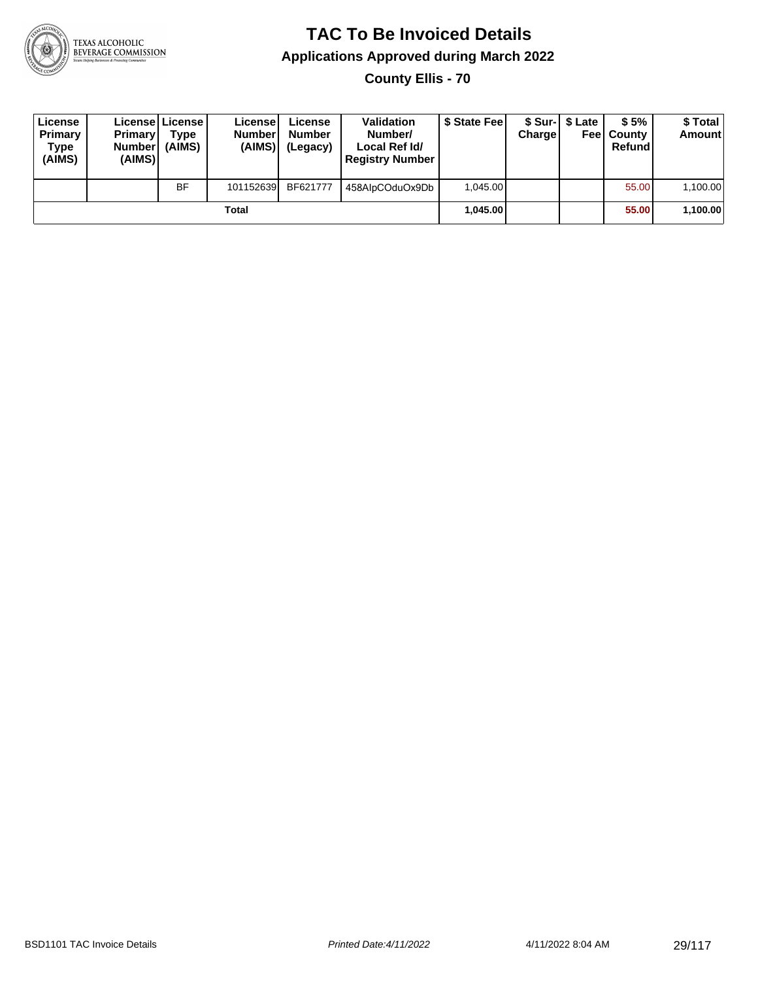

**County Ellis - 70**

| License<br>Primary<br>Type<br>(AIMS) | <b>Primary</b><br><b>Number</b><br>(AIMS) | License   License  <br>Type<br>(AIMS) | License<br><b>Number</b><br>(AIMS) | License<br><b>Number</b><br>(Legacy) | <b>Validation</b><br>Number/<br>Local Ref Id/<br><b>Registry Number</b> | \$ State Feel | Charge | \$ Sur-1 \$ Late | \$5%<br><b>Feel County</b><br>Refund | \$ Total<br><b>Amount</b> |
|--------------------------------------|-------------------------------------------|---------------------------------------|------------------------------------|--------------------------------------|-------------------------------------------------------------------------|---------------|--------|------------------|--------------------------------------|---------------------------|
|                                      |                                           | <b>BF</b>                             | 101152639                          | BF621777                             | 458AlpCOduOx9Db                                                         | 1.045.00      |        |                  | 55.00                                | 1,100.00                  |
| Total                                |                                           |                                       |                                    |                                      |                                                                         | 1.045.00      |        |                  | 55.00                                | 1,100.00                  |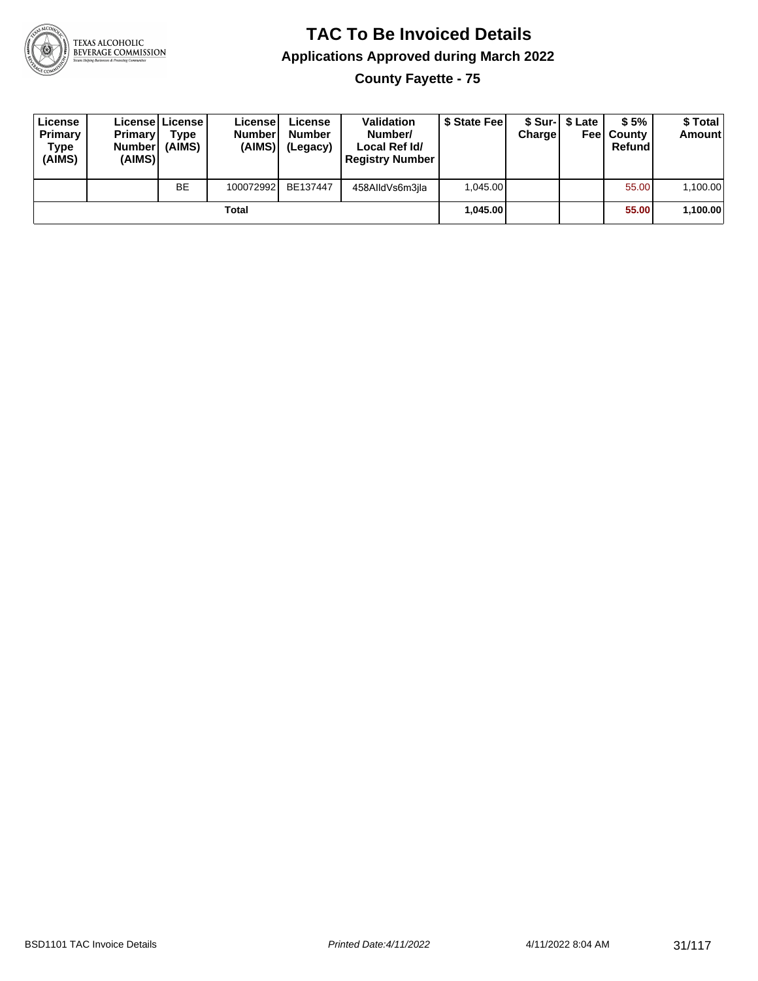

**County Fayette - 75**

| License<br>Primary<br>Type<br>(AIMS) | <b>Primary</b><br><b>Number</b><br>(AIMS) | License   License  <br>Type<br>(AIMS) | License<br><b>Number</b><br>(AIMS) | License<br><b>Number</b><br>(Legacy) | <b>Validation</b><br>Number/<br>Local Ref Id/<br><b>Registry Number</b> | \$ State Fee | Charge | \$ Sur-1 \$ Late | \$5%<br><b>Feel County</b><br>Refund | \$ Total<br><b>Amount</b> |
|--------------------------------------|-------------------------------------------|---------------------------------------|------------------------------------|--------------------------------------|-------------------------------------------------------------------------|--------------|--------|------------------|--------------------------------------|---------------------------|
|                                      |                                           | <b>BE</b>                             | 100072992                          | BE137447                             | 458AlldVs6m3ila                                                         | 1.045.00     |        |                  | 55.00                                | 1,100.00                  |
| Total                                |                                           |                                       |                                    |                                      |                                                                         | 1.045.00     |        |                  | 55.00                                | 1,100.00                  |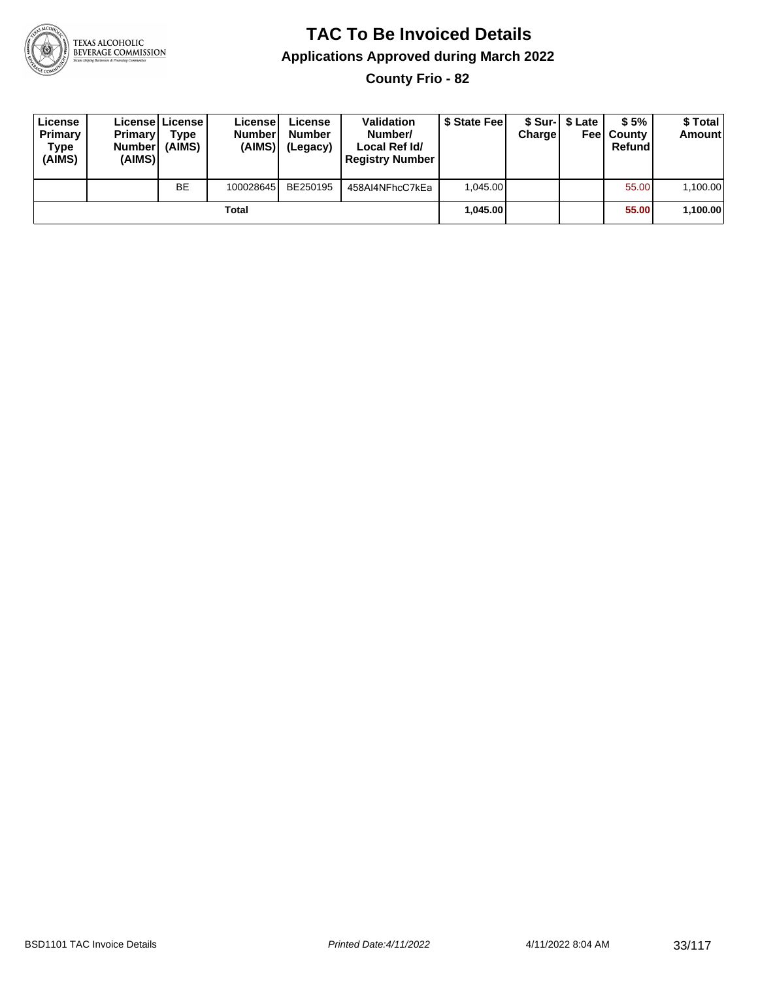

**County Frio - 82**

| License<br>Primary<br>Type<br>(AIMS) | <b>Primary</b><br><b>Number</b><br>(AIMS) | License   License  <br>Type<br>(AIMS) | License<br><b>Number</b><br>(AIMS) | License<br><b>Number</b><br>(Legacy) | <b>Validation</b><br>Number/<br>Local Ref Id/<br><b>Registry Number</b> | \$ State Feel | Charge | \$ Sur-1 \$ Late | \$5%<br><b>Feel County</b><br>Refund | \$ Total<br><b>Amount</b> |
|--------------------------------------|-------------------------------------------|---------------------------------------|------------------------------------|--------------------------------------|-------------------------------------------------------------------------|---------------|--------|------------------|--------------------------------------|---------------------------|
|                                      |                                           | BE                                    | 100028645                          | BE250195                             | 458AI4NFhcC7kEa                                                         | 1.045.00      |        |                  | 55.00                                | 1,100.00                  |
| Total                                |                                           |                                       |                                    |                                      |                                                                         | 1.045.00      |        |                  | 55.00                                | 1,100.00                  |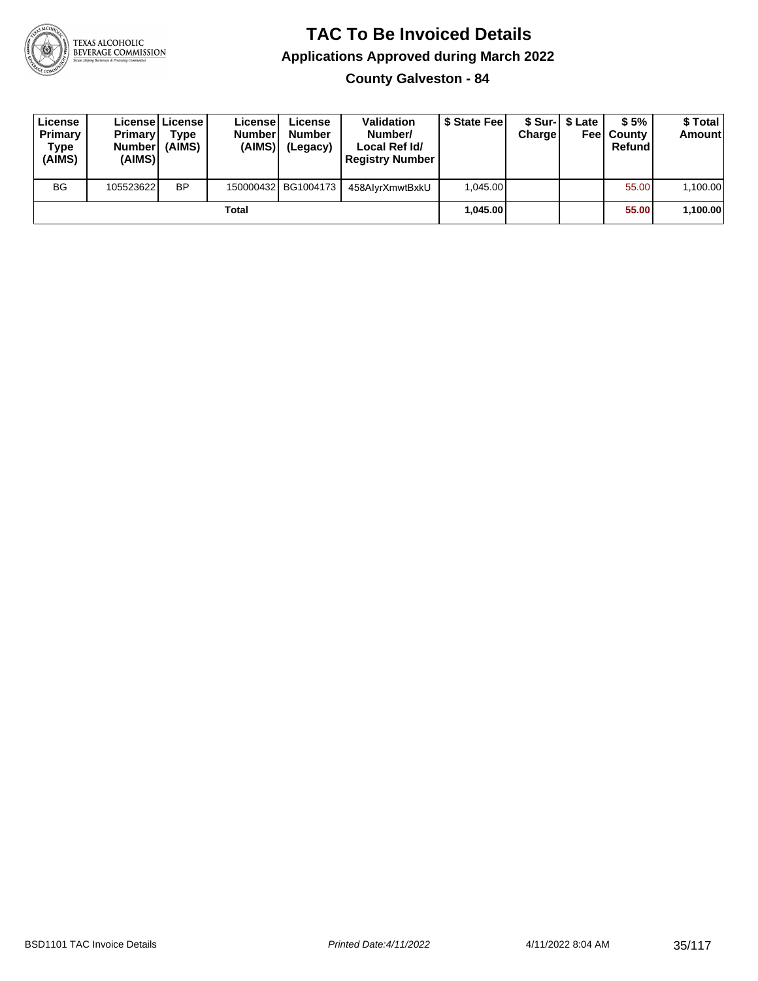

**County Galveston - 84**

| License<br>Primary<br>Type<br>(AIMS) | <b>Primary</b><br><b>Number</b><br>(AIMS) | <b>Licensel License I</b><br><b>Type</b><br>(AIMS) | Licensel<br><b>Number</b><br>(AIMS) | License<br><b>Number</b><br>(Legacy) | <b>Validation</b><br>Number/<br>Local Ref Id/<br><b>Registry Number</b> | \$ State Feel | Charge   | \$ Sur-1 \$ Late | \$5%<br><b>Feel County</b><br>Refund | \$ Total<br><b>Amount</b> |
|--------------------------------------|-------------------------------------------|----------------------------------------------------|-------------------------------------|--------------------------------------|-------------------------------------------------------------------------|---------------|----------|------------------|--------------------------------------|---------------------------|
| <b>BG</b>                            | 105523622                                 | <b>BP</b>                                          |                                     | 150000432 BG1004173                  | 458AlvrXmwtBxkU                                                         | 1.045.00      |          |                  | 55.00                                | 1,100.00                  |
| Total                                |                                           |                                                    |                                     |                                      |                                                                         |               | 1.045.00 |                  | 55.00                                | 1,100.00                  |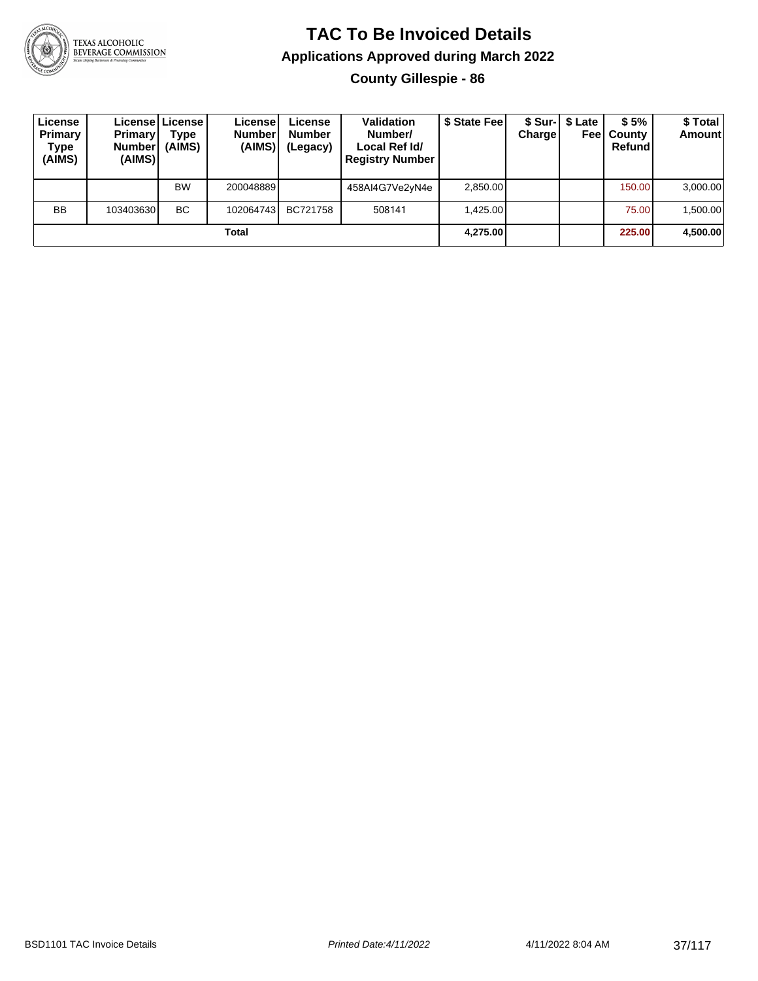

#### **TAC To Be Invoiced Details Applications Approved during March 2022 County Gillespie - 86**

| License<br>Primary<br><b>Type</b><br>(AIMS) | <b>Primary</b><br><b>Number</b><br>(AIMS) | License License<br>Type<br>(AIMS) | License<br><b>Number</b><br>(AIMS) | License<br><b>Number</b><br>(Legacy) | <b>Validation</b><br>Number/<br>Local Ref Id/<br><b>Registry Number</b> | \$ State Fee | <b>Charge</b> | \$ Sur-1 \$ Late<br>Feel | \$5%<br>County<br>Refund | \$ Total<br><b>Amount</b> |
|---------------------------------------------|-------------------------------------------|-----------------------------------|------------------------------------|--------------------------------------|-------------------------------------------------------------------------|--------------|---------------|--------------------------|--------------------------|---------------------------|
|                                             |                                           | <b>BW</b>                         | 200048889                          |                                      | 458AI4G7Ve2yN4e                                                         | 2,850.00     |               |                          | 150.00                   | 3,000.00                  |
| <b>BB</b>                                   | 103403630                                 | BC.                               | 102064743                          | BC721758                             | 508141                                                                  | 1.425.00     |               |                          | 75.00                    | 1.500.00                  |
|                                             |                                           |                                   | Total                              |                                      |                                                                         | 4,275.00     |               |                          | 225.00                   | 4,500.00                  |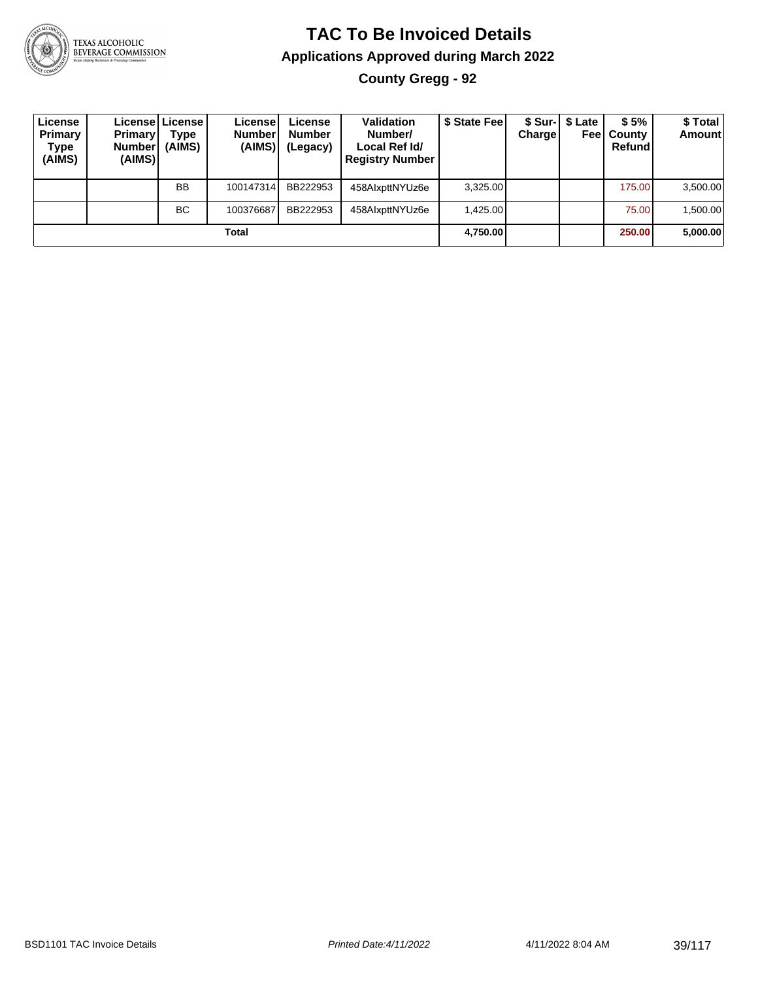

### **TAC To Be Invoiced Details Applications Approved during March 2022 County Gregg - 92**

| License<br>Primary<br>Type<br>(AIMS) | <b>Primary</b><br>Number<br>(AIMS) | License   License  <br>Type<br>(AIMS) | License<br><b>Number</b><br>(AIMS) | License<br><b>Number</b><br>(Legacy) | <b>Validation</b><br>Number/<br>Local Ref Id/<br><b>Registry Number</b> | \$ State Fee | Chargel | \$ Sur-   \$ Late<br>Feel | \$5%<br>County<br>Refund | \$ Total<br><b>Amount</b> |
|--------------------------------------|------------------------------------|---------------------------------------|------------------------------------|--------------------------------------|-------------------------------------------------------------------------|--------------|---------|---------------------------|--------------------------|---------------------------|
|                                      |                                    | <b>BB</b>                             | 100147314                          | BB222953                             | 458AlxpttNYUz6e                                                         | 3,325.00     |         |                           | 175.00                   | 3,500.00                  |
|                                      |                                    | ВC                                    | 100376687                          | BB222953                             | 458AlxpttNYUz6e                                                         | 1.425.00     |         |                           | 75.00                    | 1,500.00                  |
|                                      |                                    |                                       | Total                              |                                      |                                                                         | 4,750.00     |         |                           | 250.00                   | 5,000.00                  |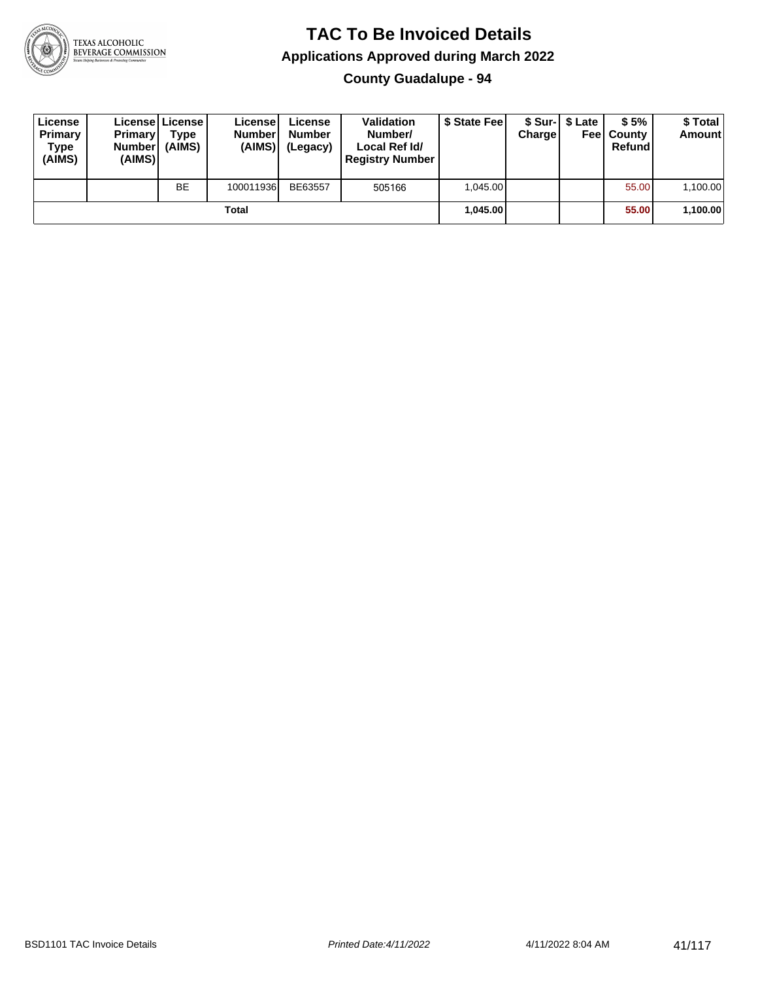

**County Guadalupe - 94**

| License<br>Primary<br>Type<br>(AIMS) | <b>Primary</b><br><b>Number</b><br>(AIMS) | License   License  <br>Type<br>(AIMS) | License!<br><b>Number</b><br>(AIMS) | License<br><b>Number</b><br>(Legacy) | <b>Validation</b><br>Number/<br>Local Ref Id/<br><b>Registry Number</b> | \$ State Feel | Charge | \$ Sur-1 \$ Late | \$5%<br><b>Feel County</b><br>Refund | \$ Total<br><b>Amount</b> |
|--------------------------------------|-------------------------------------------|---------------------------------------|-------------------------------------|--------------------------------------|-------------------------------------------------------------------------|---------------|--------|------------------|--------------------------------------|---------------------------|
|                                      |                                           | <b>BE</b>                             | 100011936                           | BE63557                              | 505166                                                                  | 1.045.00      |        |                  | 55.00                                | 1,100.00                  |
|                                      |                                           |                                       | Total                               |                                      |                                                                         | 1.045.00      |        |                  | 55.00                                | 1,100.00                  |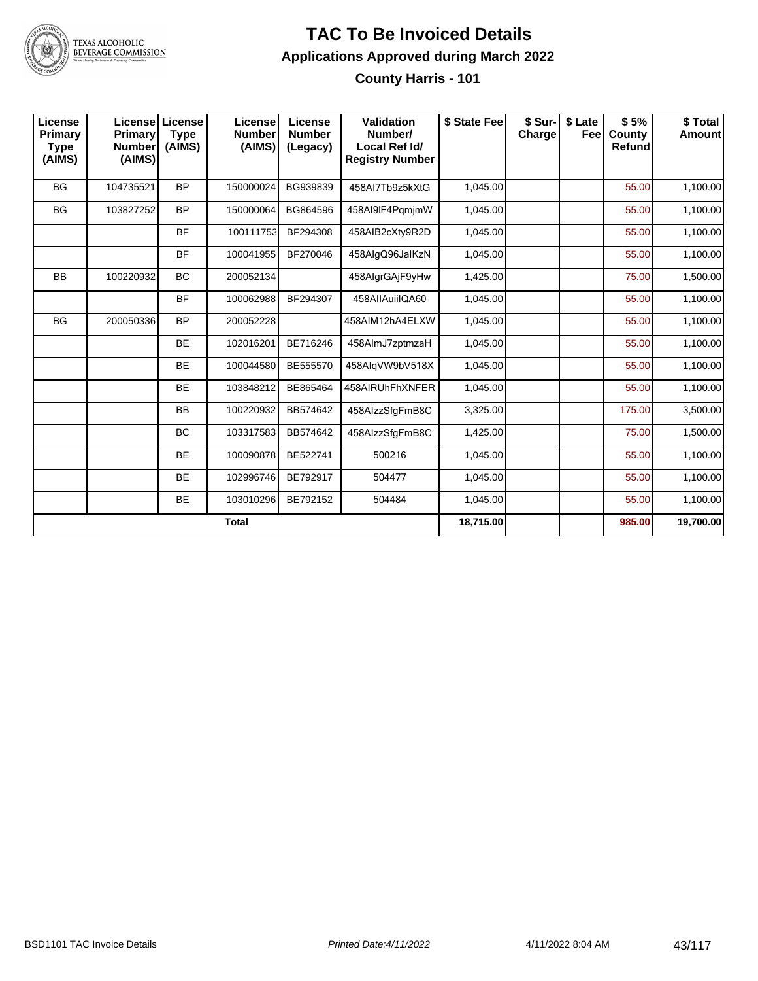

#### **TAC To Be Invoiced Details Applications Approved during March 2022 County Harris - 101**

| License<br><b>Primary</b><br><b>Type</b><br>(AIMS) | <b>License</b><br>Primary<br><b>Number</b><br>(AIMS) | License<br><b>Type</b><br>(AIMS) | License<br><b>Number</b><br>(AIMS) | License<br><b>Number</b><br>(Legacy) | Validation<br>Number/<br>Local Ref Id/<br><b>Registry Number</b> | \$ State Fee | \$ Sur-<br>Charge | \$ Late<br>Feel | \$5%<br>County<br>Refund | \$Total<br><b>Amount</b> |
|----------------------------------------------------|------------------------------------------------------|----------------------------------|------------------------------------|--------------------------------------|------------------------------------------------------------------|--------------|-------------------|-----------------|--------------------------|--------------------------|
| <b>BG</b>                                          | 104735521                                            | <b>BP</b>                        | 150000024                          | BG939839                             | 458AI7Tb9z5kXtG                                                  | 1,045.00     |                   |                 | 55.00                    | 1,100.00                 |
| BG                                                 | 103827252                                            | <b>BP</b>                        | 150000064                          | BG864596                             | 458AI9IF4PgmjmW                                                  | 1,045.00     |                   |                 | 55.00                    | 1,100.00                 |
|                                                    |                                                      | <b>BF</b>                        | 100111753                          | BF294308                             | 458AIB2cXty9R2D                                                  | 1,045.00     |                   |                 | 55.00                    | 1,100.00                 |
|                                                    |                                                      | <b>BF</b>                        | 100041955                          | BF270046                             | 458AlgQ96JalKzN                                                  | 1,045.00     |                   |                 | 55.00                    | 1,100.00                 |
| <b>BB</b>                                          | 100220932                                            | <b>BC</b>                        | 200052134                          |                                      | 458AlgrGAjF9yHw                                                  | 1,425.00     |                   |                 | 75.00                    | 1,500.00                 |
|                                                    |                                                      | <b>BF</b>                        | 100062988                          | BF294307                             | 458AIIAuiiIQA60                                                  | 1,045.00     |                   |                 | 55.00                    | 1,100.00                 |
| <b>BG</b>                                          | 200050336                                            | <b>BP</b>                        | 200052228                          |                                      | 458AIM12hA4ELXW                                                  | 1.045.00     |                   |                 | 55.00                    | 1,100.00                 |
|                                                    |                                                      | <b>BE</b>                        | 102016201                          | BE716246                             | 458AlmJ7zptmzaH                                                  | 1,045.00     |                   |                 | 55.00                    | 1,100.00                 |
|                                                    |                                                      | <b>BE</b>                        | 100044580                          | BE555570                             | 458AlgVW9bV518X                                                  | 1,045.00     |                   |                 | 55.00                    | 1,100.00                 |
|                                                    |                                                      | <b>BE</b>                        | 103848212                          | BE865464                             | 458AIRUhFhXNFER                                                  | 1,045.00     |                   |                 | 55.00                    | 1,100.00                 |
|                                                    |                                                      | BB                               | 100220932                          | BB574642                             | 458AlzzSfgFmB8C                                                  | 3,325.00     |                   |                 | 175.00                   | 3,500.00                 |
|                                                    |                                                      | <b>BC</b>                        | 103317583                          | BB574642                             | 458AlzzSfgFmB8C                                                  | 1,425.00     |                   |                 | 75.00                    | 1,500.00                 |
|                                                    |                                                      | <b>BE</b>                        | 100090878                          | BE522741                             | 500216                                                           | 1,045.00     |                   |                 | 55.00                    | 1,100.00                 |
|                                                    |                                                      | <b>BE</b>                        | 102996746                          | BE792917                             | 504477                                                           | 1,045.00     |                   |                 | 55.00                    | 1,100.00                 |
|                                                    |                                                      | <b>BE</b>                        | 103010296                          | BE792152                             | 504484                                                           | 1,045.00     |                   |                 | 55.00                    | 1,100.00                 |
|                                                    |                                                      |                                  | <b>Total</b>                       |                                      |                                                                  | 18,715.00    |                   |                 | 985.00                   | 19,700.00                |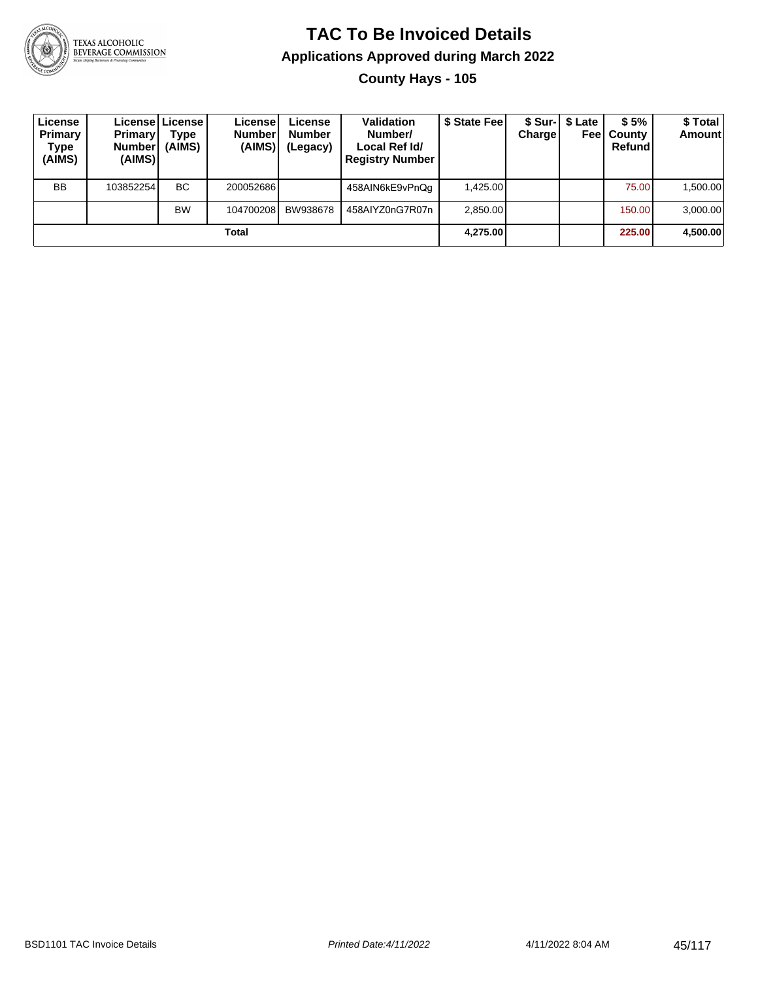

#### **TAC To Be Invoiced Details Applications Approved during March 2022 County Hays - 105**

| License<br>Primary<br>Type<br>(AIMS) | <b>Primary</b><br><b>Number</b><br>(AIMS) | License License<br>Type<br>(AIMS) | License<br><b>Number</b><br>(AIMS) | License<br><b>Number</b><br>(Legacy) | <b>Validation</b><br>Number/<br>Local Ref Id/<br><b>Registry Number</b> | \$ State Fee | Charge | \$ Sur-1 \$ Late<br>Feel | \$5%<br>County<br>Refund | \$ Total<br><b>Amount</b> |
|--------------------------------------|-------------------------------------------|-----------------------------------|------------------------------------|--------------------------------------|-------------------------------------------------------------------------|--------------|--------|--------------------------|--------------------------|---------------------------|
| <b>BB</b>                            | 103852254                                 | ВC                                | 200052686                          |                                      | 458AIN6kE9vPnQq                                                         | 1.425.00     |        |                          | 75.00                    | 1,500.00                  |
|                                      |                                           | <b>BW</b>                         | 104700208                          | BW938678                             | 458AIYZ0nG7R07n                                                         | 2.850.00     |        |                          | 150.00                   | 3,000.00                  |
|                                      |                                           |                                   | Total                              |                                      |                                                                         | 4,275.00     |        |                          | 225.00                   | 4,500.00                  |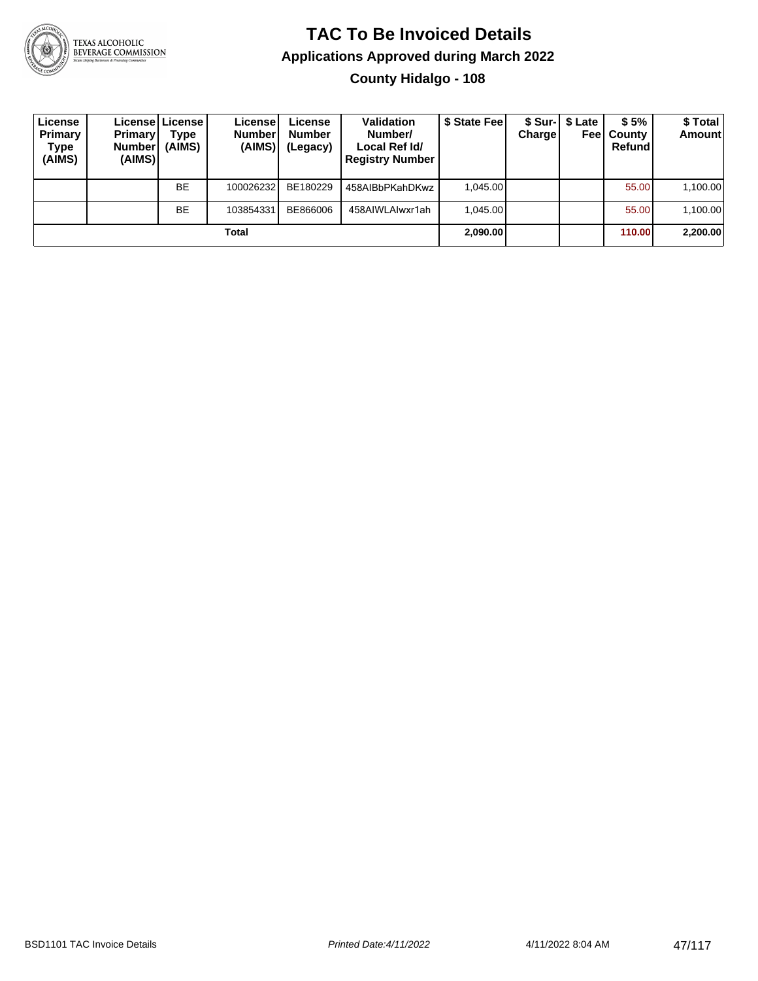

#### **TAC To Be Invoiced Details Applications Approved during March 2022 County Hidalgo - 108**

| License<br>Primary<br>Type<br>(AIMS) | <b>Primary</b><br><b>Number</b><br>(AIMS) | License License<br>Type<br>(AIMS) | License<br><b>Number</b><br>(AIMS) | License<br><b>Number</b><br>(Legacy) | <b>Validation</b><br>Number/<br>Local Ref Id/<br><b>Registry Number</b> | \$ State Feel | <b>Charge</b> | \$ Sur-1 \$ Late<br>Feel | \$5%<br>County<br>Refund | \$ Total<br><b>Amount</b> |
|--------------------------------------|-------------------------------------------|-----------------------------------|------------------------------------|--------------------------------------|-------------------------------------------------------------------------|---------------|---------------|--------------------------|--------------------------|---------------------------|
|                                      |                                           | <b>BE</b>                         | 100026232                          | BE180229                             | 458AIBbPKahDKwz                                                         | 1.045.00      |               |                          | 55.00                    | 1,100.00                  |
|                                      |                                           | <b>BE</b>                         | 103854331                          | BE866006                             | 458AIWLAIwxr1ah                                                         | 1.045.00      |               |                          | 55.00                    | 1,100.00                  |
|                                      |                                           |                                   | Total                              |                                      |                                                                         | 2,090.00      |               |                          | <b>110.001</b>           | 2,200.00                  |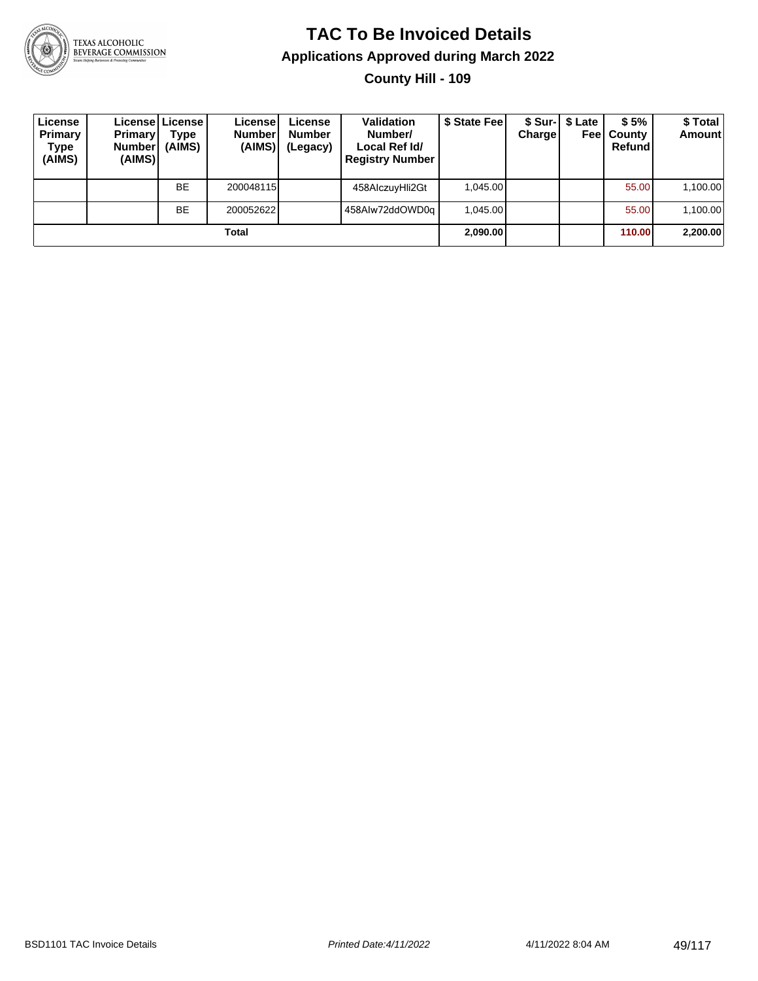

**County Hill - 109**

| License<br>Primary<br>Type<br>(AIMS) | <b>Primary</b><br><b>Number</b><br>(AIMS) | Licensel License I<br>Type<br>(AIMS) | License<br><b>Number</b><br>(AIMS) | License<br><b>Number</b><br>(Legacy) | <b>Validation</b><br>Number/<br>Local Ref Id/<br><b>Registry Number</b> | \$ State Feel | Charge | \$ Sur-1 \$ Late | \$5%<br><b>Feel County</b><br>Refund | \$ Total<br><b>Amount</b> |
|--------------------------------------|-------------------------------------------|--------------------------------------|------------------------------------|--------------------------------------|-------------------------------------------------------------------------|---------------|--------|------------------|--------------------------------------|---------------------------|
|                                      |                                           | <b>BE</b>                            | 200048115                          |                                      | 458AlczuyHli2Gt                                                         | 1.045.00      |        |                  | 55.00                                | 1,100.00                  |
|                                      |                                           | <b>BE</b>                            | 200052622                          |                                      | 458Alw72ddOWD0a                                                         | 1.045.00      |        |                  | 55.00                                | 1,100.00                  |
|                                      |                                           |                                      | Total                              |                                      |                                                                         | 2,090.00      |        |                  | 110.00                               | 2,200.00                  |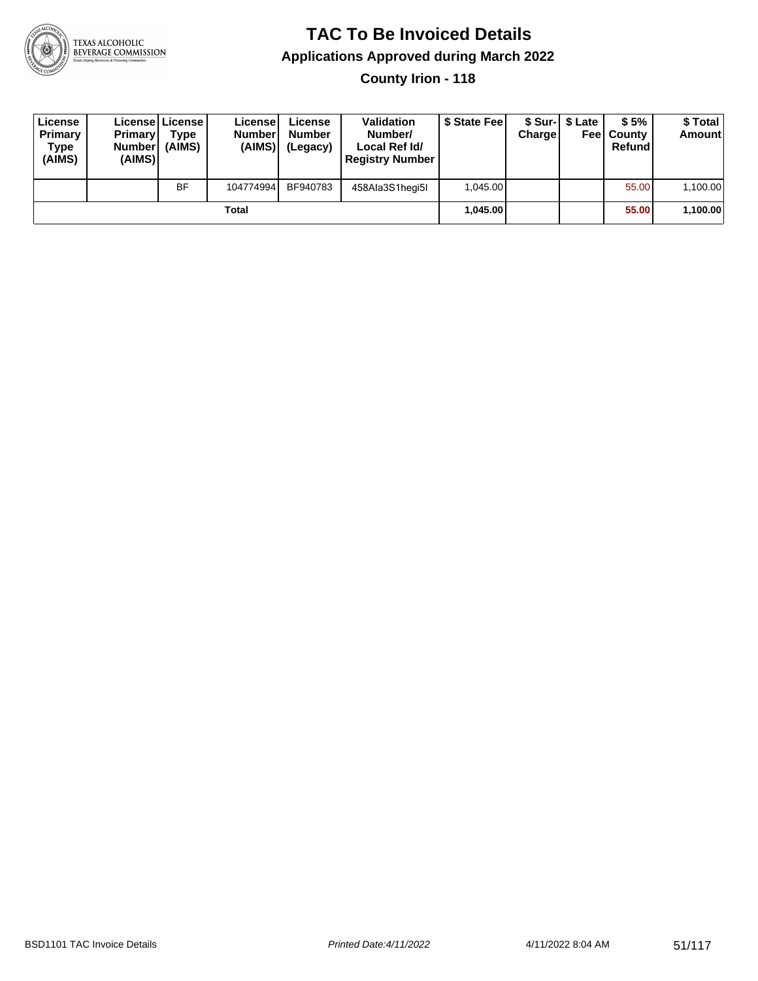

**County Irion - 118**

| License<br>Primary<br>Type<br>(AIMS) | <b>Primary</b><br><b>Number</b><br>(AIMS)I | <b>License   License</b><br>Type<br>(AIMS) | License<br><b>Number</b><br>(AIMS) | License<br><b>Number</b><br>(Legacy) | <b>Validation</b><br>Number/<br>Local Ref Id/<br><b>Registry Number</b> | \$ State Feel | Charge | \$ Sur-1 \$ Late | \$5%<br><b>Feel County</b><br>Refund | \$ Total<br><b>Amount</b> |
|--------------------------------------|--------------------------------------------|--------------------------------------------|------------------------------------|--------------------------------------|-------------------------------------------------------------------------|---------------|--------|------------------|--------------------------------------|---------------------------|
|                                      |                                            | <b>BF</b>                                  | 104774994                          | BF940783                             | 458Ala3S1hegi5I                                                         | 1.045.00      |        |                  | 55.00                                | 1,100.00                  |
|                                      |                                            |                                            | Total                              |                                      |                                                                         | 1.045.00      |        |                  | 55.00                                | 1,100.00                  |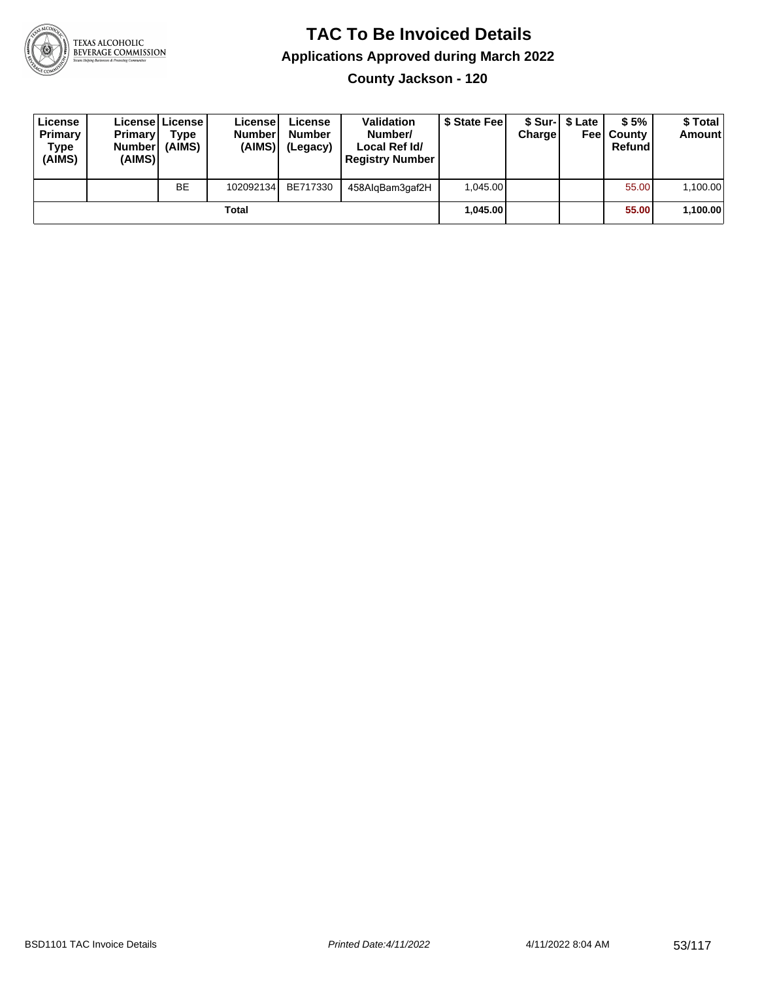

**County Jackson - 120**

| License<br>Primary<br>Type<br>(AIMS) | <b>Primary</b><br>Number<br>(AIMS) | License   License  <br>Type<br>(AIMS) | License<br><b>Number</b><br>(AIMS) | License<br><b>Number</b><br>(Legacy) | <b>Validation</b><br>Number/<br>Local Ref Id/<br><b>Registry Number</b> | \$ State Feel | Charge | \$ Sur-1 \$ Late | \$5%<br><b>Feel County</b><br>Refund | \$ Total<br><b>Amount</b> |
|--------------------------------------|------------------------------------|---------------------------------------|------------------------------------|--------------------------------------|-------------------------------------------------------------------------|---------------|--------|------------------|--------------------------------------|---------------------------|
|                                      |                                    | <b>BE</b>                             | 102092134                          | BE717330                             | 458AlgBam3gaf2H                                                         | 1,045.00      |        |                  | 55.00                                | 1,100.00                  |
|                                      |                                    |                                       | Total                              |                                      |                                                                         | 1.045.00      |        |                  | 55.00                                | 1,100.00                  |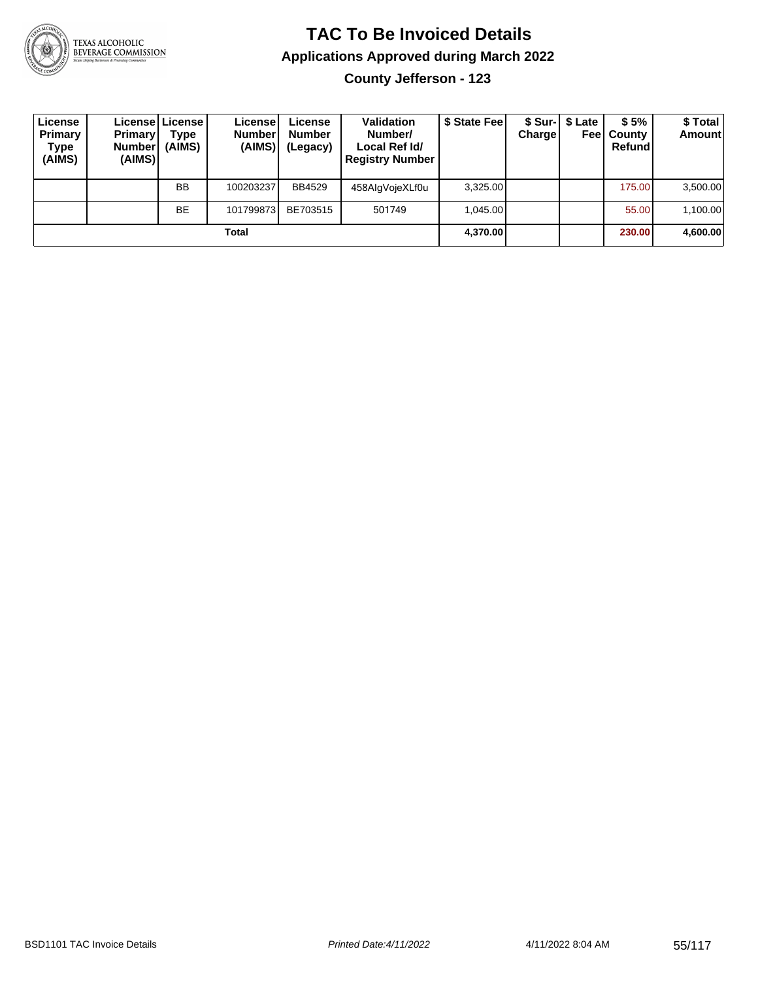

**County Jefferson - 123**

| License<br>Primary<br>Type<br>(AIMS) | <b>Primary</b><br><b>Number</b><br>(AIMS) | Licensel License I<br>Type<br>(AIMS) | License<br><b>Number</b><br>(AIMS) | License<br><b>Number</b><br>(Legacy) | <b>Validation</b><br>Number/<br>Local Ref Id/<br><b>Registry Number</b> | \$ State Feel | Charge | \$ Sur-   \$ Late<br>Feel | \$5%<br>County<br>Refund | \$Total<br><b>Amount</b> |
|--------------------------------------|-------------------------------------------|--------------------------------------|------------------------------------|--------------------------------------|-------------------------------------------------------------------------|---------------|--------|---------------------------|--------------------------|--------------------------|
|                                      |                                           | <b>BB</b>                            | 100203237                          | <b>BB4529</b>                        | 458AlgVojeXLf0u                                                         | 3.325.00      |        |                           | 175.00                   | 3,500.00                 |
|                                      |                                           | <b>BE</b>                            | 101799873                          | BE703515                             | 501749                                                                  | 1.045.00      |        |                           | 55.00                    | 1,100.00                 |
|                                      |                                           |                                      | Total                              |                                      |                                                                         | 4,370.00      |        |                           | 230.00                   | 4,600.00                 |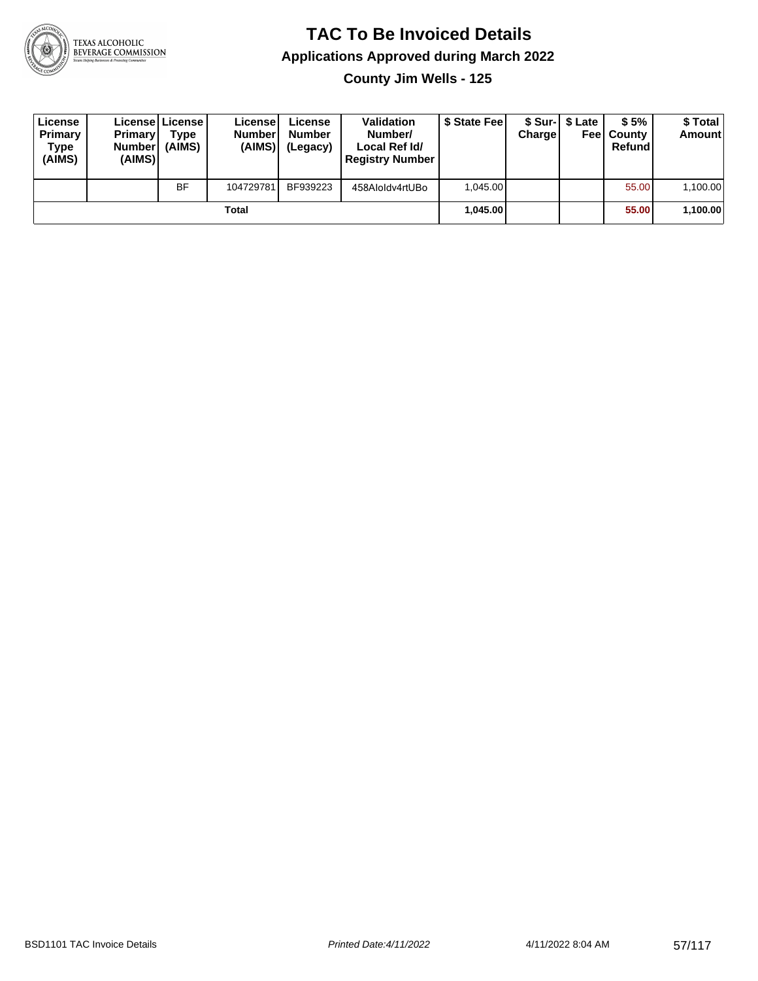

**County Jim Wells - 125**

| License<br>Primary<br>Type<br>(AIMS) | <b>Primary</b><br><b>Number</b><br>(AIMS) | <b>License   License</b><br>Type<br>(AIMS) | License<br><b>Number</b><br>(AIMS) | License<br><b>Number</b><br>(Legacy) | <b>Validation</b><br>Number/<br>Local Ref Id/<br><b>Registry Number</b> | \$ State Feel | Charge | \$ Sur-1 \$ Late | \$5%<br><b>Feel County</b><br>Refund | \$ Total<br><b>Amount</b> |
|--------------------------------------|-------------------------------------------|--------------------------------------------|------------------------------------|--------------------------------------|-------------------------------------------------------------------------|---------------|--------|------------------|--------------------------------------|---------------------------|
|                                      |                                           | <b>BF</b>                                  | 104729781                          | BF939223                             | 458Aloldv4rtUBo                                                         | 1.045.00      |        |                  | 55.00                                | 1,100.00                  |
|                                      |                                           |                                            | Total                              |                                      |                                                                         | 1.045.00      |        |                  | 55.00                                | 1,100.00                  |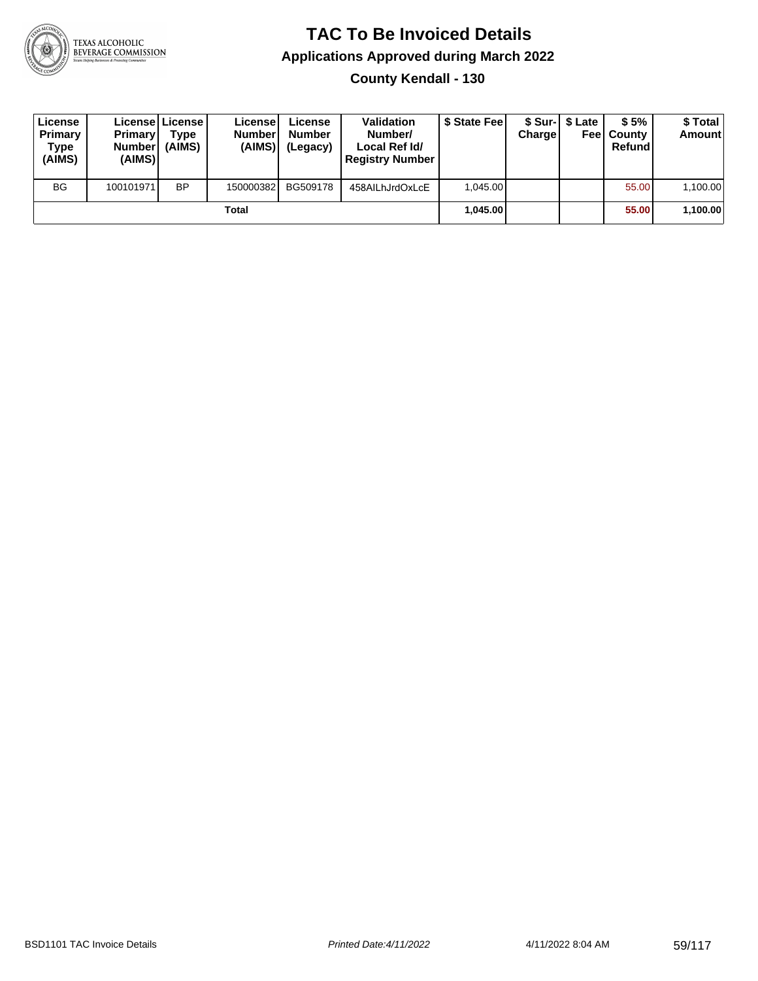

**County Kendall - 130**

| License<br>Primary<br>Type<br>(AIMS) | <b>Primary</b><br>Number <sup>1</sup><br>(AIMS) | Licensel License I<br><b>Type</b><br>(AIMS) | License<br><b>Number</b><br>(AIMS) | License<br><b>Number</b><br>(Legacy) | <b>Validation</b><br>Number/<br>Local Ref Id/<br><b>Registry Number</b> | \$ State Fee | Charge | \$ Sur-1 \$ Late | \$5%<br><b>Feel County</b><br>Refund | \$ Total<br><b>Amount</b> |
|--------------------------------------|-------------------------------------------------|---------------------------------------------|------------------------------------|--------------------------------------|-------------------------------------------------------------------------|--------------|--------|------------------|--------------------------------------|---------------------------|
| <b>BG</b>                            | 100101971                                       | <b>BP</b>                                   | 150000382                          | BG509178                             | 458AILhJrdOxLcE                                                         | 1.045.00     |        |                  | 55.00                                | 1,100.00                  |
|                                      |                                                 |                                             | Total                              |                                      |                                                                         | 1.045.00     |        |                  | 55.00                                | 1,100.00                  |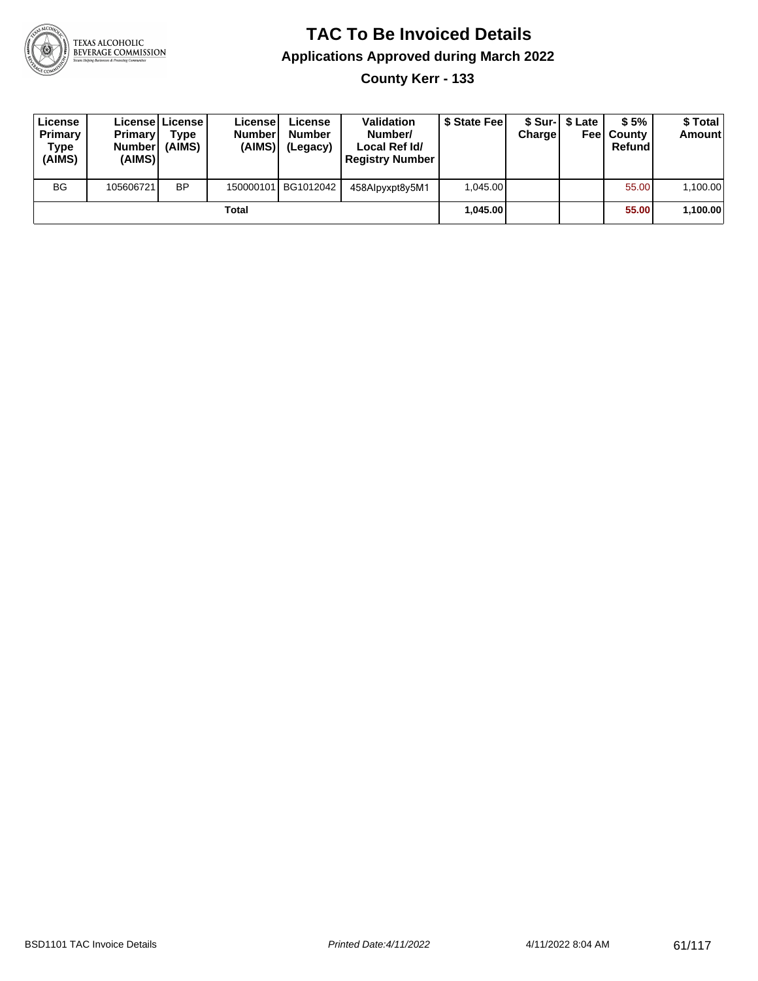

**County Kerr - 133**

| License<br>Primary<br>Type<br>(AIMS) | <b>Primary</b><br><b>Number</b><br>(AIMS) | <b>Licensel License I</b><br>Type<br>(AIMS) | License<br><b>Number</b><br>(AIMS) | License<br><b>Number</b><br>(Legacy) | <b>Validation</b><br>Number/<br>Local Ref Id/<br><b>Registry Number</b> | \$ State Feel | Charge   | \$ Sur-1 \$ Late | \$5%<br><b>Feel County</b><br>Refund | \$ Total<br><b>Amount</b> |
|--------------------------------------|-------------------------------------------|---------------------------------------------|------------------------------------|--------------------------------------|-------------------------------------------------------------------------|---------------|----------|------------------|--------------------------------------|---------------------------|
| <b>BG</b>                            | 105606721                                 | <b>BP</b>                                   |                                    | 150000101 BG1012042                  | 458Alpyxpt8y5M1                                                         | 1.045.00      |          |                  | 55.00                                | 1,100.00                  |
| Total                                |                                           |                                             |                                    |                                      |                                                                         |               | 1.045.00 |                  | 55.00                                | 1,100.00                  |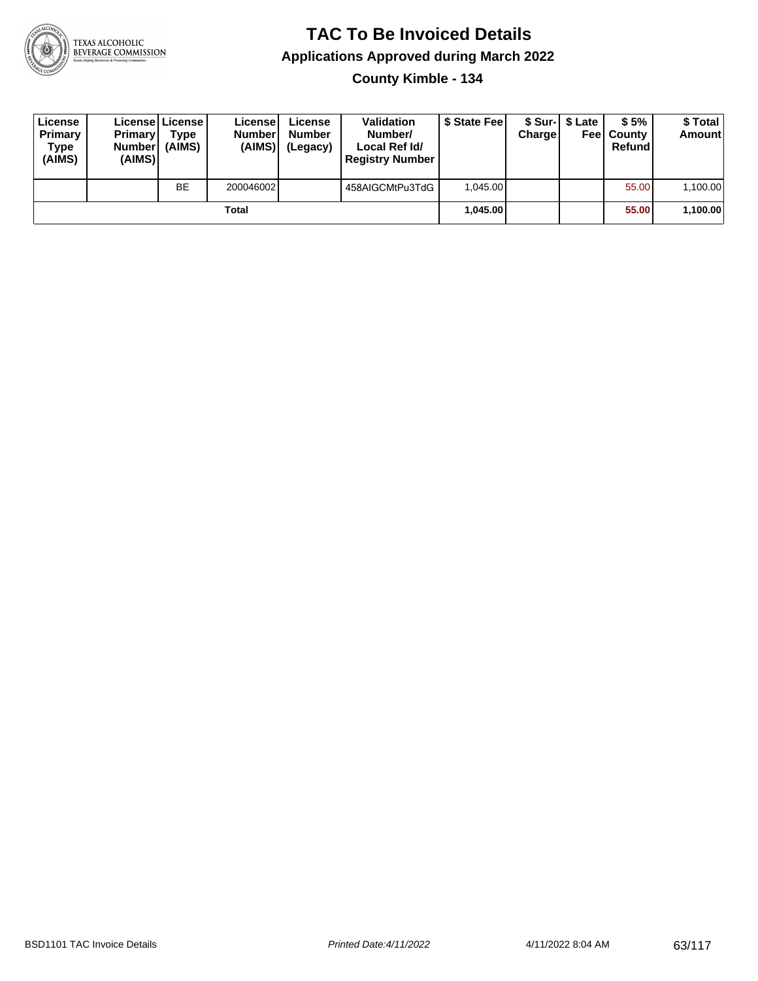

**County Kimble - 134**

| License<br>Primary<br>Type<br>(AIMS) | <b>Primary</b><br><b>Number</b><br>(AIMS) | <b>License   License</b><br>Type<br>(AIMS) | License<br><b>Number</b><br>(AIMS) | License<br><b>Number</b><br>(Legacy) | <b>Validation</b><br>Number/<br>Local Ref Id/<br><b>Registry Number</b> | \$ State Feel | Charge | \$ Sur-1 \$ Late | \$5%<br><b>Feel County</b><br>Refund | \$ Total<br><b>Amount</b> |
|--------------------------------------|-------------------------------------------|--------------------------------------------|------------------------------------|--------------------------------------|-------------------------------------------------------------------------|---------------|--------|------------------|--------------------------------------|---------------------------|
|                                      |                                           | <b>BE</b>                                  | 200046002                          |                                      | 458AIGCMtPu3TdG                                                         | 1.045.00      |        |                  | 55.00                                | 1,100.00                  |
| Total                                |                                           |                                            |                                    |                                      |                                                                         | 1.045.00      |        |                  | 55.00                                | 1,100.00                  |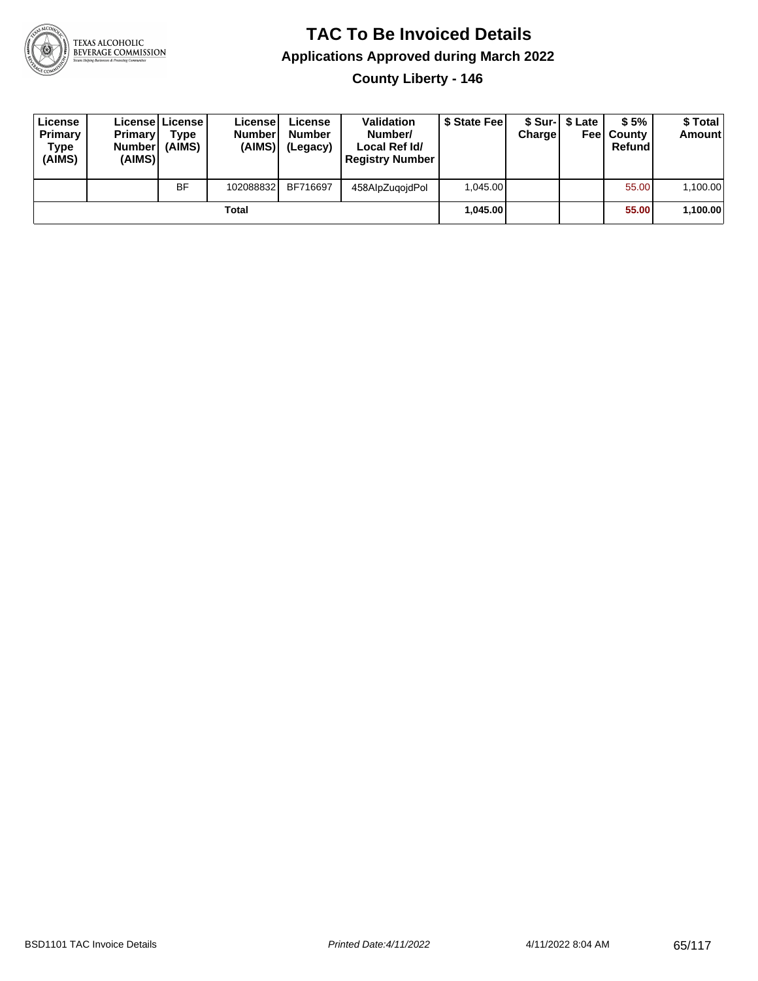

**County Liberty - 146**

| License<br>Primary<br>Type<br>(AIMS) | <b>Primary</b><br>Number<br>(AIMS) | License   License  <br>Type<br>(AIMS) | License<br><b>Number</b><br>(AIMS) | License<br><b>Number</b><br>(Legacy) | <b>Validation</b><br>Number/<br>Local Ref Id/<br><b>Registry Number</b> | \$ State Feel | Charge | \$ Sur-1 \$ Late | \$5%<br><b>Feel County</b><br>Refund | \$ Total<br><b>Amount</b> |
|--------------------------------------|------------------------------------|---------------------------------------|------------------------------------|--------------------------------------|-------------------------------------------------------------------------|---------------|--------|------------------|--------------------------------------|---------------------------|
|                                      |                                    | <b>BF</b>                             | 102088832                          | BF716697                             | 458AlpZugoidPol                                                         | 1,045.00      |        |                  | 55.00                                | 1,100.00                  |
| Total                                |                                    |                                       |                                    |                                      |                                                                         | 1.045.00      |        |                  | 55.00                                | 1,100.00                  |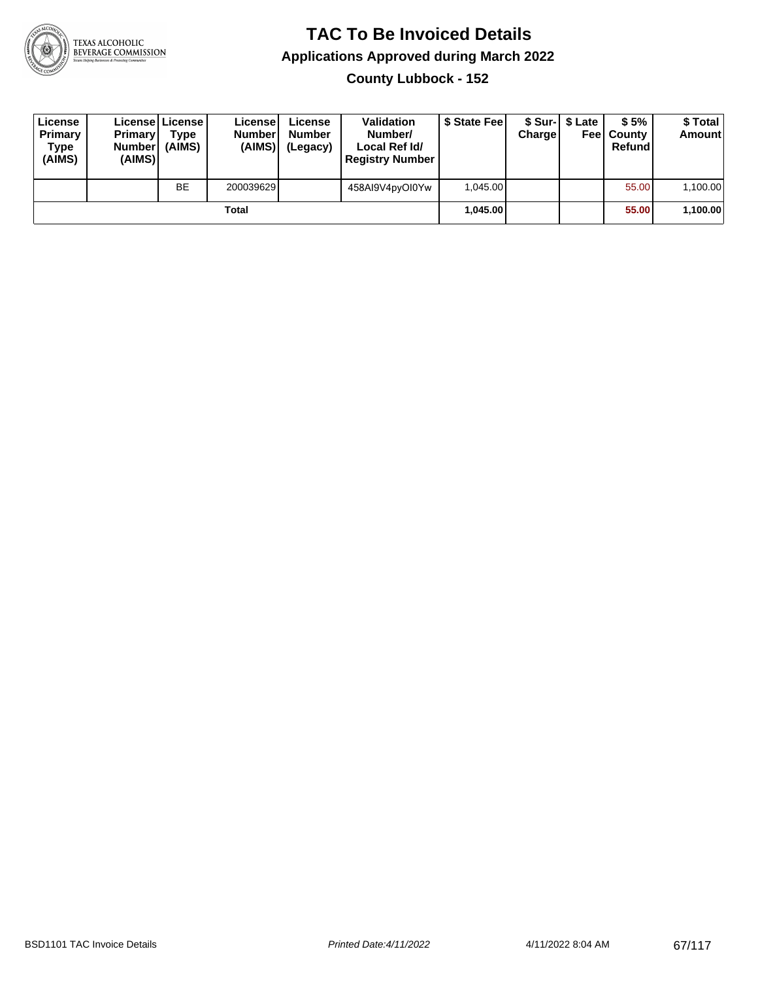

**County Lubbock - 152**

| License<br>Primary<br>Type<br>(AIMS) | <b>Primary</b><br><b>Number</b><br>(AIMS) | License   License  <br>Type<br>(AIMS) | License<br><b>Number</b><br>(AIMS) | License<br><b>Number</b><br>(Legacy) | <b>Validation</b><br>Number/<br>Local Ref Id/<br><b>Registry Number</b> | \$ State Feel | Charge | \$ Sur-1 \$ Late | \$5%<br><b>Feel County</b><br>Refund | \$Total<br><b>Amount</b> |
|--------------------------------------|-------------------------------------------|---------------------------------------|------------------------------------|--------------------------------------|-------------------------------------------------------------------------|---------------|--------|------------------|--------------------------------------|--------------------------|
|                                      |                                           | <b>BE</b>                             | 200039629                          |                                      | 458AI9V4pyOI0Yw                                                         | 1,045.00      |        |                  | 55.00                                | 1,100.00                 |
| Total                                |                                           |                                       |                                    |                                      |                                                                         | 1.045.00      |        |                  | 55.00                                | 1,100.00                 |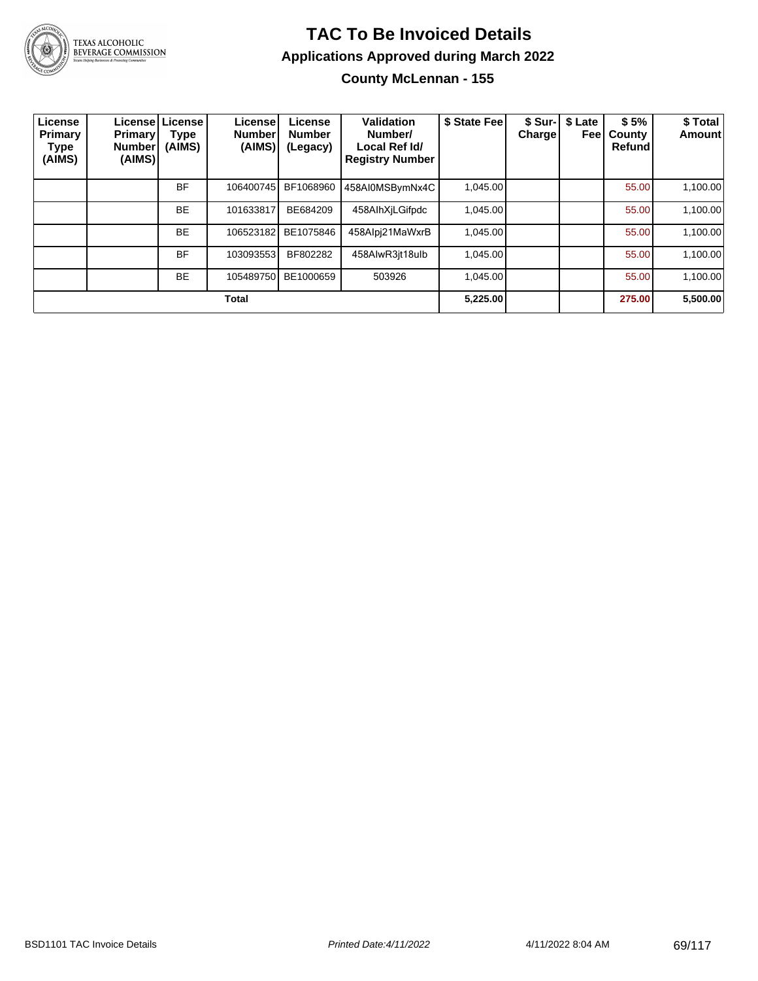

#### **TAC To Be Invoiced Details Applications Approved during March 2022 County McLennan - 155**

| License<br>Primary<br>Type<br>(AIMS) | <b>Primary</b><br><b>Number</b><br>(AIMS) | Licensel License<br>Type<br>(AIMS) | License!<br><b>Number</b><br>(AIMS) | License<br><b>Number</b><br>(Legacy) | Validation<br>Number/<br>Local Ref Id/<br><b>Registry Number</b> | \$ State Fee | \$ Sur-I<br>Charge! | \$ Late<br>Feel | \$5%<br>County<br>Refund | \$ Total<br>Amount |
|--------------------------------------|-------------------------------------------|------------------------------------|-------------------------------------|--------------------------------------|------------------------------------------------------------------|--------------|---------------------|-----------------|--------------------------|--------------------|
|                                      |                                           | <b>BF</b>                          | 106400745                           | BF1068960                            | 458AI0MSBymNx4C                                                  | 1,045.00     |                     |                 | 55.00                    | 1,100.00           |
|                                      |                                           | <b>BE</b>                          | 101633817                           | BE684209                             | 458AlhXiLGifpdc                                                  | 1,045.00     |                     |                 | 55.00                    | 1,100.00           |
|                                      |                                           | <b>BE</b>                          | 106523182                           | BE1075846                            | 458Alpj21MaWxrB                                                  | 1.045.00     |                     |                 | 55.00                    | 1,100.00           |
|                                      |                                           | <b>BF</b>                          | 103093553                           | BF802282                             | 458AlwR3jt18ulb                                                  | 1,045.00     |                     |                 | 55.00                    | 1,100.00           |
|                                      |                                           | <b>BE</b>                          | 105489750                           | BE1000659                            | 503926                                                           | 1.045.00     |                     |                 | 55.00                    | 1,100.00           |
|                                      |                                           |                                    | <b>Total</b>                        |                                      |                                                                  | 5,225.00     |                     |                 | 275.00                   | 5,500.00           |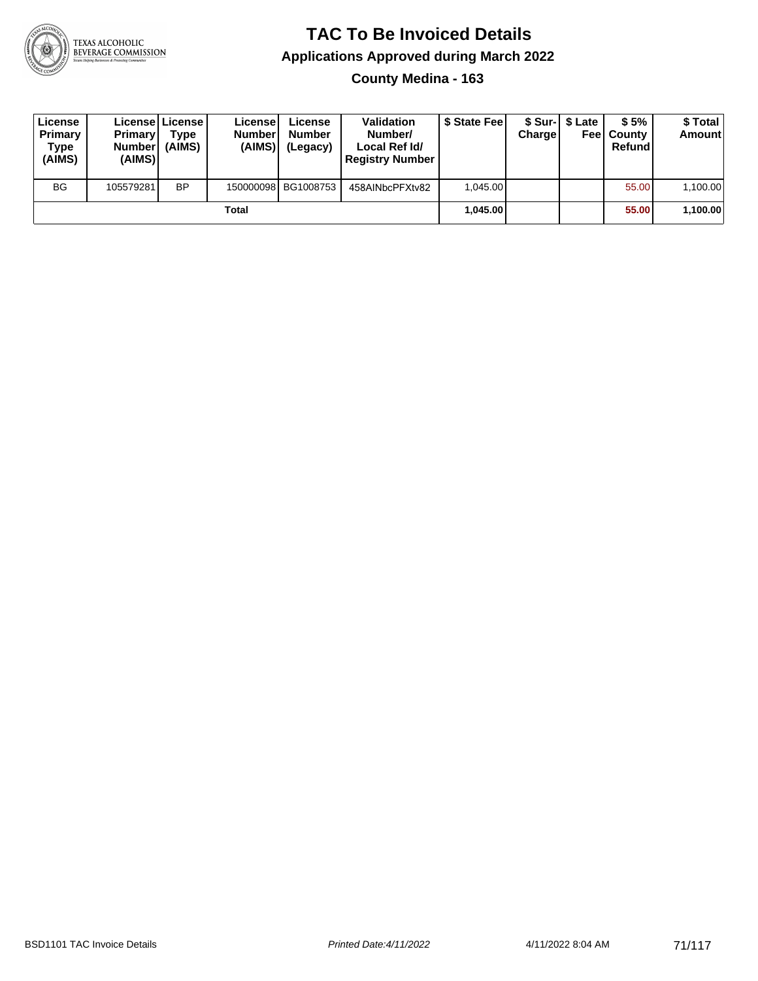

#### **TAC To Be Invoiced Details Applications Approved during March 2022 County Medina - 163**

| License<br>Primary<br><b>Type</b><br>(AIMS) | <b>Primary</b><br><b>Numberl</b><br>(AIMS) | Licensel License I<br>Type<br>(AIMS) | License<br><b>Number</b><br>(AIMS) | License<br><b>Number</b><br>(Legacy) | <b>Validation</b><br>Number/<br>Local Ref Id/<br><b>Registry Number</b> | \$ State Feel | <b>Charge</b> | \$ Sur-1 \$ Late<br>Feel | \$5%<br>County<br>Refund | \$ Total<br><b>Amount</b> |
|---------------------------------------------|--------------------------------------------|--------------------------------------|------------------------------------|--------------------------------------|-------------------------------------------------------------------------|---------------|---------------|--------------------------|--------------------------|---------------------------|
| <b>BG</b>                                   | 105579281                                  | <b>BP</b>                            |                                    | 150000098 BG1008753                  | 458AINbcPFXtv82                                                         | 1.045.00      |               |                          | 55.00                    | 1,100.00                  |
| Total                                       |                                            |                                      |                                    |                                      |                                                                         |               | 1,045.00      |                          | 55.00                    | 1,100.00                  |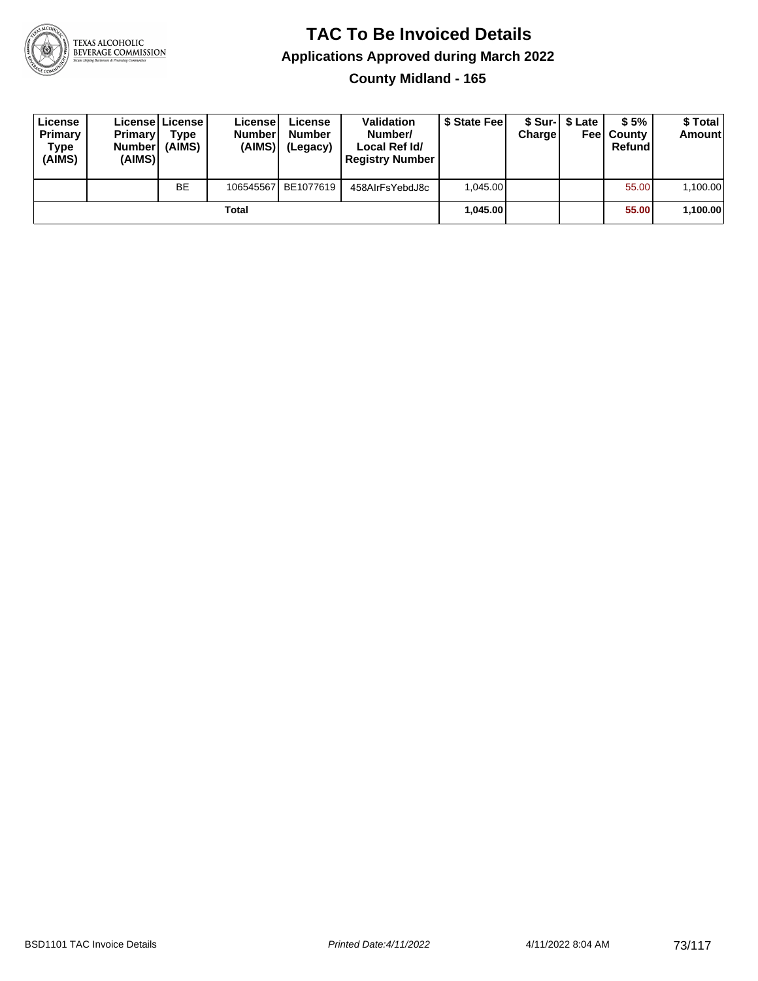

**County Midland - 165**

| License<br>Primary<br>Type<br>(AIMS) | <b>Primary</b><br><b>Number</b><br>(AIMS) | <b>License   License</b><br>Type<br>(AIMS) | License<br><b>Number</b><br>(AIMS) | License<br><b>Number</b><br>(Legacy) | <b>Validation</b><br>Number/<br>Local Ref Id/<br><b>Registry Number</b> | \$ State Feel | Charge | \$ Sur-1 \$ Late | \$5%<br><b>Feel County</b><br>Refund | \$ Total<br><b>Amount</b> |
|--------------------------------------|-------------------------------------------|--------------------------------------------|------------------------------------|--------------------------------------|-------------------------------------------------------------------------|---------------|--------|------------------|--------------------------------------|---------------------------|
|                                      |                                           | <b>BE</b>                                  | 106545567                          | BE1077619                            | 458AIrFsYebdJ8c                                                         | 1.045.00      |        |                  | 55.00                                | 1,100.00                  |
|                                      |                                           |                                            | Total                              |                                      |                                                                         | 1.045.00      |        |                  | 55.00                                | 1,100.00                  |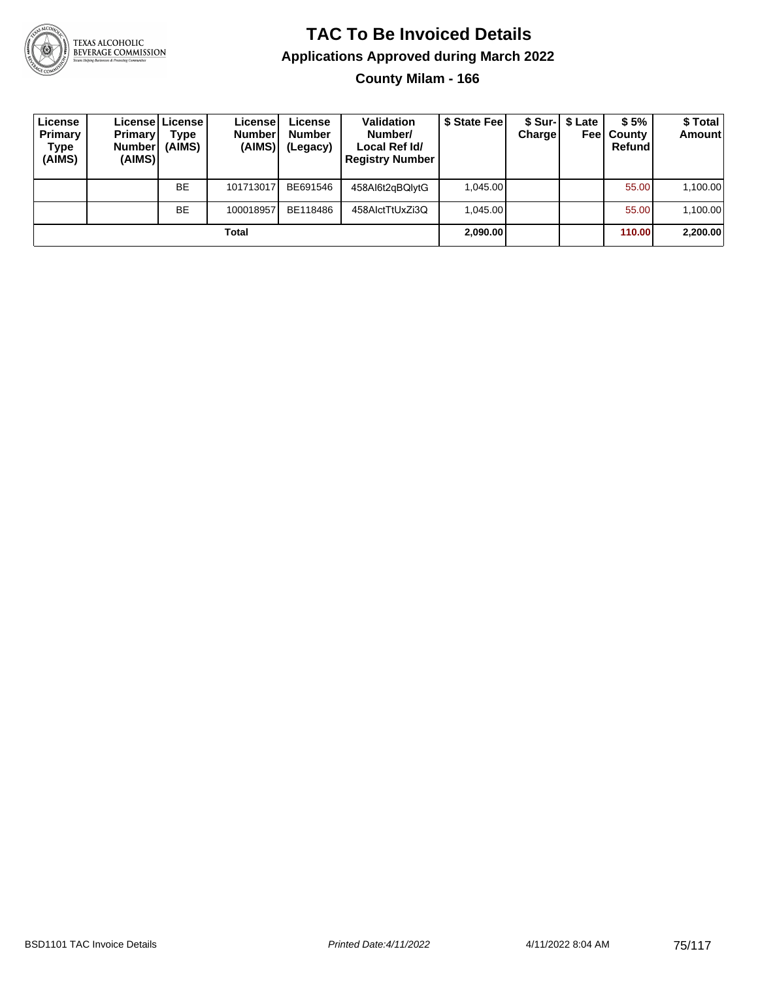

**County Milam - 166**

| License<br>Primary<br>Type<br>(AIMS) | <b>Primary</b><br><b>Number</b><br>(AIMS) | Licensel License I<br>Type<br>(AIMS) | License<br><b>Number</b><br>(AIMS) | License<br><b>Number</b><br>(Legacy) | <b>Validation</b><br>Number/<br>Local Ref Id/<br><b>Registry Number</b> | \$ State Feel | Charge | \$ Sur-1 \$ Late<br>Feel | \$5%<br>County<br>Refund | \$ Total<br><b>Amount</b> |
|--------------------------------------|-------------------------------------------|--------------------------------------|------------------------------------|--------------------------------------|-------------------------------------------------------------------------|---------------|--------|--------------------------|--------------------------|---------------------------|
|                                      |                                           | <b>BE</b>                            | 101713017                          | BE691546                             | 458Al6t2gBQlytG                                                         | 1.045.00      |        |                          | 55.00                    | 1,100.00                  |
|                                      |                                           | <b>BE</b>                            | 100018957                          | BE118486                             | 458AlctTtUxZi3Q                                                         | 1.045.00      |        |                          | 55.00                    | 1,100.00                  |
|                                      |                                           |                                      | Total                              |                                      |                                                                         | 2,090.00      |        |                          | 110.00                   | 2,200.00                  |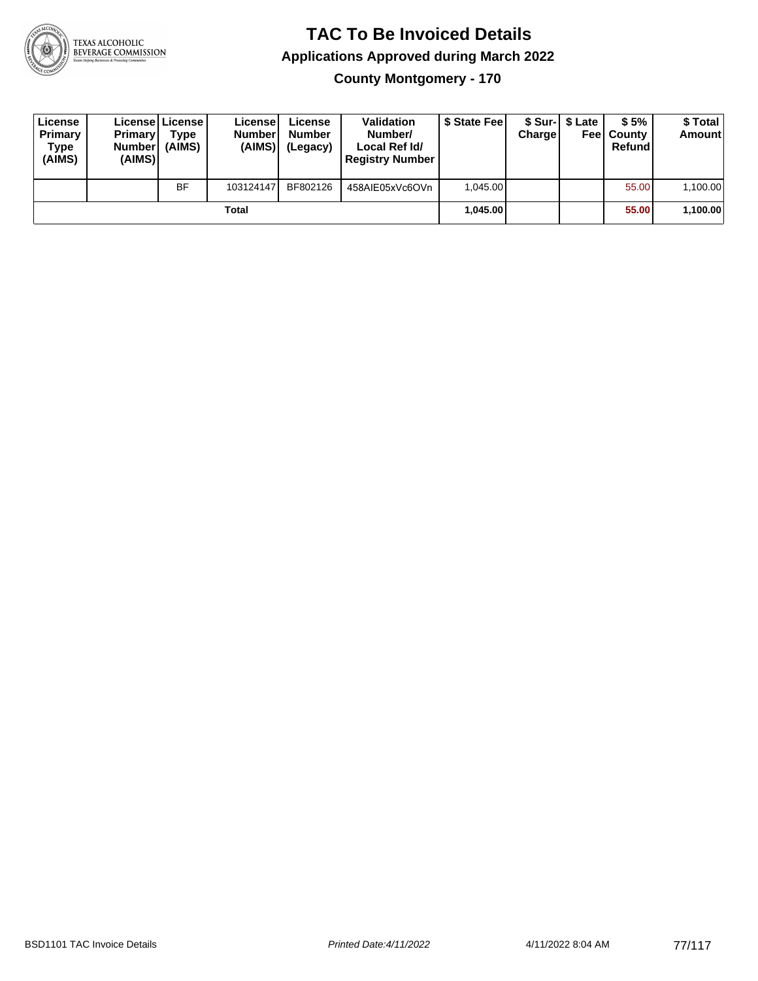

**County Montgomery - 170**

| License<br>Primary<br><b>Type</b><br>(AIMS) | <b>Primary</b><br><b>Number</b><br>(AIMS) | License   License  <br>Type<br>(AIMS) | License<br><b>Numberl</b><br>(AIMS) | License<br><b>Number</b><br>(Legacy) | <b>Validation</b><br>Number/<br>Local Ref Id/<br><b>Registry Number</b> | \$ State Feel | Charge | \$ Sur-1 \$ Late | \$5%<br><b>Feel County</b><br>Refundl | \$ Total<br>Amount |
|---------------------------------------------|-------------------------------------------|---------------------------------------|-------------------------------------|--------------------------------------|-------------------------------------------------------------------------|---------------|--------|------------------|---------------------------------------|--------------------|
|                                             |                                           | <b>BF</b>                             | 103124147                           | BF802126                             | 458AIE05xVc6OVn                                                         | 1.045.00      |        |                  | 55.00                                 | 1,100.00           |
|                                             |                                           |                                       | Total                               |                                      |                                                                         | 1.045.00      |        |                  | 55.00                                 | 1,100.00           |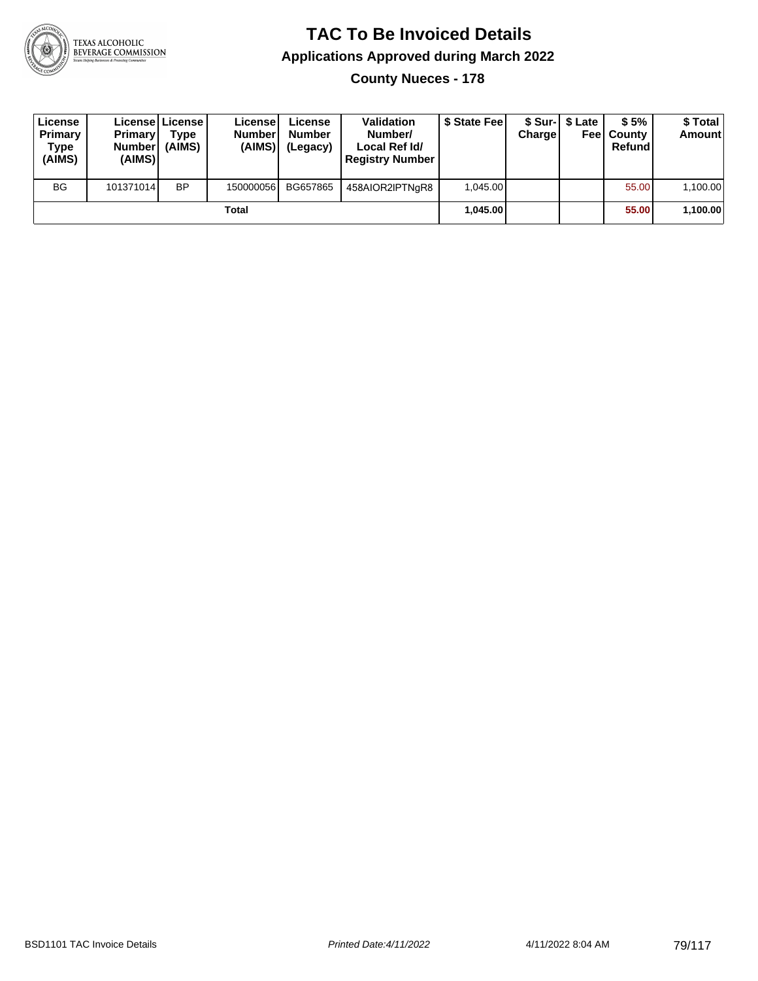

**County Nueces - 178**

| License<br>Primary<br>Type<br>(AIMS) | <b>Primary</b><br><b>Number</b><br>(AIMS) | Licensel License I<br><b>Type</b><br>(AIMS) | Licensel<br><b>Number</b><br>(AIMS) | License<br><b>Number</b><br>(Legacy) | <b>Validation</b><br>Number/<br>Local Ref Id/<br><b>Registry Number</b> | \$ State Feel | Charge | \$ Sur-1 \$ Late | \$5%<br><b>Feel County</b><br>Refund | \$ Total<br><b>Amount</b> |
|--------------------------------------|-------------------------------------------|---------------------------------------------|-------------------------------------|--------------------------------------|-------------------------------------------------------------------------|---------------|--------|------------------|--------------------------------------|---------------------------|
| <b>BG</b>                            | 101371014                                 | <b>BP</b>                                   | 150000056                           | BG657865                             | 458AIOR2IPTNgR8                                                         | 1.045.00      |        |                  | 55.00                                | 1,100.00                  |
|                                      |                                           |                                             | Total                               |                                      |                                                                         | 1.045.00      |        |                  | 55.00                                | 1,100.00                  |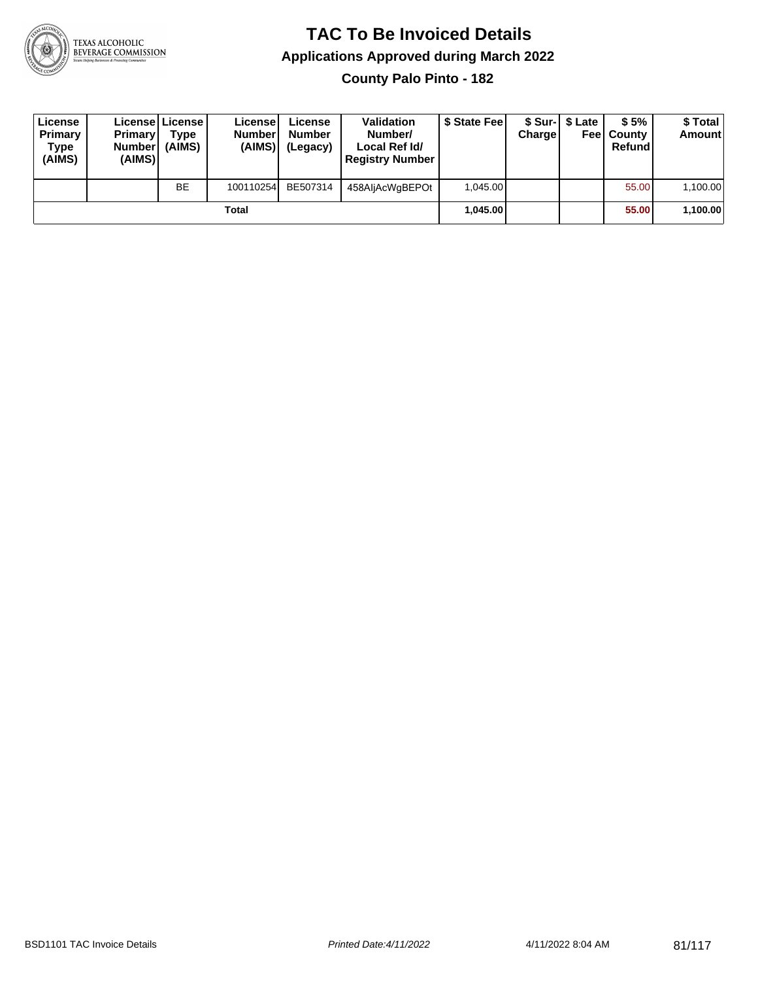

**County Palo Pinto - 182**

| License<br>Primary<br><b>Type</b><br>(AIMS) | <b>Primary</b><br><b>Number</b><br>(AIMS) | License   License  <br>Type<br>(AIMS) | License<br><b>Number</b><br>(AIMS) | License<br><b>Number</b><br>(Legacy) | <b>Validation</b><br>Number/<br>Local Ref Id/<br><b>Registry Number</b> | \$ State Feel | Charge | \$ Sur-1 \$ Late | \$5%<br><b>Feel County</b><br>Refund | \$ Total<br><b>Amount</b> |
|---------------------------------------------|-------------------------------------------|---------------------------------------|------------------------------------|--------------------------------------|-------------------------------------------------------------------------|---------------|--------|------------------|--------------------------------------|---------------------------|
|                                             |                                           | <b>BE</b>                             | 100110254                          | BE507314                             | 458AljAcWgBEPOt                                                         | 1.045.00      |        |                  | 55.00                                | 1,100.00                  |
|                                             |                                           |                                       | Total                              |                                      |                                                                         | 1.045.00      |        |                  | 55.00                                | 1,100.00                  |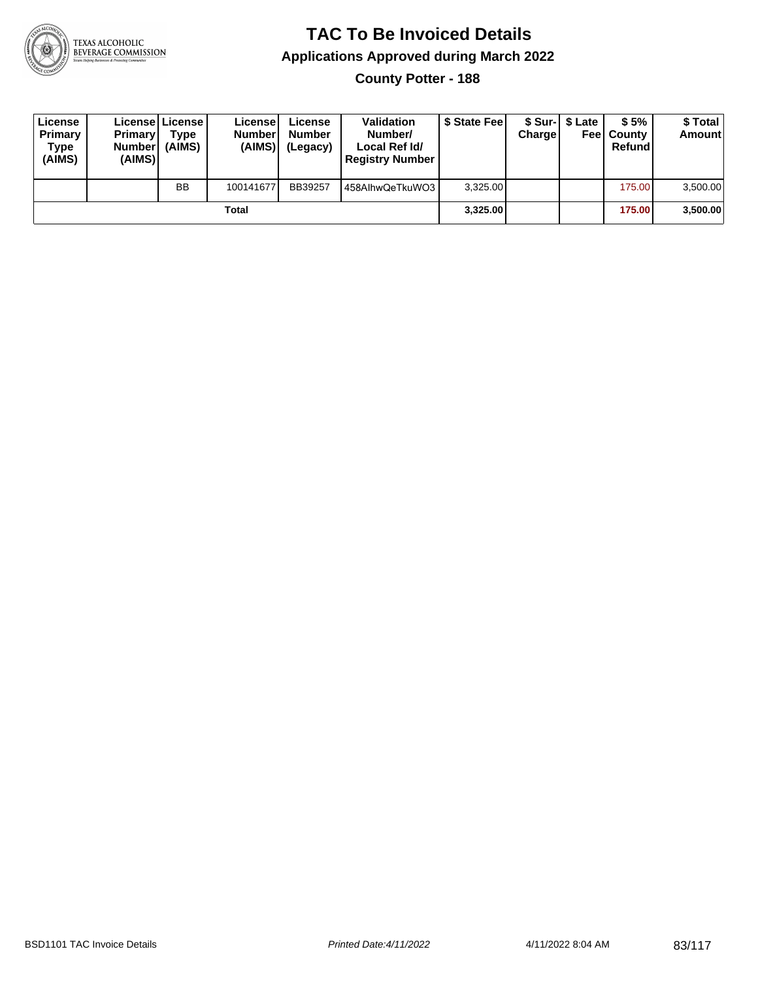

**County Potter - 188**

| License<br>Primary<br><b>Type</b><br>(AIMS) | <b>Primary</b><br><b>Number</b><br>(AIMS) | License   License  <br>Type<br>(AIMS) | License<br><b>Numberl</b><br>(AIMS) | License<br><b>Number</b><br>(Legacy) | <b>Validation</b><br>Number/<br>Local Ref Id/<br><b>Registry Number</b> | \$ State Feel | Charge | \$ Sur-1 \$ Late | \$5%<br><b>Feel County</b><br>Refund | \$ Total<br>Amount |
|---------------------------------------------|-------------------------------------------|---------------------------------------|-------------------------------------|--------------------------------------|-------------------------------------------------------------------------|---------------|--------|------------------|--------------------------------------|--------------------|
|                                             |                                           | <b>BB</b>                             | 100141677                           | BB39257                              | 458AlhwQeTkuWO3                                                         | 3.325.00      |        |                  | 175.00                               | 3,500.00           |
|                                             |                                           |                                       | Total                               |                                      |                                                                         | 3.325.00      |        |                  | 175.00                               | 3,500.00           |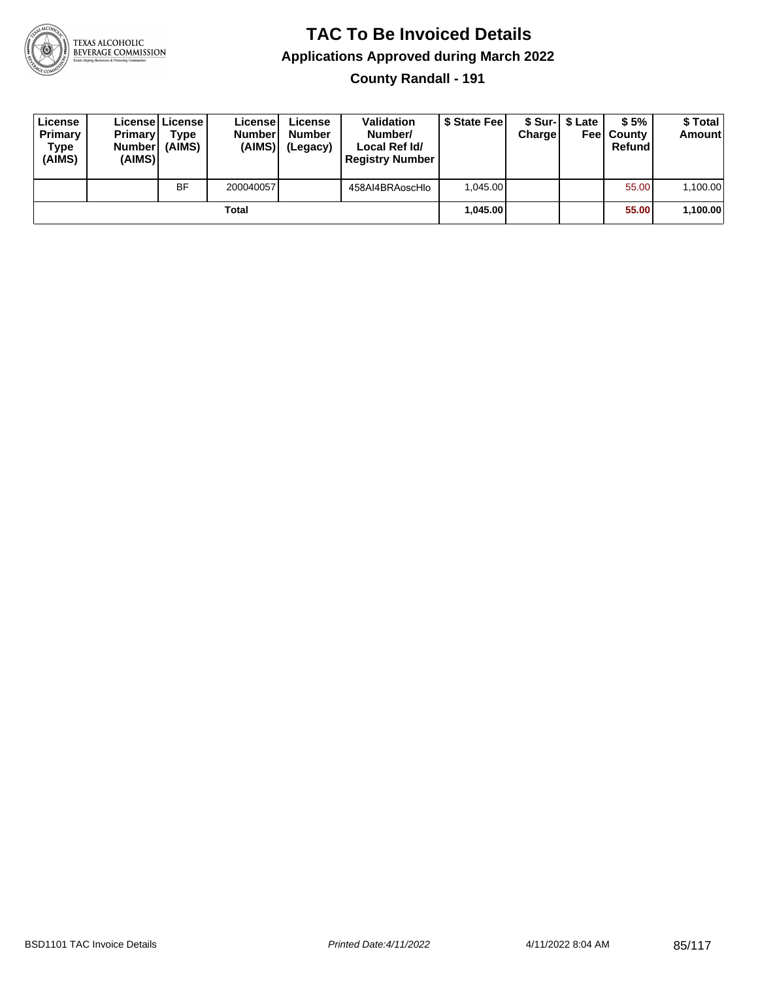

**County Randall - 191**

| License<br>Primary<br>Type<br>(AIMS) | <b>Primary</b><br><b>Number</b><br>(AIMS) | License   License  <br>Type<br>(AIMS) | License<br><b>Number</b><br>(AIMS) | License<br><b>Number</b><br>(Legacy) | <b>Validation</b><br>Number/<br>Local Ref Id/<br><b>Registry Number</b> | \$ State Fee | Charge | \$ Sur-1 \$ Late | \$5%<br><b>Feel County</b><br>Refund | \$ Total<br><b>Amount</b> |
|--------------------------------------|-------------------------------------------|---------------------------------------|------------------------------------|--------------------------------------|-------------------------------------------------------------------------|--------------|--------|------------------|--------------------------------------|---------------------------|
|                                      |                                           | <b>BF</b>                             | 200040057                          |                                      | 458AI4BRAoscHlo                                                         | 1.045.00     |        |                  | 55.00                                | 1,100.00                  |
|                                      |                                           |                                       | Total                              |                                      |                                                                         | 1.045.00     |        |                  | 55.00                                | 1,100.00                  |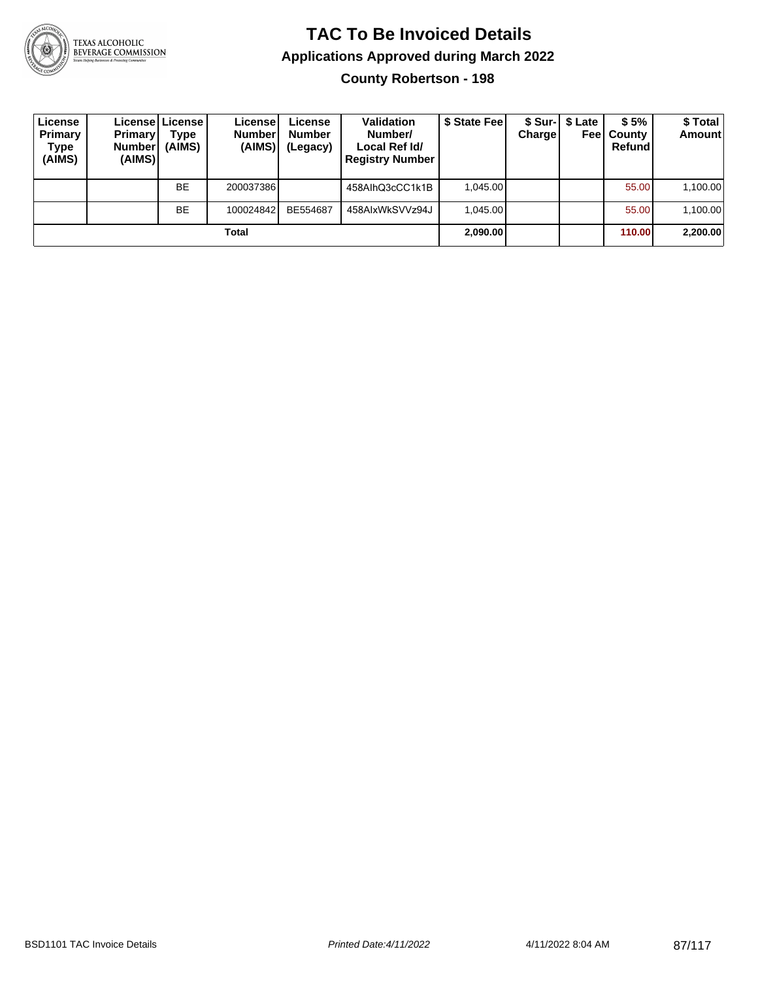

**County Robertson - 198**

| License<br>Primary<br>Type<br>(AIMS) | <b>Primary</b><br><b>Number</b><br>(AIMS) | License   License  <br>Type<br>(AIMS) | Licensel<br><b>Number</b><br>(AIMS) | License<br><b>Number</b><br>(Legacy) | <b>Validation</b><br>Number/<br>Local Ref Id/<br><b>Registry Number</b> | \$ State Fee | Charge | \$ Sur-   \$ Late<br>Feel | \$5%<br>County<br>Refund | \$ Total<br><b>Amount</b> |
|--------------------------------------|-------------------------------------------|---------------------------------------|-------------------------------------|--------------------------------------|-------------------------------------------------------------------------|--------------|--------|---------------------------|--------------------------|---------------------------|
|                                      |                                           | <b>BE</b>                             | 200037386                           |                                      | 458AlhQ3cCC1k1B                                                         | 1.045.00     |        |                           | 55.00                    | 1,100.00                  |
|                                      |                                           | <b>BE</b>                             | 100024842                           | BE554687                             | 458AIxWkSVVz94J                                                         | 1.045.00     |        |                           | 55.00                    | 1,100.00                  |
|                                      |                                           |                                       | Total                               |                                      |                                                                         | 2,090.00     |        |                           | 110.00                   | 2,200.00                  |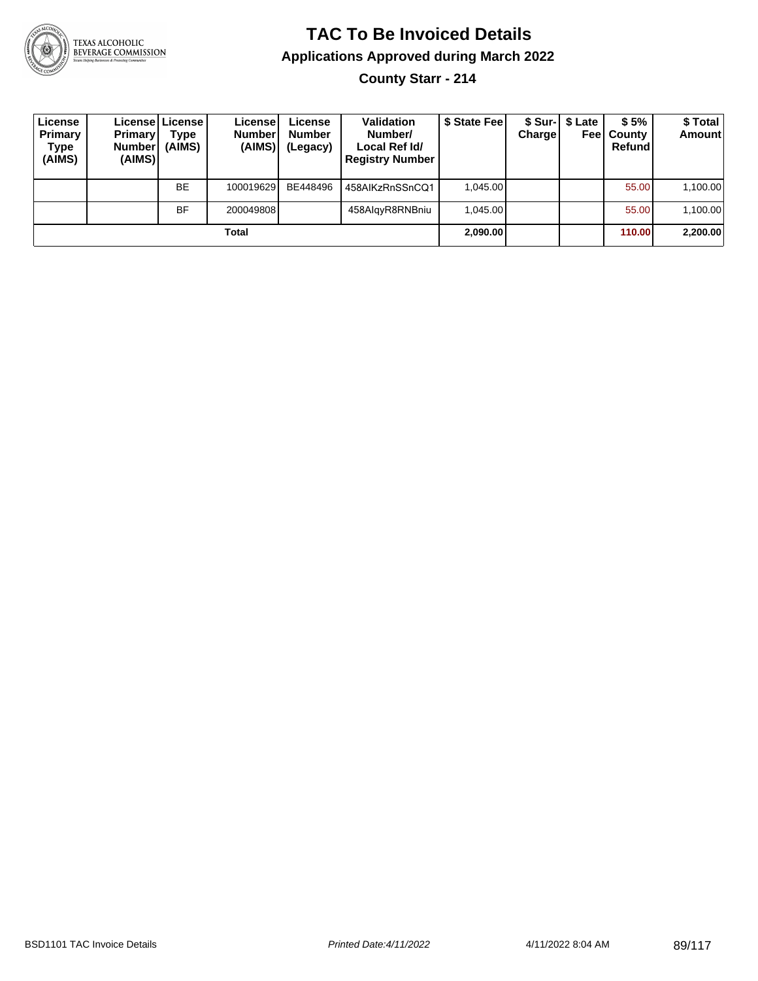

**County Starr - 214**

| License<br>Primary<br>Type<br>(AIMS) | <b>Primary</b><br><b>Number</b><br>(AIMS) | License License I<br>Type<br>(AIMS) | License!<br><b>Number</b><br>(AIMS) | License<br><b>Number</b><br>(Legacy) | <b>Validation</b><br>Number/<br>Local Ref Id/<br><b>Registry Number</b> | \$ State Feel | Charge | \$ Sur-1 \$ Late<br>Feel | \$5%<br>County<br>Refund | \$Total<br><b>Amount</b> |
|--------------------------------------|-------------------------------------------|-------------------------------------|-------------------------------------|--------------------------------------|-------------------------------------------------------------------------|---------------|--------|--------------------------|--------------------------|--------------------------|
|                                      |                                           | <b>BE</b>                           | 100019629                           | BE448496                             | 458AIKzRnSSnCQ1                                                         | 1.045.00      |        |                          | 55.00                    | 1,100.00                 |
|                                      |                                           | BF                                  | 200049808                           |                                      | 458AlgyR8RNBniu                                                         | 1.045.00      |        |                          | 55.00                    | 1,100.00                 |
|                                      |                                           |                                     | Total                               |                                      |                                                                         | 2,090.00      |        |                          | 110.00                   | 2,200.00                 |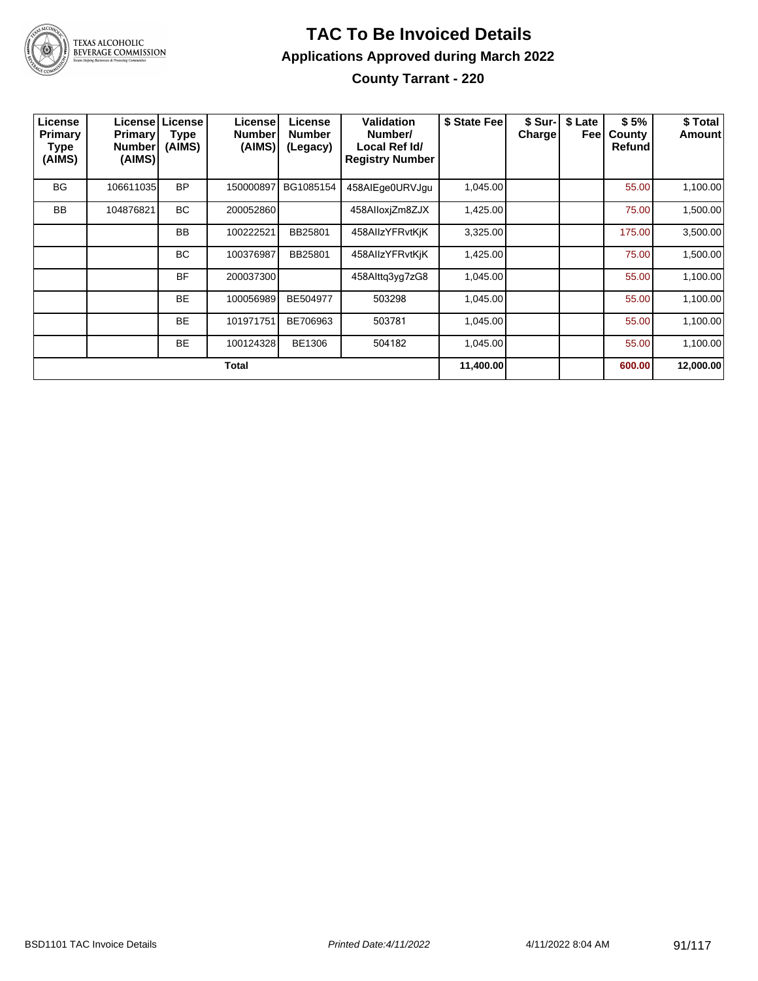

#### **TAC To Be Invoiced Details Applications Approved during March 2022 County Tarrant - 220**

| License<br><b>Primary</b><br>Type<br>(AIMS) | <b>Primary</b><br><b>Number</b><br>(AIMS) | Licensel License<br><b>Type</b><br>(AIMS) | License<br><b>Number</b><br>(AIMS) | License<br><b>Number</b><br>(Legacy) | Validation<br>Number/<br>Local Ref Id/<br><b>Registry Number</b> | \$ State Fee | \$ Sur-I<br><b>Charge</b> | \$ Late<br>Feel | \$5%<br>County<br>Refund | \$ Total<br><b>Amount</b> |
|---------------------------------------------|-------------------------------------------|-------------------------------------------|------------------------------------|--------------------------------------|------------------------------------------------------------------|--------------|---------------------------|-----------------|--------------------------|---------------------------|
| BG                                          | 106611035                                 | <b>BP</b>                                 | 150000897                          | BG1085154                            | 458AIEge0URVJgu                                                  | 1,045.00     |                           |                 | 55.00                    | 1,100.00                  |
| <b>BB</b>                                   | 104876821                                 | <b>BC</b>                                 | 200052860                          |                                      | 458AlloxjZm8ZJX                                                  | 1,425.00     |                           |                 | 75.00                    | 1,500.00                  |
|                                             |                                           | <b>BB</b>                                 | 100222521                          | BB25801                              | 458AllzYFRvtKiK                                                  | 3,325.00     |                           |                 | 175.00                   | 3,500.00                  |
|                                             |                                           | <b>BC</b>                                 | 100376987                          | BB25801                              | 458AllzYFRvtKjK                                                  | 1,425.00     |                           |                 | 75.00                    | 1,500.00                  |
|                                             |                                           | <b>BF</b>                                 | 200037300                          |                                      | 458Alttg3yg7zG8                                                  | 1,045.00     |                           |                 | 55.00                    | 1,100.00                  |
|                                             |                                           | <b>BE</b>                                 | 100056989                          | BE504977                             | 503298                                                           | 1,045.00     |                           |                 | 55.00                    | 1,100.00                  |
|                                             |                                           | <b>BE</b>                                 | 101971751                          | BE706963                             | 503781                                                           | 1,045.00     |                           |                 | 55.00                    | 1,100.00                  |
|                                             |                                           | <b>BE</b>                                 | 100124328                          | BE1306                               | 504182                                                           | 1,045.00     |                           |                 | 55.00                    | 1,100.00                  |
|                                             |                                           |                                           | <b>Total</b>                       |                                      |                                                                  | 11,400.00    |                           |                 | 600.00                   | 12,000.00                 |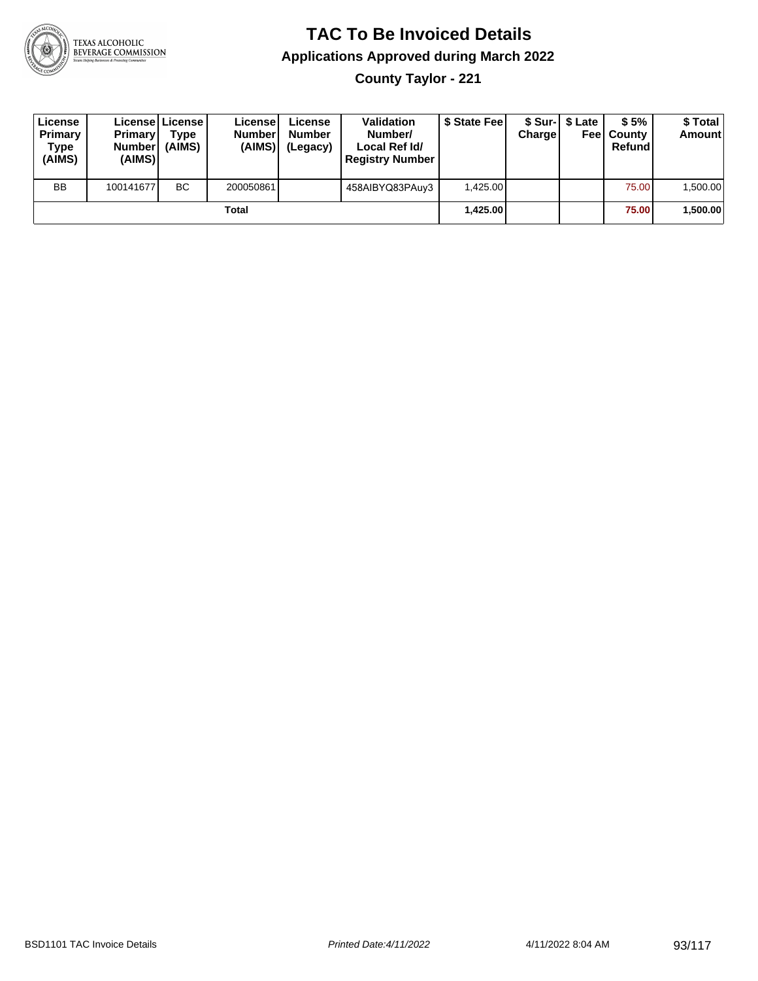

**County Taylor - 221**

| License<br>Primary<br>Type<br>(AIMS) | <b>Primary</b><br><b>Number</b><br>(AIMS) | <b>Licensel License I</b><br>Type<br>(AIMS) | Licensel<br><b>Number</b><br>(AIMS) | License<br><b>Number</b><br>(Legacy) | <b>Validation</b><br>Number/<br>Local Ref Id/<br><b>Registry Number</b> | \$ State Feel | Charge | \$ Sur-1 \$ Late | \$5%<br><b>Feel County</b><br>Refund | \$ Total<br><b>Amount</b> |
|--------------------------------------|-------------------------------------------|---------------------------------------------|-------------------------------------|--------------------------------------|-------------------------------------------------------------------------|---------------|--------|------------------|--------------------------------------|---------------------------|
| <b>BB</b>                            | 100141677                                 | <b>BC</b>                                   | 200050861                           |                                      | 458AIBYQ83PAuy3                                                         | 1,425.00      |        |                  | 75.00                                | 1,500.00                  |
|                                      |                                           |                                             | Total                               |                                      |                                                                         | 1.425.00      |        |                  | 75.00                                | 1,500.00                  |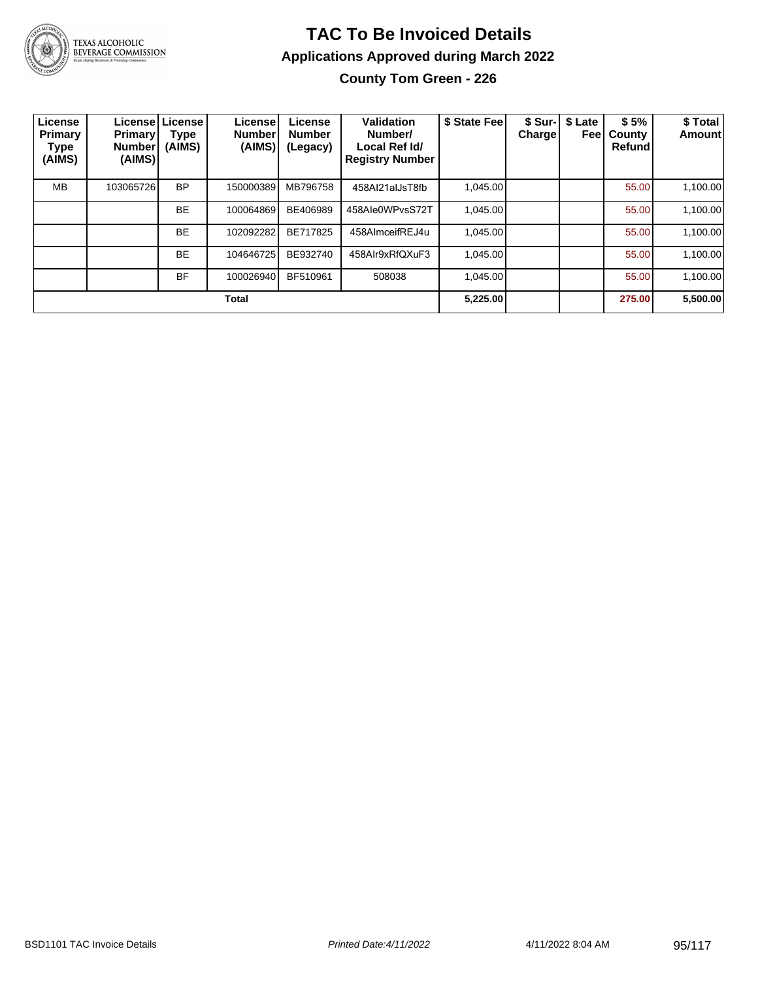

# TEXAS ALCOHOLIC<br>BEVERAGE COMMISSION

#### **TAC To Be Invoiced Details Applications Approved during March 2022**

**County Tom Green - 226**

| License<br><b>Primary</b><br><b>Type</b><br>(AIMS) | Primary<br><b>Number</b><br>(AIMS) | Licensel License<br>Type<br>(AIMS) | License<br><b>Number</b><br>(AIMS) | License<br><b>Number</b><br>(Legacy) | Validation<br>Number/<br>Local Ref Id/<br><b>Registry Number</b> | \$ State Feel | \$ Sur-<br>Charge | \$ Late<br>Feel | \$5%<br>County<br>Refund | \$ Total<br><b>Amount</b> |
|----------------------------------------------------|------------------------------------|------------------------------------|------------------------------------|--------------------------------------|------------------------------------------------------------------|---------------|-------------------|-----------------|--------------------------|---------------------------|
| <b>MB</b>                                          | 103065726                          | <b>BP</b>                          | 150000389                          | MB796758                             | 458Al21alJsT8fb                                                  | 1.045.00      |                   |                 | 55.00                    | 1,100.00                  |
|                                                    |                                    | <b>BE</b>                          | 100064869                          | BE406989                             | 458Ale0WPvsS72T                                                  | 1,045.00      |                   |                 | 55.00                    | 1,100.00                  |
|                                                    |                                    | <b>BE</b>                          | 102092282                          | BE717825                             | 458AlmceifREJ4u                                                  | 1.045.00      |                   |                 | 55.00                    | 1,100.00                  |
|                                                    |                                    | <b>BE</b>                          | 104646725                          | BE932740                             | 458Alr9xRfQXuF3                                                  | 1.045.00      |                   |                 | 55.00                    | 1,100.00                  |
|                                                    |                                    | <b>BF</b>                          | 100026940                          | BF510961                             | 508038                                                           | 1.045.00      |                   |                 | 55.00                    | 1.100.00                  |
|                                                    |                                    |                                    | <b>Total</b>                       |                                      |                                                                  | 5,225.00      |                   |                 | 275.00                   | 5,500.00                  |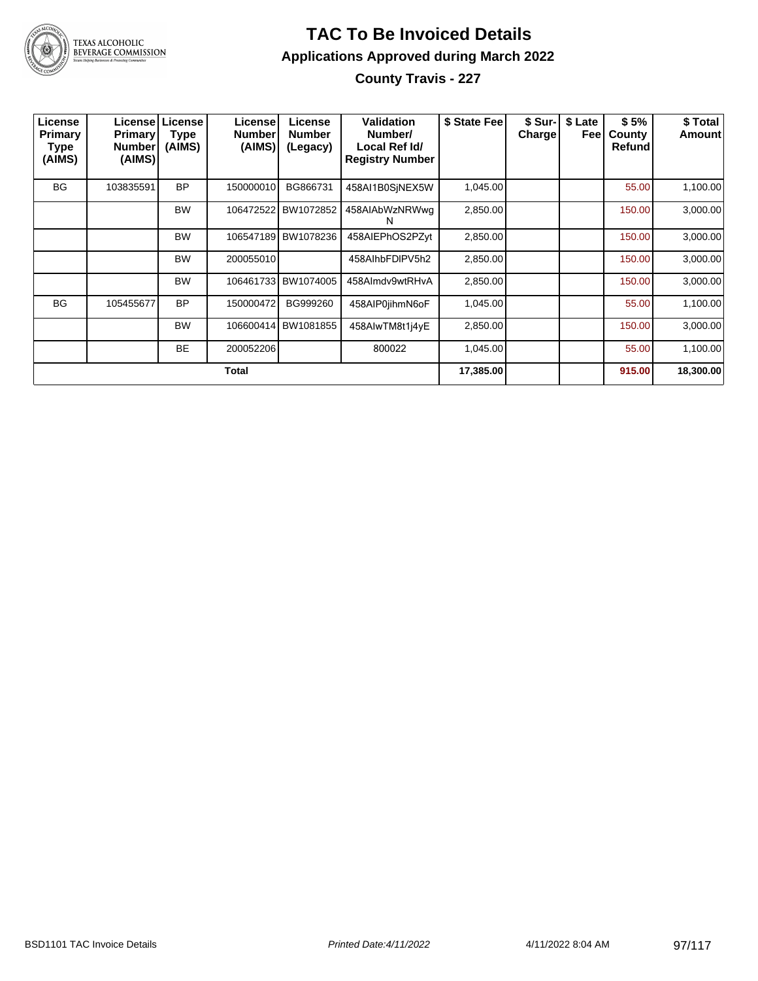

**County Travis - 227**

| License<br>Primary<br><b>Type</b><br>(AIMS) | <b>Primary</b><br><b>Number</b><br>(AIMS) | <b>License   License</b><br><b>Type</b><br>(AIMS) | Licensel<br><b>Number</b><br>(AIMS) | License<br><b>Number</b><br>(Legacy) | Validation<br>Number/<br>Local Ref Id/<br><b>Registry Number</b> | \$ State Fee | \$ Sur-I<br>Charge | \$ Late<br>Feel | \$5%<br>County<br>Refund | \$ Total<br><b>Amount</b> |
|---------------------------------------------|-------------------------------------------|---------------------------------------------------|-------------------------------------|--------------------------------------|------------------------------------------------------------------|--------------|--------------------|-----------------|--------------------------|---------------------------|
| <b>BG</b>                                   | 103835591                                 | <b>BP</b>                                         | 150000010                           | BG866731                             | 458AI1B0SiNEX5W                                                  | 1,045.00     |                    |                 | 55.00                    | 1,100.00                  |
|                                             |                                           | <b>BW</b>                                         | 106472522                           | BW1072852                            | 458AIAbWzNRWwg<br>N                                              | 2,850.00     |                    |                 | 150.00                   | 3,000.00                  |
|                                             |                                           | <b>BW</b>                                         | 106547189                           | BW1078236                            | 458AIEPhOS2PZyt                                                  | 2,850.00     |                    |                 | 150.00                   | 3,000.00                  |
|                                             |                                           | <b>BW</b>                                         | 200055010                           |                                      | 458AlhbFDIPV5h2                                                  | 2,850.00     |                    |                 | 150.00                   | 3,000.00                  |
|                                             |                                           | <b>BW</b>                                         | 106461733                           | BW1074005                            | 458Almdv9wtRHvA                                                  | 2,850.00     |                    |                 | 150.00                   | 3,000.00                  |
| <b>BG</b>                                   | 105455677                                 | <b>BP</b>                                         | 150000472                           | BG999260                             | 458AIP0jihmN6oF                                                  | 1,045.00     |                    |                 | 55.00                    | 1,100.00                  |
|                                             |                                           | <b>BW</b>                                         | 106600414                           | BW1081855                            | 458AIwTM8t1j4yE                                                  | 2,850.00     |                    |                 | 150.00                   | 3,000.00                  |
|                                             |                                           | <b>BE</b>                                         | 200052206                           |                                      | 800022                                                           | 1,045.00     |                    |                 | 55.00                    | 1,100.00                  |
| Total                                       |                                           |                                                   |                                     |                                      |                                                                  |              |                    |                 | 915.00                   | 18,300.00                 |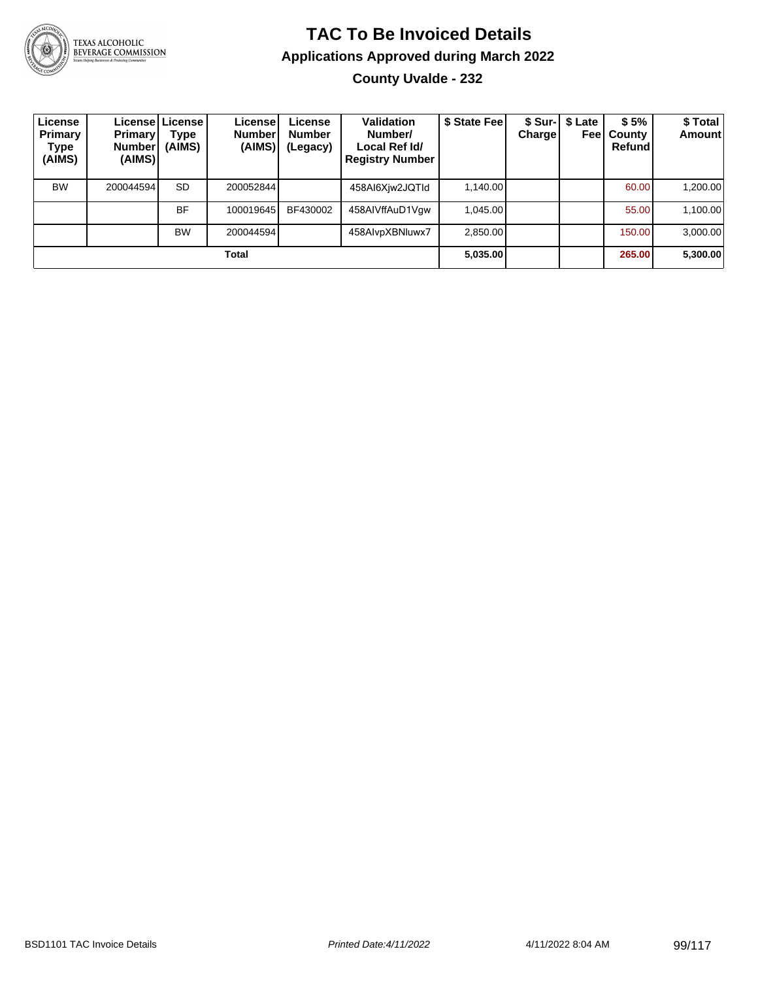

**County Uvalde - 232**

| License<br>Primary<br>Type<br>(AIMS) | <b>Primary</b><br><b>Number</b><br>(AIMS) | Licensel License I<br>Type<br>(AIMS) | License<br><b>Number</b><br>(AIMS) | License<br><b>Number</b><br>(Legacy) | <b>Validation</b><br>Number/<br>Local Ref Id/<br><b>Registry Number</b> | \$ State Feel | <b>Charge</b> | \$ Sur-   \$ Late<br>Feel | \$5%<br>County<br>Refund | \$ Total<br><b>Amount</b> |
|--------------------------------------|-------------------------------------------|--------------------------------------|------------------------------------|--------------------------------------|-------------------------------------------------------------------------|---------------|---------------|---------------------------|--------------------------|---------------------------|
| <b>BW</b>                            | 200044594                                 | <b>SD</b>                            | 200052844                          |                                      | 458AI6Xiw2JQTId                                                         | 1,140.00      |               |                           | 60.00                    | 1,200.00                  |
|                                      |                                           | <b>BF</b>                            | 100019645                          | BF430002                             | 458AIVffAuD1Vgw                                                         | 1,045.00      |               |                           | 55.00                    | 1,100.00                  |
|                                      |                                           | <b>BW</b>                            | 200044594                          |                                      | 458AlvpXBNluwx7                                                         | 2,850.00      |               |                           | 150.00                   | 3,000.00                  |
| Total                                |                                           |                                      |                                    |                                      |                                                                         | 5,035.00      |               |                           | 265.00                   | 5,300.00                  |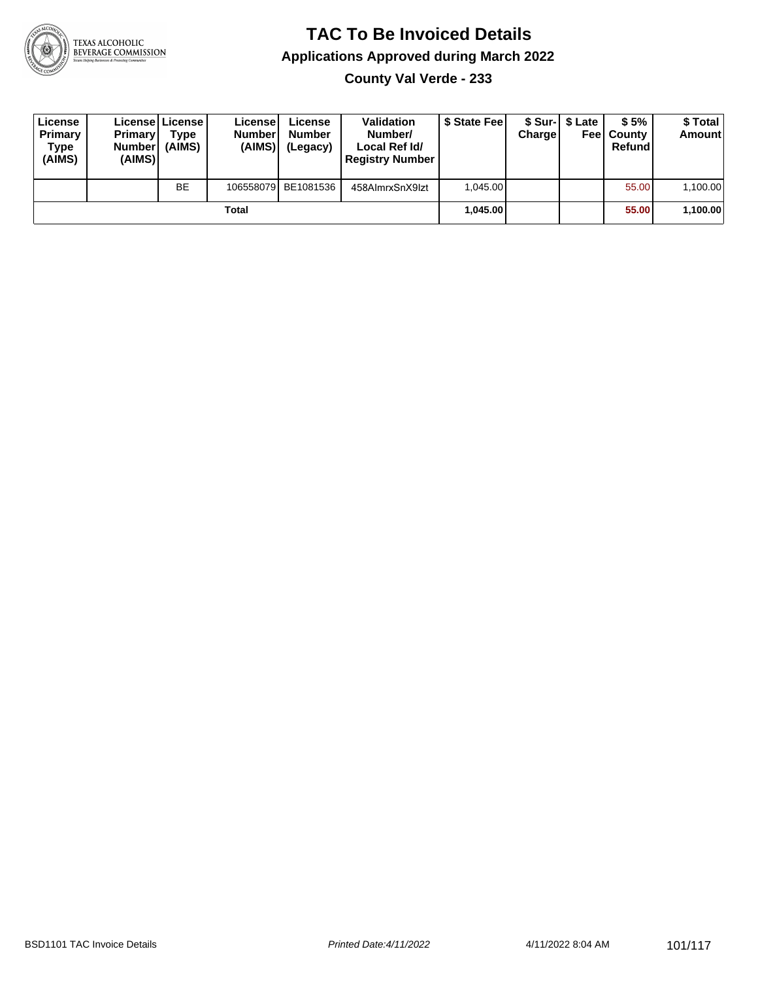

**County Val Verde - 233**

| License<br>Primary<br>Type<br>(AIMS) | <b>Primary</b><br><b>Number</b><br>(AIMS) | <b>License   License</b><br>Type<br>(AIMS) | License<br><b>Number</b><br>(AIMS) | License<br><b>Number</b><br>(Legacy) | <b>Validation</b><br>Number/<br>Local Ref Id/<br><b>Registry Number</b> | \$ State Feel | Charge   | \$ Sur-1 \$ Late | \$5%<br><b>Feel County</b><br>Refund | \$ Total<br><b>Amount</b> |
|--------------------------------------|-------------------------------------------|--------------------------------------------|------------------------------------|--------------------------------------|-------------------------------------------------------------------------|---------------|----------|------------------|--------------------------------------|---------------------------|
|                                      |                                           | <b>BE</b>                                  |                                    | 106558079 BE1081536                  | 458AlmrxSnX9lzt                                                         | 1.045.00      |          |                  | 55.00                                | 1,100.00                  |
| Total                                |                                           |                                            |                                    |                                      |                                                                         |               | 1.045.00 |                  | 55.00                                | 1,100.00                  |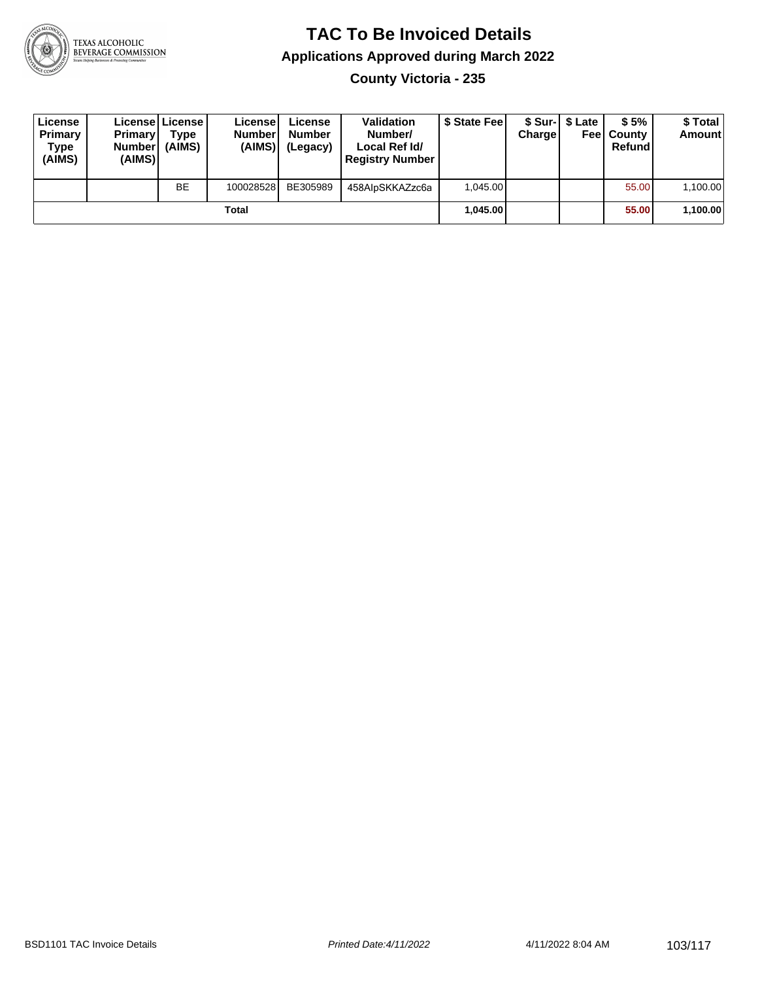

**County Victoria - 235**

| License<br>Primary<br>Type<br>(AIMS) | <b>Primary</b><br><b>Number</b><br>(AIMS) | License   License  <br>Type<br>(AIMS) | License<br><b>Number</b><br>(AIMS) | License<br><b>Number</b><br>(Legacy) | <b>Validation</b><br>Number/<br>Local Ref Id/<br><b>Registry Number</b> | \$ State Fee | Charge   | \$ Sur-1 \$ Late | \$5%<br><b>Feel County</b><br>Refund | \$ Total<br><b>Amount</b> |
|--------------------------------------|-------------------------------------------|---------------------------------------|------------------------------------|--------------------------------------|-------------------------------------------------------------------------|--------------|----------|------------------|--------------------------------------|---------------------------|
|                                      |                                           | <b>BE</b>                             | 100028528                          | BE305989                             | 458AlpSKKAZzc6a                                                         | 1.045.00     |          |                  | 55.00                                | 1,100.00                  |
| Total                                |                                           |                                       |                                    |                                      |                                                                         |              | 1.045.00 |                  | 55.00                                | 1,100.00                  |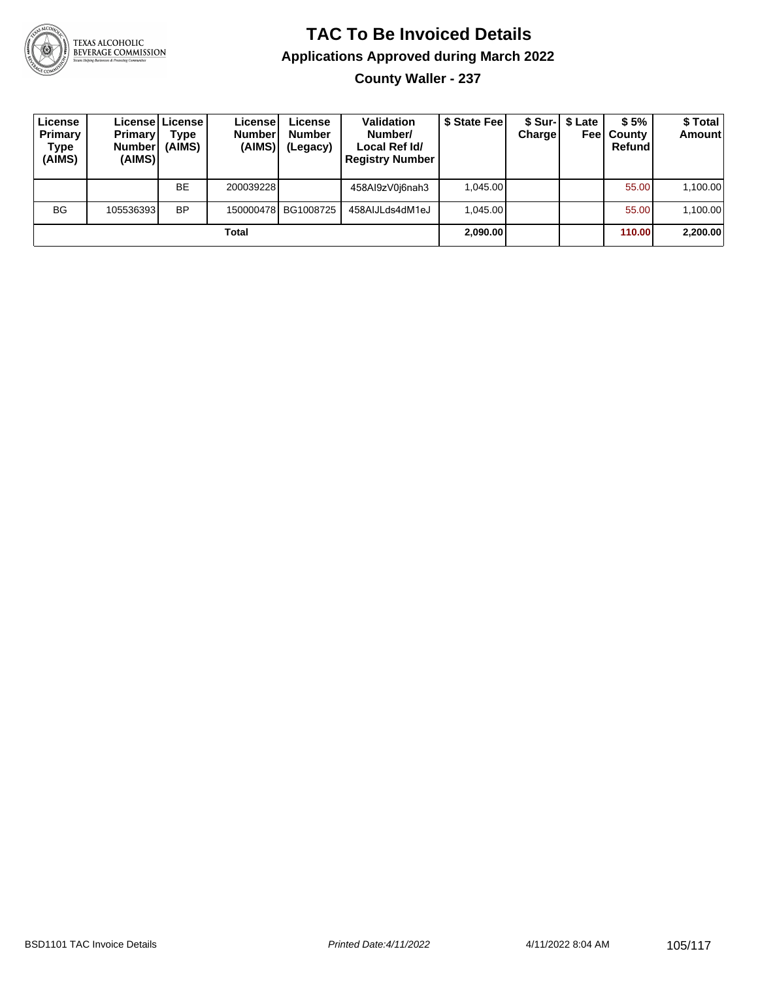

**County Waller - 237**

| License<br>Primary<br><b>Type</b><br>(AIMS) | <b>Primary</b><br><b>Number</b><br>(AIMS) | License License<br><b>Type</b><br>(AIMS) | License!<br><b>Number</b><br>(AIMS) | License<br><b>Number</b><br>(Legacy) | <b>Validation</b><br>Number/<br>Local Ref Id/<br><b>Registry Number</b> | \$ State Fee | Charge | \$ Sur-1 \$ Late | \$5%<br><b>Feel County</b><br>Refund | \$ Total<br><b>Amount</b> |
|---------------------------------------------|-------------------------------------------|------------------------------------------|-------------------------------------|--------------------------------------|-------------------------------------------------------------------------|--------------|--------|------------------|--------------------------------------|---------------------------|
|                                             |                                           | <b>BE</b>                                | 200039228                           |                                      | 458Al9zV0j6nah3                                                         | 1.045.00     |        |                  | 55.00                                | 1,100.00                  |
| <b>BG</b>                                   | 105536393 <b>1</b>                        | <b>BP</b>                                |                                     | 150000478 BG1008725                  | 458AIJLds4dM1eJ                                                         | 1.045.00     |        |                  | 55.00                                | 1,100.00                  |
| Total                                       |                                           |                                          |                                     |                                      |                                                                         |              |        |                  | 110.00                               | 2,200.00                  |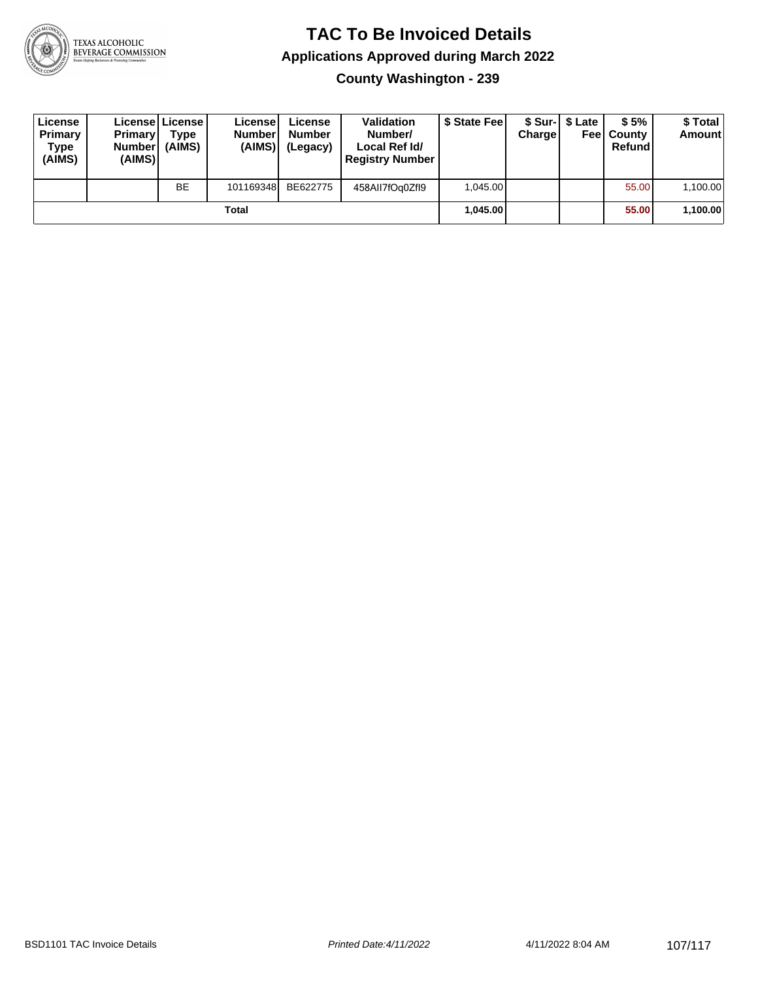

**County Washington - 239**

| License<br>Primary<br>Type<br>(AIMS) | <b>Primary</b><br><b>Number</b><br>(AIMS) | License License<br><b>Type</b><br>(AIMS) | License<br><b>Number</b><br>(AIMS) | License<br><b>Number</b><br>(Legacy) | <b>Validation</b><br>Number/<br>Local Ref Id/<br><b>Registry Number</b> | \$ State Feel | Charge   | \$ Sur-1 \$ Late | \$5%<br><b>Feel County</b><br>Refund | \$ Total<br><b>Amount</b> |
|--------------------------------------|-------------------------------------------|------------------------------------------|------------------------------------|--------------------------------------|-------------------------------------------------------------------------|---------------|----------|------------------|--------------------------------------|---------------------------|
|                                      |                                           | <b>BE</b>                                | 101169348                          | BE622775                             | 458AII7fOq0ZfI9                                                         | 1.045.00      |          |                  | 55.00                                | 1,100.00                  |
| Total                                |                                           |                                          |                                    |                                      |                                                                         |               | 1.045.00 |                  | 55.00                                | 1,100.00                  |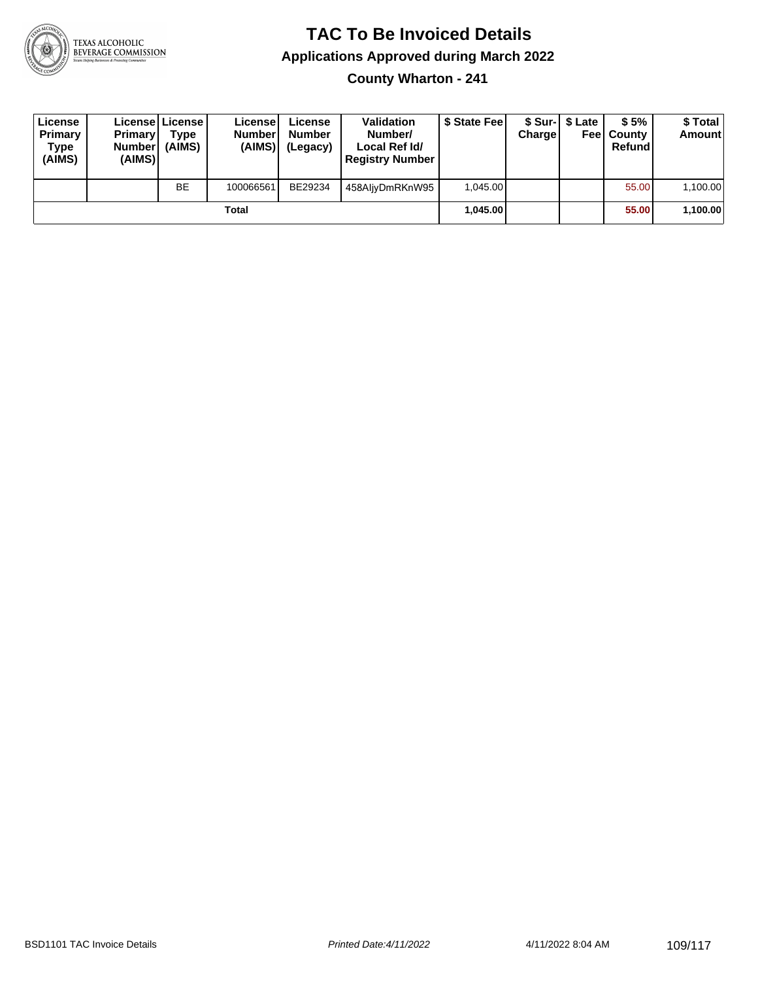

**County Wharton - 241**

| License<br>Primary<br>Type<br>(AIMS) | <b>Primary</b><br><b>Number</b><br>(AIMS)I | <b>License License</b><br>Type<br>(AIMS) | License<br><b>Number</b><br>(AIMS) | License<br><b>Number</b><br>(Legacy) | <b>Validation</b><br>Number/<br>Local Ref Id/<br><b>Registry Number</b> | \$ State Feel | Charge | \$ Sur-1 \$ Late | \$5%<br><b>Feel County</b><br>Refund | \$ Total<br><b>Amount</b> |
|--------------------------------------|--------------------------------------------|------------------------------------------|------------------------------------|--------------------------------------|-------------------------------------------------------------------------|---------------|--------|------------------|--------------------------------------|---------------------------|
|                                      |                                            | <b>BE</b>                                | 100066561                          | BE29234                              | 458AljyDmRKnW95                                                         | 1.045.00      |        |                  | 55.00                                | 1,100.00                  |
| Total                                |                                            |                                          |                                    |                                      |                                                                         | 1.045.00      |        |                  | 55.00                                | 1,100.00                  |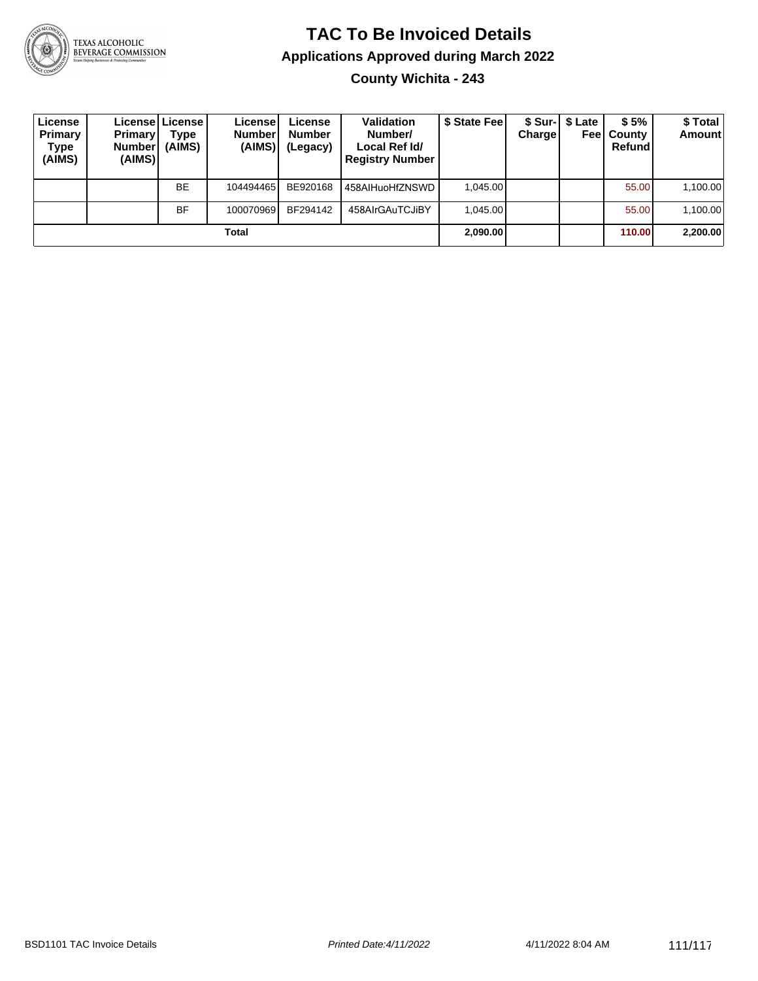

**County Wichita - 243**

| License<br>Primary<br>Type<br>(AIMS) | Primary!<br>Number <sup>1</sup><br>(AIMS) | Licensel License I<br>Type<br>(AIMS) | Licensel<br><b>Number</b><br>(AIMS) | License<br><b>Number</b><br>(Legacy) | <b>Validation</b><br>Number/<br>Local Ref Id/<br><b>Registry Number</b> | \$ State Feel | Chargel | \$ Sur-1 \$ Late<br>Feel | \$5%<br>County<br>Refund | \$ Total<br><b>Amount</b> |
|--------------------------------------|-------------------------------------------|--------------------------------------|-------------------------------------|--------------------------------------|-------------------------------------------------------------------------|---------------|---------|--------------------------|--------------------------|---------------------------|
|                                      |                                           | <b>BE</b>                            | 104494465                           | BE920168                             | 458AlHuoHfZNSWD                                                         | 1.045.00      |         |                          | 55.00                    | 1,100.00                  |
|                                      |                                           | BF                                   | 100070969                           | BF294142                             | 458AIrGAuTCJiBY                                                         | 1.045.00      |         |                          | 55.00                    | 1,100.00                  |
| Total                                |                                           |                                      |                                     |                                      |                                                                         | 2,090.00      |         |                          | 110.00                   | 2,200.00                  |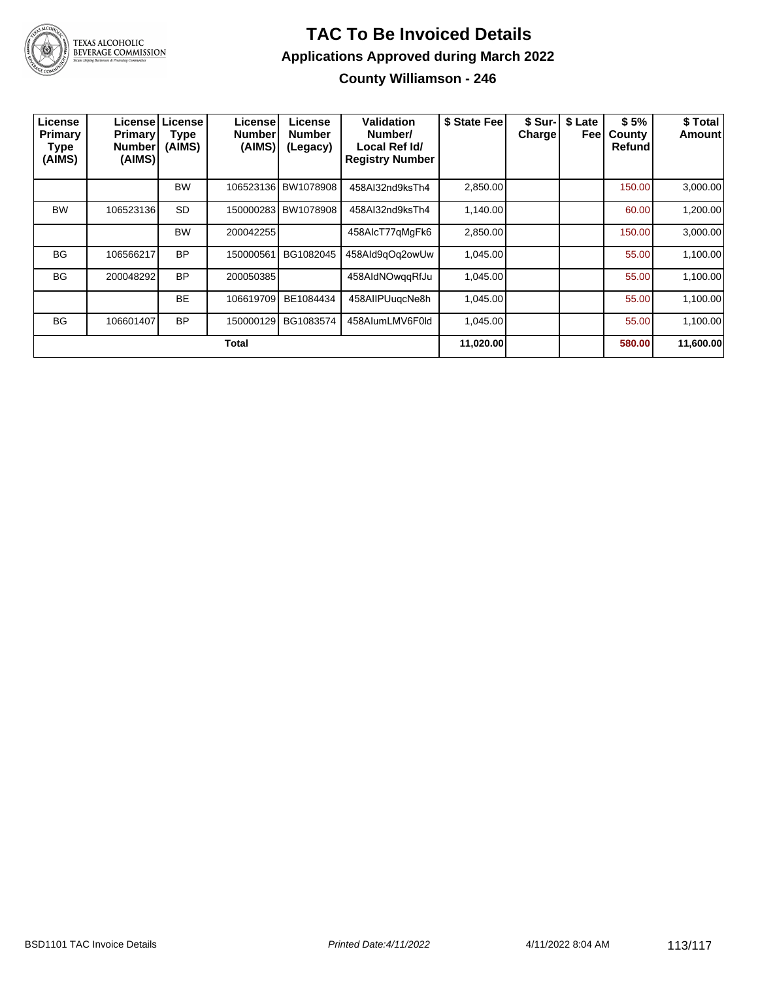

**County Williamson - 246**

| License<br>Primary<br>Type<br>(AIMS) | License   L<br><b>Primary</b><br><b>Number</b><br>(AIMS) | License <sup>®</sup><br><b>Type</b><br>(AIMS) | License<br><b>Number</b><br>(AIMS) | License<br><b>Number</b><br>(Legacy) | Validation<br>Number/<br>Local Ref Id/<br><b>Registry Number</b> | \$ State Fee | \$ Sur-I<br><b>Charge!</b> | \$ Late<br>Feel | \$5%<br>County<br>Refund | \$ Total<br>Amount |
|--------------------------------------|----------------------------------------------------------|-----------------------------------------------|------------------------------------|--------------------------------------|------------------------------------------------------------------|--------------|----------------------------|-----------------|--------------------------|--------------------|
|                                      |                                                          | <b>BW</b>                                     |                                    | 106523136 BW1078908                  | 458AI32nd9ksTh4                                                  | 2,850.00     |                            |                 | 150.00                   | 3,000.00           |
| <b>BW</b>                            | 106523136                                                | <b>SD</b>                                     |                                    | 150000283 BW1078908                  | 458AI32nd9ksTh4                                                  | 1,140.00     |                            |                 | 60.00                    | 1,200.00           |
|                                      |                                                          | <b>BW</b>                                     | 200042255                          |                                      | 458AlcT77qMgFk6                                                  | 2,850.00     |                            |                 | 150.00                   | 3,000.00           |
| <b>BG</b>                            | 106566217                                                | <b>BP</b>                                     | 150000561                          | BG1082045                            | 458Ald9qOq2owUw                                                  | 1,045.00     |                            |                 | 55.00                    | 1,100.00           |
| <b>BG</b>                            | 200048292                                                | <b>BP</b>                                     | 200050385                          |                                      | 458AldNOwggRfJu                                                  | 1,045.00     |                            |                 | 55.00                    | 1,100.00           |
|                                      |                                                          | <b>BE</b>                                     | 106619709                          | BE1084434                            | 458AIIPUugcNe8h                                                  | 1,045.00     |                            |                 | 55.00                    | 1,100.00           |
| <b>BG</b>                            | 106601407                                                | <b>BP</b>                                     | 150000129                          | BG1083574                            | 458AlumLMV6F0ld                                                  | 1,045.00     |                            |                 | 55.00                    | 1,100.00           |
| Total                                |                                                          |                                               |                                    |                                      |                                                                  | 11,020.00    |                            |                 | 580.00                   | 11,600.00          |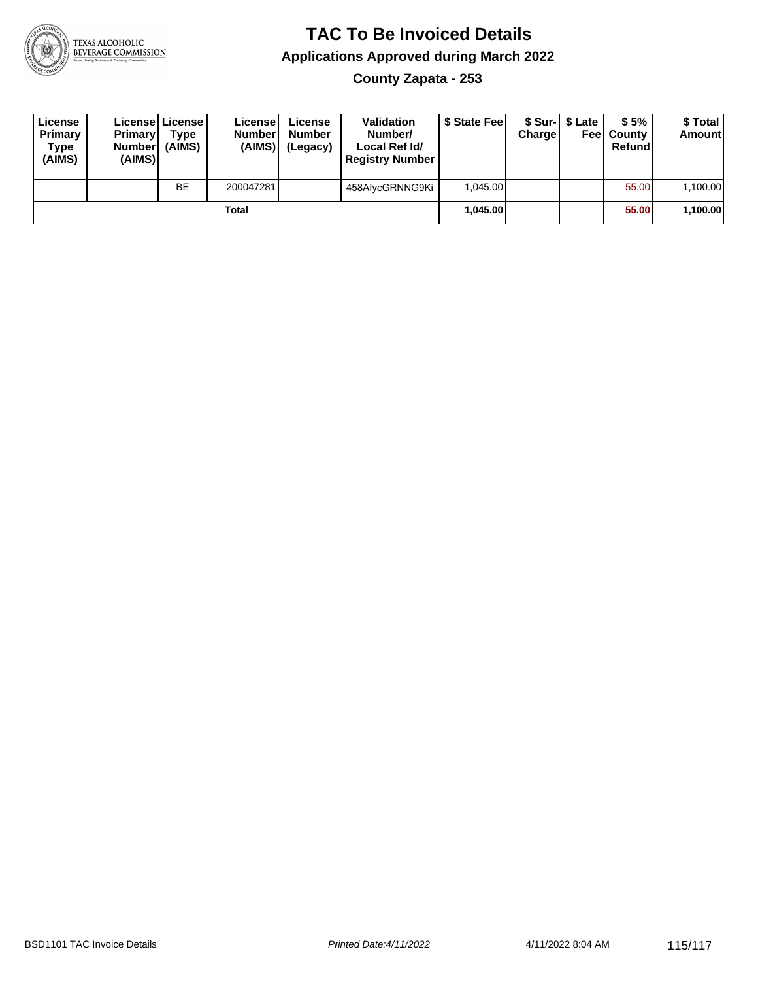

**County Zapata - 253**

| License<br>Primary<br>Type<br>(AIMS) | <b>Primary</b><br><b>Number</b><br>(AIMS) | License   License  <br>Type<br>(AIMS) | License<br><b>Number</b><br>(AIMS) | License<br><b>Number</b><br>(Legacy) | <b>Validation</b><br>Number/<br>Local Ref Id/<br><b>Registry Number</b> | \$ State Feel | Charge | \$ Sur-1 \$ Late | \$5%<br><b>Feel County</b><br>Refund | \$ Total<br><b>Amount</b> |
|--------------------------------------|-------------------------------------------|---------------------------------------|------------------------------------|--------------------------------------|-------------------------------------------------------------------------|---------------|--------|------------------|--------------------------------------|---------------------------|
|                                      |                                           | BE                                    | 200047281                          |                                      | 458AlycGRNNG9Ki                                                         | 1.045.00      |        |                  | 55.00                                | 1,100.00                  |
| Total                                |                                           |                                       |                                    |                                      |                                                                         | 1.045.00      |        |                  | 55.00                                | 1,100.00                  |